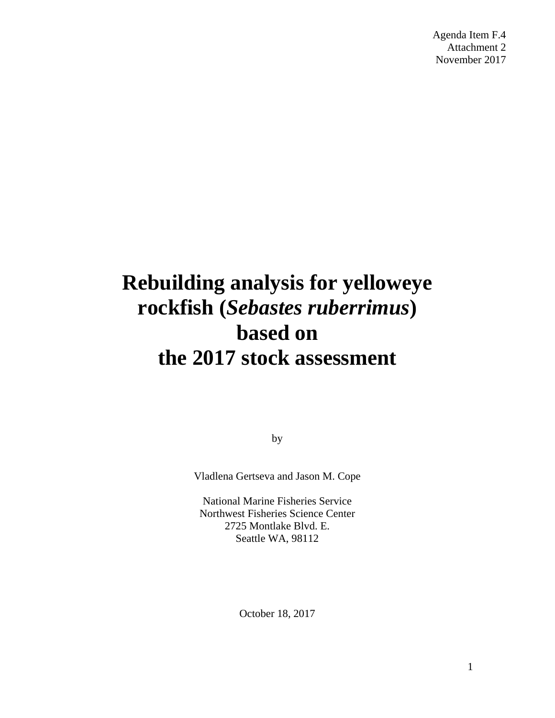Agenda Item F.4 Attachment 2 November 2017

# **Rebuilding analysis for yelloweye rockfish (***Sebastes ruberrimus***) based on the 2017 stock assessment**

by

Vladlena Gertseva and Jason M. Cope

National Marine Fisheries Service Northwest Fisheries Science Center 2725 Montlake Blvd. E. Seattle WA, 98112

October 18, 2017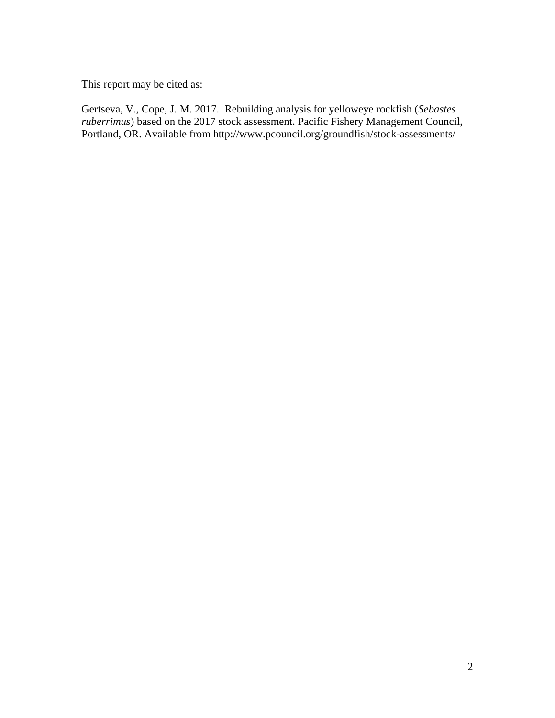This report may be cited as:

Gertseva, V., Cope, J. M. 2017. Rebuilding analysis for yelloweye rockfish (*Sebastes ruberrimus*) based on the 2017 stock assessment. Pacific Fishery Management Council, Portland, OR. Available from http://www.pcouncil.org/groundfish/stock-assessments/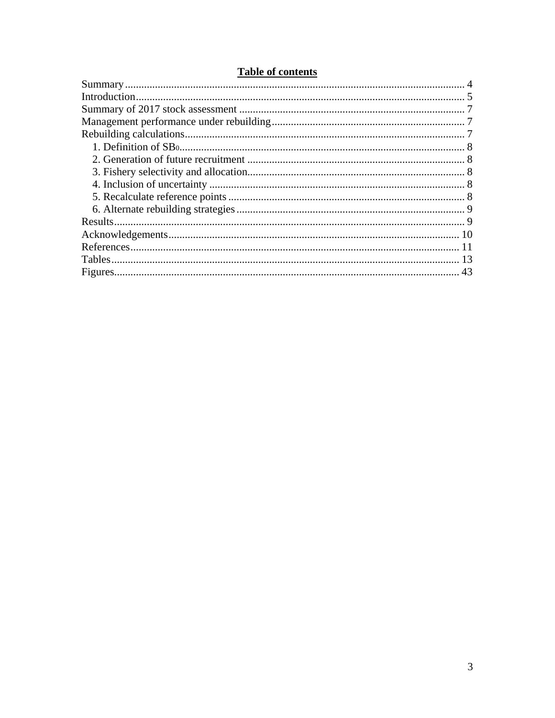# **Table of contents**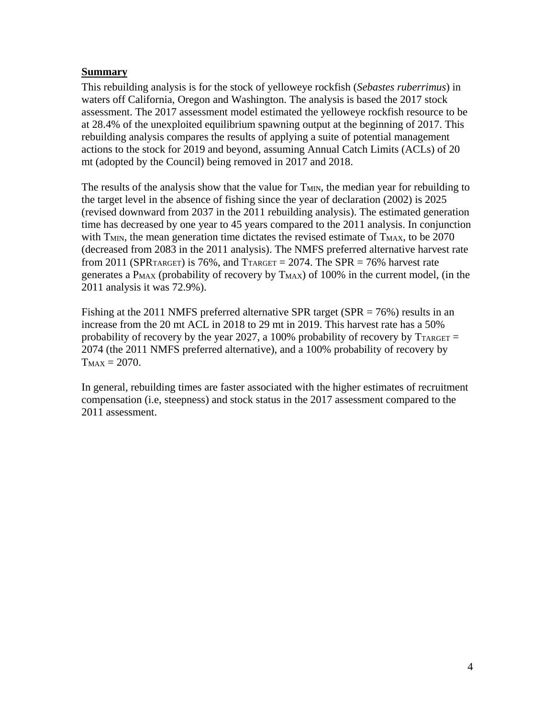#### <span id="page-3-0"></span>**Summary**

This rebuilding analysis is for the stock of yelloweye rockfish (*Sebastes ruberrimus*) in waters off California, Oregon and Washington. The analysis is based the 2017 stock assessment. The 2017 assessment model estimated the yelloweye rockfish resource to be at 28.4% of the unexploited equilibrium spawning output at the beginning of 2017. This rebuilding analysis compares the results of applying a suite of potential management actions to the stock for 2019 and beyond, assuming Annual Catch Limits (ACLs) of 20 mt (adopted by the Council) being removed in 2017 and 2018.

The results of the analysis show that the value for T<sub>MIN</sub>, the median year for rebuilding to the target level in the absence of fishing since the year of declaration (2002) is 2025 (revised downward from 2037 in the 2011 rebuilding analysis). The estimated generation time has decreased by one year to 45 years compared to the 2011 analysis. In conjunction with  $T<sub>MIN</sub>$ , the mean generation time dictates the revised estimate of  $T<sub>MAX</sub>$ , to be 2070 (decreased from 2083 in the 2011 analysis). The NMFS preferred alternative harvest rate from 2011 (SPR<sub>TARGET</sub>) is 76%, and  $T_{\text{TARGE}} = 2074$ . The SPR = 76% harvest rate generates a  $P_{MAX}$  (probability of recovery by  $T_{MAX}$ ) of 100% in the current model, (in the 2011 analysis it was 72.9%).

Fishing at the 2011 NMFS preferred alternative SPR target (SPR  $= 76\%$ ) results in an increase from the 20 mt ACL in 2018 to 29 mt in 2019. This harvest rate has a 50% probability of recovery by the year 2027, a 100% probability of recovery by  $T_{\text{TARGE}} =$ 2074 (the 2011 NMFS preferred alternative), and a 100% probability of recovery by  $T_{MAX} = 2070.$ 

In general, rebuilding times are faster associated with the higher estimates of recruitment compensation (i.e, steepness) and stock status in the 2017 assessment compared to the 2011 assessment.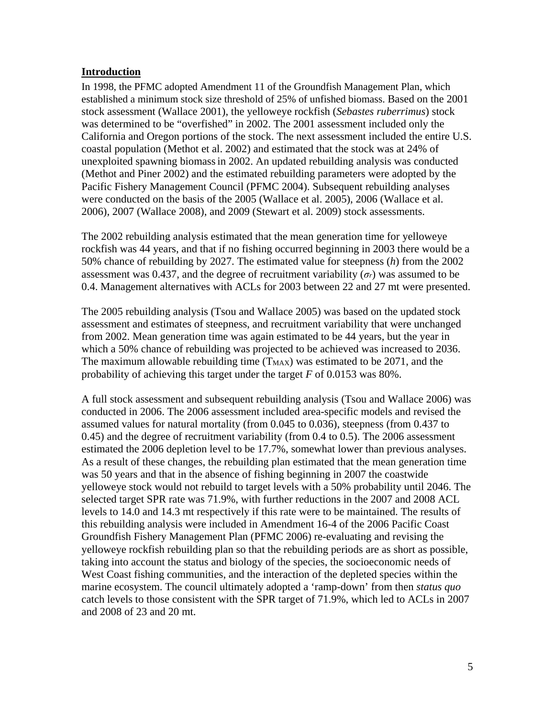#### <span id="page-4-0"></span>**Introduction**

In 1998, the PFMC adopted Amendment 11 of the Groundfish Management Plan, which established a minimum stock size threshold of 25% of unfished biomass. Based on the 2001 stock assessment (Wallace 2001), the yelloweye rockfish (*Sebastes ruberrimus*) stock was determined to be "overfished" in 2002. The 2001 assessment included only the California and Oregon portions of the stock. The next assessment included the entire U.S. coastal population (Methot et al. 2002) and estimated that the stock was at 24% of unexploited spawning biomassin 2002. An updated rebuilding analysis was conducted (Methot and Piner 2002) and the estimated rebuilding parameters were adopted by the Pacific Fishery Management Council (PFMC 2004). Subsequent rebuilding analyses were conducted on the basis of the 2005 (Wallace et al. 2005), 2006 (Wallace et al. 2006), 2007 (Wallace 2008), and 2009 (Stewart et al. 2009) stock assessments.

The 2002 rebuilding analysis estimated that the mean generation time for yelloweye rockfish was 44 years, and that if no fishing occurred beginning in 2003 there would be a 50% chance of rebuilding by 2027. The estimated value for steepness (*h*) from the 2002 assessment was 0.437, and the degree of recruitment variability  $(\sigma_r)$  was assumed to be 0.4. Management alternatives with ACLs for 2003 between 22 and 27 mt were presented.

The 2005 rebuilding analysis (Tsou and Wallace 2005) was based on the updated stock assessment and estimates of steepness, and recruitment variability that were unchanged from 2002. Mean generation time was again estimated to be 44 years, but the year in which a 50% chance of rebuilding was projected to be achieved was increased to 2036. The maximum allowable rebuilding time  $(T_{MAX})$  was estimated to be 2071, and the probability of achieving this target under the target *F* of 0.0153 was 80%.

A full stock assessment and subsequent rebuilding analysis (Tsou and Wallace 2006) was conducted in 2006. The 2006 assessment included area-specific models and revised the assumed values for natural mortality (from 0.045 to 0.036), steepness (from 0.437 to 0.45) and the degree of recruitment variability (from 0.4 to 0.5). The 2006 assessment estimated the 2006 depletion level to be 17.7%, somewhat lower than previous analyses. As a result of these changes, the rebuilding plan estimated that the mean generation time was 50 years and that in the absence of fishing beginning in 2007 the coastwide yelloweye stock would not rebuild to target levels with a 50% probability until 2046. The selected target SPR rate was 71.9%, with further reductions in the 2007 and 2008 ACL levels to 14.0 and 14.3 mt respectively if this rate were to be maintained. The results of this rebuilding analysis were included in Amendment 16-4 of the 2006 Pacific Coast Groundfish Fishery Management Plan (PFMC 2006) re-evaluating and revising the yelloweye rockfish rebuilding plan so that the rebuilding periods are as short as possible, taking into account the status and biology of the species, the socioeconomic needs of West Coast fishing communities, and the interaction of the depleted species within the marine ecosystem. The council ultimately adopted a 'ramp-down' from then *status quo* catch levels to those consistent with the SPR target of 71.9%, which led to ACLs in 2007 and 2008 of 23 and 20 mt.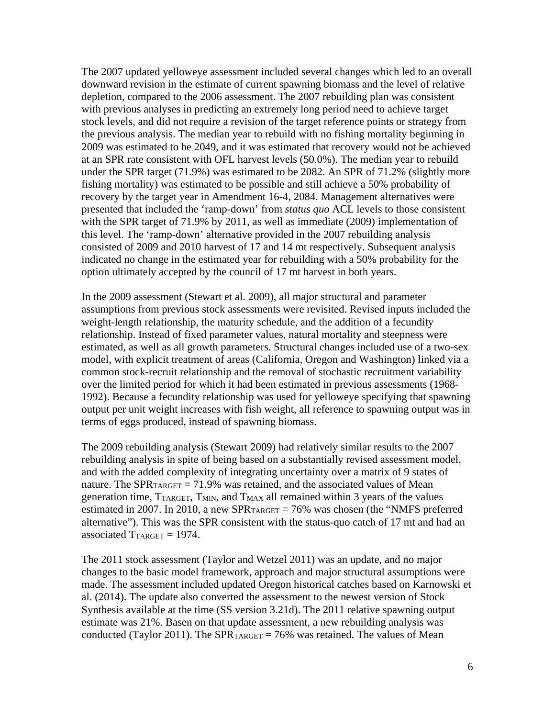The 2007 updated yelloweye assessment included several changes which led to an overall downward revision in the estimate of current spawning biomass and the level of relative depletion, compared to the 2006 assessment. The 2007 rebuilding plan was consistent with previous analyses in predicting an extremely long period need to achieve target stock levels, and did not require a revision of the target reference points or strategy from the previous analysis. The median year to rebuild with no fishing mortality beginning in 2009 was estimated to be 2049, and it was estimated that recovery would not be achieved at an SPR rate consistent with OFL harvest levels (50.0%). The median year to rebuild under the SPR target (71.9%) was estimated to be 2082. An SPR of 71.2% (slightly more fishing mortality) was estimated to be possible and still achieve a 50% probability of recovery by the target year in Amendment 16-4, 2084. Management alternatives were presented that included the 'ramp-down' from *status quo* ACL levels to those consistent with the SPR target of 71.9% by 2011, as well as immediate (2009) implementation of this level. The 'ramp-down' alternative provided in the 2007 rebuilding analysis consisted of 2009 and 2010 harvest of 17 and 14 mt respectively. Subsequent analysis indicated no change in the estimated year for rebuilding with a 50% probability for the option ultimately accepted by the council of 17 mt harvest in both years.

In the 2009 assessment (Stewart et al. 2009), all major structural and parameter assumptions from previous stock assessments were revisited. Revised inputs included the weight-length relationship, the maturity schedule, and the addition of a fecundity relationship. Instead of fixed parameter values, natural mortality and steepness were estimated, as well as all growth parameters. Structural changes included use of a two-sex model, with explicit treatment of areas (California, Oregon and Washington) linked via a common stock-recruit relationship and the removal of stochastic recruitment variability over the limited period for which it had been estimated in previous assessments (1968- 1992). Because a fecundity relationship was used for yelloweye specifying that spawning output per unit weight increases with fish weight, all reference to spawning output was in terms of eggs produced, instead of spawning biomass.

The 2009 rebuilding analysis (Stewart 2009) had relatively similar results to the 2007 rebuilding analysis in spite of being based on a substantially revised assessment model, and with the added complexity of integrating uncertainty over a matrix of 9 states of nature. The SPR $_{\text{TARGE}}$  = 71.9% was retained, and the associated values of Mean generation time,  $T_{\text{TARGE}}$ ,  $T_{\text{MIN}}$ , and  $T_{\text{MAX}}$  all remained within 3 years of the values estimated in 2007. In 2010, a new SPR $_{\text{TARGE}}$  = 76% was chosen (the "NMFS preferred alternative"). This was the SPR consistent with the status-quo catch of 17 mt and had an associated  $T_{TARGET} = 1974$ .

The 2011 stock assessment (Taylor and Wetzel 2011) was an update, and no major changes to the basic model framework, approach and major structural assumptions were made. The assessment included updated Oregon historical catches based on Karnowski et al. (2014). The update also converted the assessment to the newest version of Stock Synthesis available at the time (SS version 3.21d). The 2011 relative spawning output estimate was 21%. Basen on that update assessment, a new rebuilding analysis was conducted (Taylor 2011). The SPR $_{\text{TARGE}}$  = 76% was retained. The values of Mean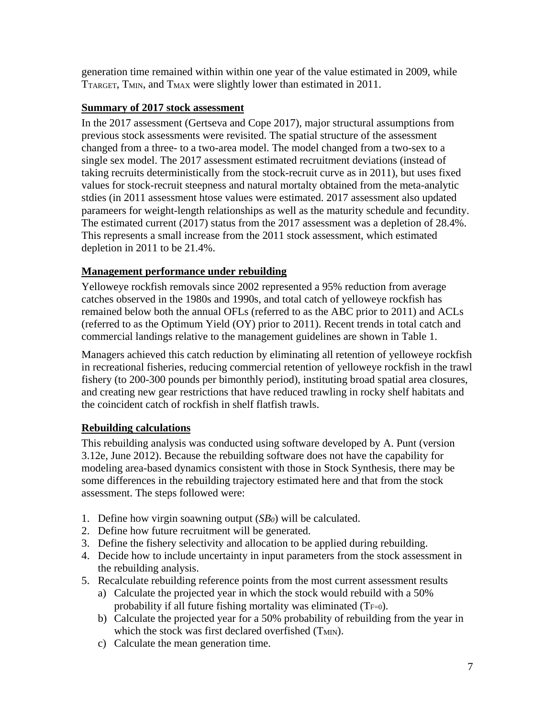generation time remained within within one year of the value estimated in 2009, while TTARGET, TMIN, and TMAX were slightly lower than estimated in 2011.

## <span id="page-6-0"></span>**Summary of 2017 stock assessment**

In the 2017 assessment (Gertseva and Cope 2017), major structural assumptions from previous stock assessments were revisited. The spatial structure of the assessment changed from a three- to a two-area model. The model changed from a two-sex to a single sex model. The 2017 assessment estimated recruitment deviations (instead of taking recruits deterministically from the stock-recruit curve as in 2011), but uses fixed values for stock-recruit steepness and natural mortalty obtained from the meta-analytic stdies (in 2011 assessment htose values were estimated. 2017 assessment also updated parameers for weight-length relationships as well as the maturity schedule and fecundity. The estimated current (2017) status from the 2017 assessment was a depletion of 28.4%. This represents a small increase from the 2011 stock assessment, which estimated depletion in 2011 to be 21.4%.

# <span id="page-6-1"></span>**Management performance under rebuilding**

Yelloweye rockfish removals since 2002 represented a 95% reduction from average catches observed in the 1980s and 1990s, and total catch of yelloweye rockfish has remained below both the annual OFLs (referred to as the ABC prior to 2011) and ACLs (referred to as the Optimum Yield (OY) prior to 2011). Recent trends in total catch and commercial landings relative to the management guidelines are shown in [Table 1.](#page-12-1)

Managers achieved this catch reduction by eliminating all retention of yelloweye rockfish in recreational fisheries, reducing commercial retention of yelloweye rockfish in the trawl fishery (to 200-300 pounds per bimonthly period), instituting broad spatial area closures, and creating new gear restrictions that have reduced trawling in rocky shelf habitats and the coincident catch of rockfish in shelf flatfish trawls.

# <span id="page-6-2"></span>**Rebuilding calculations**

This rebuilding analysis was conducted using software developed by A. Punt (version 3.12e, June 2012). Because the rebuilding software does not have the capability for modeling area-based dynamics consistent with those in Stock Synthesis, there may be some differences in the rebuilding trajectory estimated here and that from the stock assessment. The steps followed were:

- 1. Define how virgin soawning output (*SB0*) will be calculated.
- 2. Define how future recruitment will be generated.
- 3. Define the fishery selectivity and allocation to be applied during rebuilding.
- 4. Decide how to include uncertainty in input parameters from the stock assessment in the rebuilding analysis.
- 5. Recalculate rebuilding reference points from the most current assessment results
	- a) Calculate the projected year in which the stock would rebuild with a 50% probability if all future fishing mortality was eliminated  $(T_{F=0})$ .
	- b) Calculate the projected year for a 50% probability of rebuilding from the year in which the stock was first declared overfished (T<sub>MIN</sub>).
	- c) Calculate the mean generation time.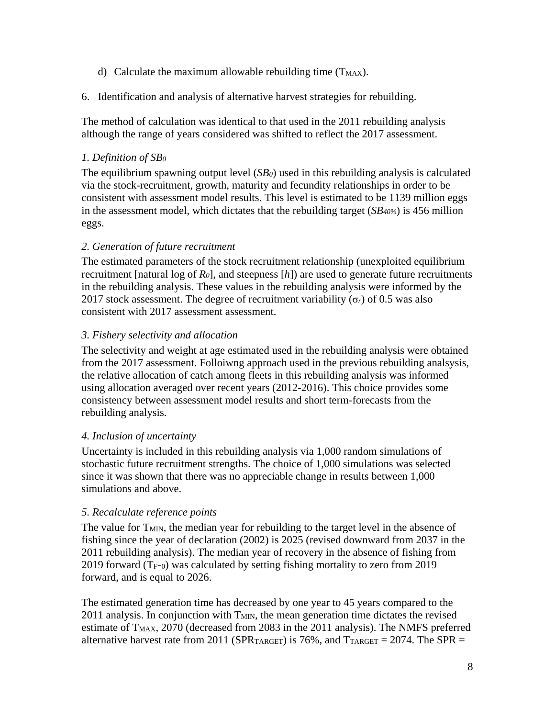- d) Calculate the maximum allowable rebuilding time  $(T_{MAX})$ .
- 6. Identification and analysis of alternative harvest strategies for rebuilding.

The method of calculation was identical to that used in the 2011 rebuilding analysis although the range of years considered was shifted to reflect the 2017 assessment.

### <span id="page-7-0"></span>*1. Definition of SB0*

The equilibrium spawning output level (*SB0*) used in this rebuilding analysis is calculated via the stock-recruitment, growth, maturity and fecundity relationships in order to be consistent with assessment model results. This level is estimated to be 1139 million eggs in the assessment model, which dictates that the rebuilding target (*SB40%*) is 456 million eggs.

#### <span id="page-7-1"></span>*2. Generation of future recruitment*

The estimated parameters of the stock recruitment relationship (unexploited equilibrium recruitment [natural log of *R0*], and steepness [*h*]) are used to generate future recruitments in the rebuilding analysis. These values in the rebuilding analysis were informed by the 2017 stock assessment. The degree of recruitment variability  $(\sigma_r)$  of 0.5 was also consistent with 2017 assessment assessment.

#### <span id="page-7-2"></span>*3. Fishery selectivity and allocation*

The selectivity and weight at age estimated used in the rebuilding analysis were obtained from the 2017 assessment. Folloiwng approach used in the previous rebuilding analsysis, the relative allocation of catch among fleets in this rebuilding analysis was informed using allocation averaged over recent years (2012-2016). This choice provides some consistency between assessment model results and short term-forecasts from the rebuilding analysis.

#### <span id="page-7-3"></span>*4. Inclusion of uncertainty*

Uncertainty is included in this rebuilding analysis via 1,000 random simulations of stochastic future recruitment strengths. The choice of 1,000 simulations was selected since it was shown that there was no appreciable change in results between 1,000 simulations and above.

#### <span id="page-7-4"></span>*5. Recalculate reference points*

The value for T<sub>MIN</sub>, the median year for rebuilding to the target level in the absence of fishing since the year of declaration (2002) is 2025 (revised downward from 2037 in the 2011 rebuilding analysis). The median year of recovery in the absence of fishing from 2019 forward ( $T_{F=0}$ ) was calculated by setting fishing mortality to zero from 2019 forward, and is equal to 2026.

The estimated generation time has decreased by one year to 45 years compared to the 2011 analysis. In conjunction with T<sub>MIN</sub>, the mean generation time dictates the revised estimate of  $T_{MAX}$ , 2070 (decreased from 2083 in the 2011 analysis). The NMFS preferred alternative harvest rate from 2011 (SPR $_{\text{TARGET}}$ ) is 76%, and  $T_{\text{TARGET}} = 2074$ . The SPR =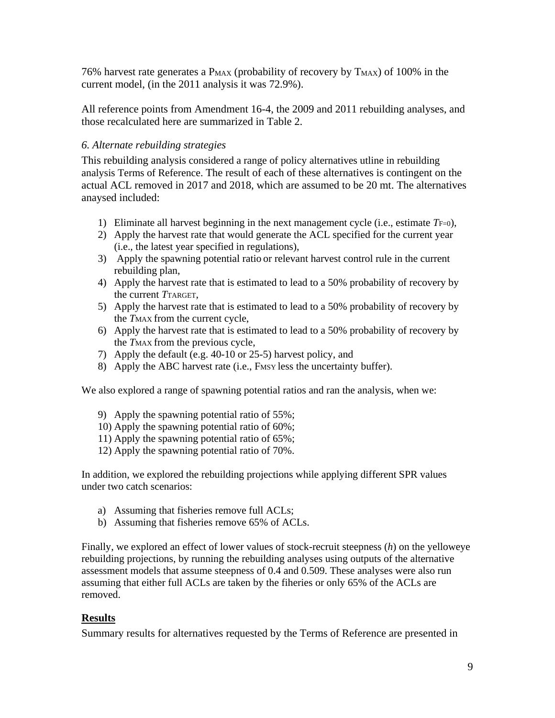76% harvest rate generates a  $P_{MAX}$  (probability of recovery by  $T_{MAX}$ ) of 100% in the current model, (in the 2011 analysis it was 72.9%).

All reference points from Amendment 16-4, the 2009 and 2011 rebuilding analyses, and those recalculated here are summarized in [Table 2.](#page-13-0)

#### <span id="page-8-0"></span>*6. Alternate rebuilding strategies*

This rebuilding analysis considered a range of policy alternatives utline in rebuilding analysis Terms of Reference. The result of each of these alternatives is contingent on the actual ACL removed in 2017 and 2018, which are assumed to be 20 mt. The alternatives anaysed included:

- 1) Eliminate all harvest beginning in the next management cycle (i.e., estimate *T*F=0),
- 2) Apply the harvest rate that would generate the ACL specified for the current year (i.e., the latest year specified in regulations),
- 3) Apply the spawning potential ratio or relevant harvest control rule in the current rebuilding plan,
- 4) Apply the harvest rate that is estimated to lead to a 50% probability of recovery by the current *T*TARGET,
- 5) Apply the harvest rate that is estimated to lead to a 50% probability of recovery by the *T*MAX from the current cycle,
- 6) Apply the harvest rate that is estimated to lead to a 50% probability of recovery by the *T*MAX from the previous cycle,
- 7) Apply the default (e.g. 40-10 or 25-5) harvest policy, and
- 8) Apply the ABC harvest rate (i.e., Fmsy less the uncertainty buffer).

We also explored a range of spawning potential ratios and ran the analysis, when we:

- 9) Apply the spawning potential ratio of 55%;
- 10) Apply the spawning potential ratio of 60%;
- 11) Apply the spawning potential ratio of 65%;
- 12) Apply the spawning potential ratio of 70%.

In addition, we explored the rebuilding projections while applying different SPR values under two catch scenarios:

- a) Assuming that fisheries remove full ACLs;
- b) Assuming that fisheries remove 65% of ACLs.

Finally, we explored an effect of lower values of stock-recruit steepness (*h*) on the yelloweye rebuilding projections, by running the rebuilding analyses using outputs of the alternative assessment models that assume steepness of 0.4 and 0.509. These analyses were also run assuming that either full ACLs are taken by the fiheries or only 65% of the ACLs are removed.

#### <span id="page-8-1"></span>**Results**

Summary results for alternatives requested by the Terms of Reference are presented in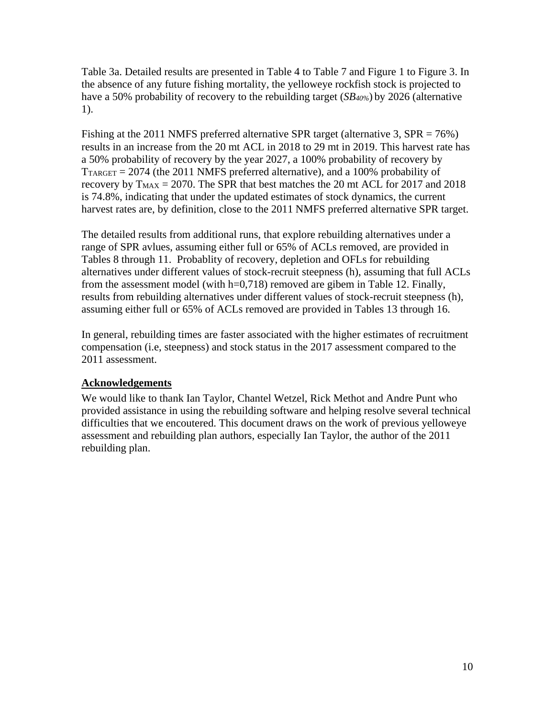[Table 3a](#page-13-1). Detailed results are presented in [Table 4](#page-16-0) to [Table 7](#page-22-0) and [Figure 1](#page-42-1) to [Figure 3.](#page-44-0) In the absence of any future fishing mortality, the yelloweye rockfish stock is projected to have a 50% probability of recovery to the rebuilding target (*SB40%*) by 2026 (alternative 1).

Fishing at the 2011 NMFS preferred alternative SPR target (alternative 3, SPR = 76%) results in an increase from the 20 mt ACL in 2018 to 29 mt in 2019. This harvest rate has a 50% probability of recovery by the year 2027, a 100% probability of recovery by  $T_{\text{TARGE}} = 2074$  (the 2011 NMFS preferred alternative), and a 100% probability of recovery by  $T_{MAX} = 2070$ . The SPR that best matches the 20 mt ACL for 2017 and 2018 is 74.8%, indicating that under the updated estimates of stock dynamics, the current harvest rates are, by definition, close to the 2011 NMFS preferred alternative SPR target.

The detailed results from additional runs, that explore rebuilding alternatives under a range of SPR avlues, assuming either full or 65% of ACLs removed, are provided in Tables 8 through 11. Probablity of recovery, depletion and OFLs for rebuilding alternatives under different values of stock-recruit steepness (h), assuming that full ACLs from the assessment model (with h=0,718) removed are gibem in Table 12. Finally, results from rebuilding alternatives under different values of stock-recruit steepness (h), assuming either full or 65% of ACLs removed are provided in Tables 13 through 16.

In general, rebuilding times are faster associated with the higher estimates of recruitment compensation (i.e, steepness) and stock status in the 2017 assessment compared to the 2011 assessment.

## <span id="page-9-0"></span>**Acknowledgements**

We would like to thank Ian Taylor, Chantel Wetzel, Rick Methot and Andre Punt who provided assistance in using the rebuilding software and helping resolve several technical difficulties that we encoutered. This document draws on the work of previous yelloweye assessment and rebuilding plan authors, especially Ian Taylor, the author of the 2011 rebuilding plan.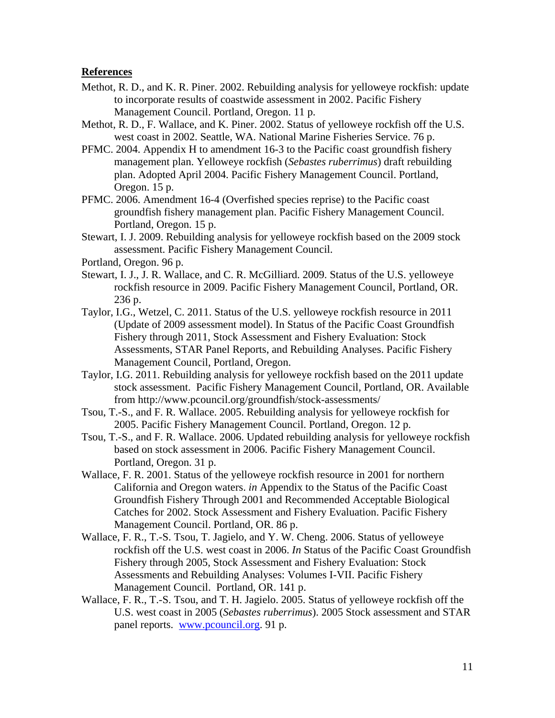#### <span id="page-10-0"></span>**References**

- Methot, R. D., and K. R. Piner. 2002. Rebuilding analysis for yelloweye rockfish: update to incorporate results of coastwide assessment in 2002. Pacific Fishery Management Council. Portland, Oregon. 11 p.
- Methot, R. D., F. Wallace, and K. Piner. 2002. Status of yelloweye rockfish off the U.S. west coast in 2002. Seattle, WA. National Marine Fisheries Service. 76 p.
- PFMC. 2004. Appendix H to amendment 16-3 to the Pacific coast groundfish fishery management plan. Yelloweye rockfish (*Sebastes ruberrimus*) draft rebuilding plan. Adopted April 2004. Pacific Fishery Management Council. Portland, Oregon. 15 p.
- PFMC. 2006. Amendment 16-4 (Overfished species reprise) to the Pacific coast groundfish fishery management plan. Pacific Fishery Management Council. Portland, Oregon. 15 p.
- Stewart, I. J. 2009. Rebuilding analysis for yelloweye rockfish based on the 2009 stock assessment. Pacific Fishery Management Council.

Portland, Oregon. 96 p.

- Stewart, I. J., J. R. Wallace, and C. R. McGilliard. 2009. Status of the U.S. yelloweye rockfish resource in 2009. Pacific Fishery Management Council, Portland, OR. 236 p.
- Taylor, I.G., Wetzel, C. 2011. Status of the U.S. yelloweye rockfish resource in 2011 (Update of 2009 assessment model). In Status of the Pacific Coast Groundfish Fishery through 2011, Stock Assessment and Fishery Evaluation: Stock Assessments, STAR Panel Reports, and Rebuilding Analyses. Pacific Fishery Management Council, Portland, Oregon.
- Taylor, I.G. 2011. Rebuilding analysis for yelloweye rockfish based on the 2011 update stock assessment. Pacific Fishery Management Council, Portland, OR. Available from http://www.pcouncil.org/groundfish/stock-assessments/
- Tsou, T.-S., and F. R. Wallace. 2005. Rebuilding analysis for yelloweye rockfish for 2005. Pacific Fishery Management Council. Portland, Oregon. 12 p.
- Tsou, T.-S., and F. R. Wallace. 2006. Updated rebuilding analysis for yelloweye rockfish based on stock assessment in 2006. Pacific Fishery Management Council. Portland, Oregon. 31 p.
- Wallace, F. R. 2001. Status of the yelloweye rockfish resource in 2001 for northern California and Oregon waters. *in* Appendix to the Status of the Pacific Coast Groundfish Fishery Through 2001 and Recommended Acceptable Biological Catches for 2002. Stock Assessment and Fishery Evaluation. Pacific Fishery Management Council. Portland, OR. 86 p.
- Wallace, F. R., T.-S. Tsou, T. Jagielo, and Y. W. Cheng. 2006. Status of yelloweye rockfish off the U.S. west coast in 2006. *In* Status of the Pacific Coast Groundfish Fishery through 2005, Stock Assessment and Fishery Evaluation: Stock Assessments and Rebuilding Analyses: Volumes I-VII. Pacific Fishery Management Council. Portland, OR. 141 p.
- Wallace, F. R., T.-S. Tsou, and T. H. Jagielo. 2005. Status of yelloweye rockfish off the U.S. west coast in 2005 (*Sebastes ruberrimus*). 2005 Stock assessment and STAR panel reports. [www.pcouncil.org.](http://www.pcouncil.org/) 91 p.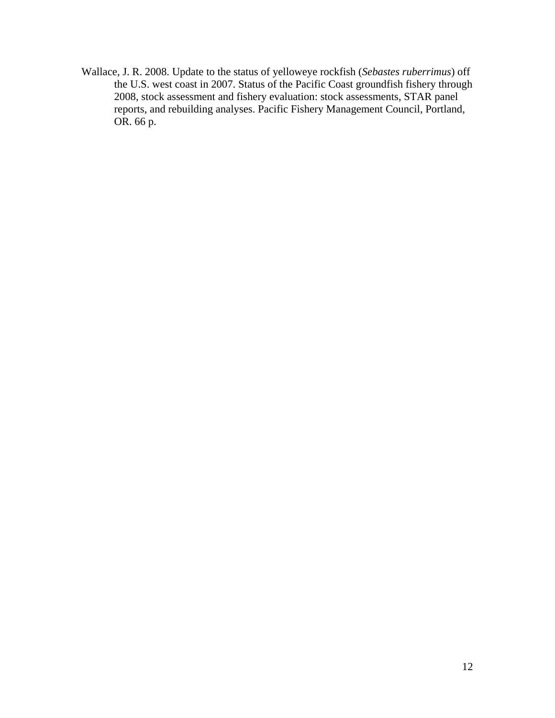Wallace, J. R. 2008. Update to the status of yelloweye rockfish (*Sebastes ruberrimus*) off the U.S. west coast in 2007. Status of the Pacific Coast groundfish fishery through 2008, stock assessment and fishery evaluation: stock assessments, STAR panel reports, and rebuilding analyses. Pacific Fishery Management Council, Portland, OR. 66 p.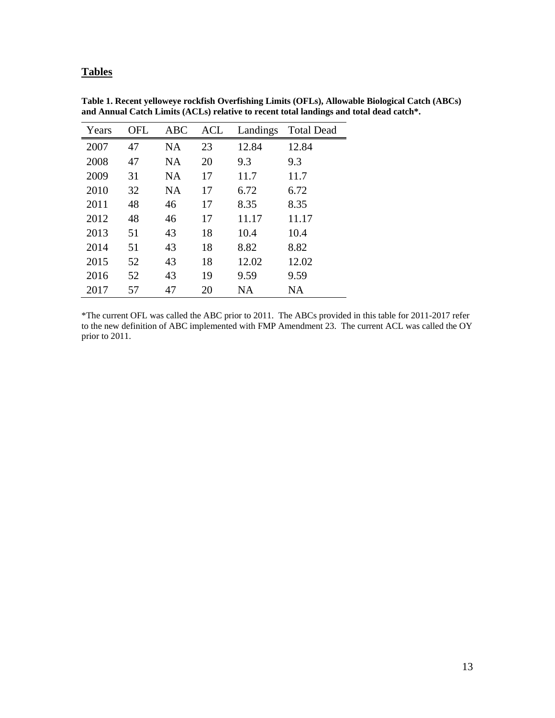## <span id="page-12-0"></span>**Tables**

| Years | OFL | <b>ABC</b> | <b>ACL</b> | Landings  | <b>Total Dead</b> |
|-------|-----|------------|------------|-----------|-------------------|
| 2007  | 47  | <b>NA</b>  | 23         | 12.84     | 12.84             |
| 2008  | 47  | NA         | 20         | 9.3       | 9.3               |
| 2009  | 31  | NA         | 17         | 11.7      | 11.7              |
| 2010  | 32  | <b>NA</b>  | 17         | 6.72      | 6.72              |
| 2011  | 48  | 46         | 17         | 8.35      | 8.35              |
| 2012  | 48  | 46         | 17         | 11.17     | 11.17             |
| 2013  | 51  | 43         | 18         | 10.4      | 10.4              |
| 2014  | 51  | 43         | 18         | 8.82      | 8.82              |
| 2015  | 52  | 43         | 18         | 12.02     | 12.02             |
| 2016  | 52  | 43         | 19         | 9.59      | 9.59              |
| 2017  | 57  | 47         | 20         | <b>NA</b> | NA                |

<span id="page-12-1"></span>**Table 1. Recent yelloweye rockfish Overfishing Limits (OFLs), Allowable Biological Catch (ABCs) and Annual Catch Limits (ACLs) relative to recent total landings and total dead catch\*.**

\*The current OFL was called the ABC prior to 2011. The ABCs provided in this table for 2011-2017 refer to the new definition of ABC implemented with FMP Amendment 23. The current ACL was called the OY prior to 2011.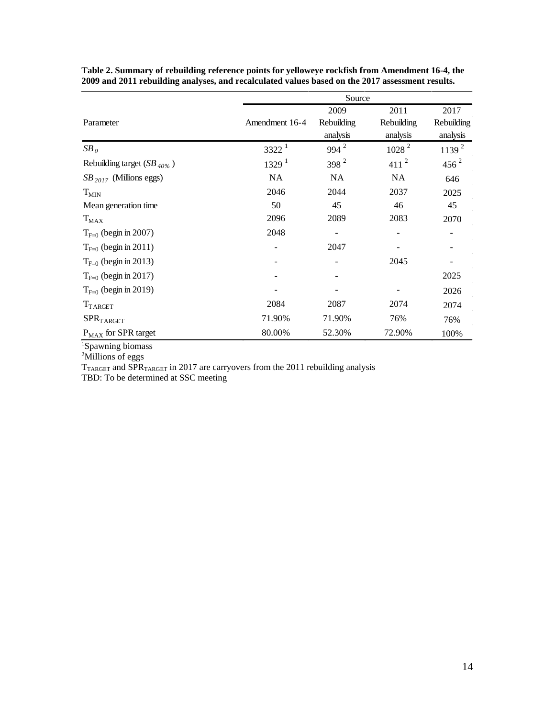|                                 |                   | Source           |                   |                   |
|---------------------------------|-------------------|------------------|-------------------|-------------------|
|                                 |                   | 2009             | 2011              | 2017              |
| Parameter                       | Amendment 16-4    | Rebuilding       | Rebuilding        | Rebuilding        |
|                                 |                   | analysis         | analysis          | analysis          |
| $SB_0$                          | $3322^1$          | $994^2$          | 1028 <sup>2</sup> | 1139 <sup>2</sup> |
| Rebuilding target $(SB_{40\%})$ | 1329 <sup>1</sup> | 398 <sup>2</sup> | $411^2$           | $456^2$           |
| $SB_{2017}$ (Millions eggs)     | NA                | <b>NA</b>        | <b>NA</b>         | 646               |
| $T_{MIN}$                       | 2046              | 2044             | 2037              | 2025              |
| Mean generation time            | 50                | 45               | 46                | 45                |
| $T_{MAX}$                       | 2096              | 2089             | 2083              | 2070              |
| $T_{F=0}$ (begin in 2007)       | 2048              |                  |                   |                   |
| $T_{F=0}$ (begin in 2011)       |                   | 2047             |                   |                   |
| $T_{F=0}$ (begin in 2013)       |                   |                  | 2045              |                   |
| $T_{F=0}$ (begin in 2017)       |                   |                  |                   | 2025              |
| $T_{F=0}$ (begin in 2019)       |                   |                  |                   | 2026              |
| $T_{TARGET}$                    | 2084              | 2087             | 2074              | 2074              |
| SPR <sub>T</sub> ARGET          | 71.90%            | 71.90%           | 76%               | 76%               |
| $P_{MAX}$ for SPR target        | 80.00%            | 52.30%           | 72.90%            | 100%              |

<span id="page-13-0"></span>**Table 2. Summary of rebuilding reference points for yelloweye rockfish from Amendment 16-4, the 2009 and 2011 rebuilding analyses, and recalculated values based on the 2017 assessment results.**

1 Spawning biomass 2 Millions of eggs

<span id="page-13-1"></span> $T_{\text{TARGE}}$  and SPR $_{\text{TARGE}}$  in 2017 are carryovers from the 2011 rebuilding analysis

TBD: To be determined at SSC meeting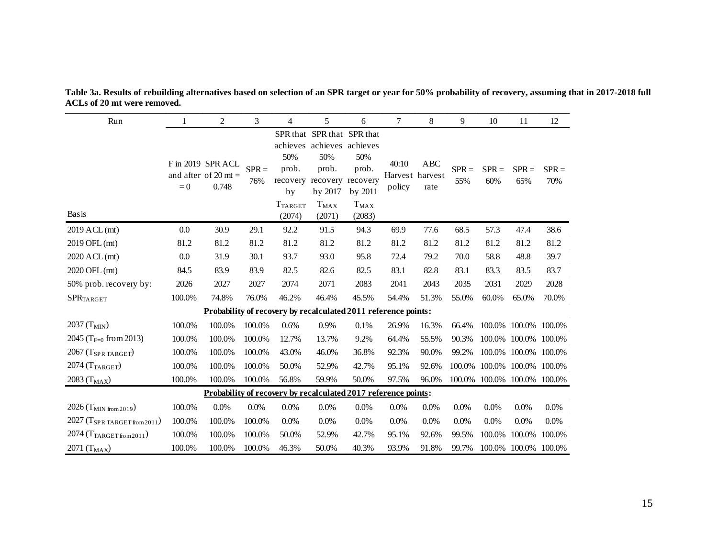| Run                                        |        | 2                                                              | 3              | 4                                                           | 5                                                                                        | 6                                                                                        | $\tau$          | 8                              | 9              | 10                          | 11             | 12             |
|--------------------------------------------|--------|----------------------------------------------------------------|----------------|-------------------------------------------------------------|------------------------------------------------------------------------------------------|------------------------------------------------------------------------------------------|-----------------|--------------------------------|----------------|-----------------------------|----------------|----------------|
| <b>Basis</b>                               | $= 0$  | F in 2019 SPR ACL<br>and after of 20 mt $=$<br>0.748           | $SPR =$<br>76% | 50%<br>prob.<br>recovery<br>by<br><b>T</b> TARGET<br>(2074) | achieves achieves achieves<br>50%<br>prob.<br>recovery<br>by 2017<br>$T_{MAX}$<br>(2071) | SPR that SPR that SPR that<br>50%<br>prob.<br>recovery<br>by 2011<br>$T_{MAX}$<br>(2083) | 40:10<br>policy | ABC<br>Harvest harvest<br>rate | $SPR =$<br>55% | $SPR =$<br>60%              | $SPR =$<br>65% | $SPR =$<br>70% |
| 2019 ACL (mt)                              | 0.0    | 30.9                                                           | 29.1           | 92.2                                                        | 91.5                                                                                     | 94.3                                                                                     | 69.9            | 77.6                           | 68.5           | 57.3                        | 47.4           | 38.6           |
| 2019 OFL (mt)                              | 81.2   | 81.2                                                           | 81.2           | 81.2                                                        | 81.2                                                                                     | 81.2                                                                                     | 81.2            | 81.2                           | 81.2           | 81.2                        | 81.2           | 81.2           |
| 2020 ACL (mt)                              | 0.0    | 31.9                                                           | 30.1           | 93.7                                                        | 93.0                                                                                     | 95.8                                                                                     | 72.4            | 79.2                           | 70.0           | 58.8                        | 48.8           | 39.7           |
| 2020 OFL (mt)                              | 84.5   | 83.9                                                           | 83.9           | 82.5                                                        | 82.6                                                                                     | 82.5                                                                                     | 83.1            | 82.8                           | 83.1           | 83.3                        | 83.5           | 83.7           |
| 50% prob. recovery by:                     | 2026   | 2027                                                           | 2027           | 2074                                                        | 2071                                                                                     | 2083                                                                                     | 2041            | 2043                           | 2035           | 2031                        | 2029           | 2028           |
| <b>SPRTARGET</b>                           | 100.0% | 74.8%                                                          | 76.0%          | 46.2%                                                       | 46.4%                                                                                    | 45.5%                                                                                    | 54.4%           | 51.3%                          | 55.0%          | 60.0%                       | 65.0%          | 70.0%          |
|                                            |        | Probability of recovery by recalculated 2011 reference points: |                |                                                             |                                                                                          |                                                                                          |                 |                                |                |                             |                |                |
| 2037 (T <sub>MIN</sub> )                   | 100.0% | 100.0%                                                         | 100.0%         | 0.6%                                                        | 0.9%                                                                                     | 0.1%                                                                                     | 26.9%           | 16.3%                          | 66.4%          | 100.0%                      |                | 100.0% 100.0%  |
| 2045 (T <sub>F=0</sub> from 2013)          | 100.0% | 100.0%                                                         | 100.0%         | 12.7%                                                       | 13.7%                                                                                    | 9.2%                                                                                     | 64.4%           | 55.5%                          | 90.3%          | 100.0%                      |                | 100.0% 100.0%  |
| $2067$ (T <sub>SPR TARGET</sub> )          | 100.0% | 100.0%                                                         | 100.0%         | 43.0%                                                       | 46.0%                                                                                    | 36.8%                                                                                    | 92.3%           | 90.0%                          | 99.2%          | 100.0%                      |                | 100.0% 100.0%  |
| $2074$ (T <sub>TARGET</sub> )              | 100.0% | 100.0%                                                         | 100.0%         | 50.0%                                                       | 52.9%                                                                                    | 42.7%                                                                                    | 95.1%           | 92.6%                          | 100.0%         | 100.0%                      | 100.0% 100.0%  |                |
| $2083$ $\rm (T_{MAX})$                     | 100.0% | 100.0%                                                         | 100.0%         | 56.8%                                                       | 59.9%                                                                                    | 50.0%                                                                                    | 97.5%           | 96.0%                          |                | 100.0% 100.0% 100.0% 100.0% |                |                |
|                                            |        | Probability of recovery by recalculated 2017 reference points: |                |                                                             |                                                                                          |                                                                                          |                 |                                |                |                             |                |                |
| 2026 (T <sub>MIN</sub> from 2019)          | 100.0% | 0.0%                                                           | 0.0%           | 0.0%                                                        | 0.0%                                                                                     | 0.0%                                                                                     | 0.0%            | 0.0%                           | 0.0%           | 0.0%                        | 0.0%           | 0.0%           |
| $2027$ (T <sub>SPR</sub> TARGET from 2011) | 100.0% | 100.0%                                                         | 100.0%         | 0.0%                                                        | 0.0%                                                                                     | 0.0%                                                                                     | 0.0%            | 0.0%                           | 0.0%           | 0.0%                        | 0.0%           | 0.0%           |
| $2074$ (T <sub>TARGET from 2011</sub> )    | 100.0% | 100.0%                                                         | 100.0%         | 50.0%                                                       | 52.9%                                                                                    | 42.7%                                                                                    | 95.1%           | 92.6%                          | 99.5%          | 100.0%                      | 100.0%         | 100.0%         |
| 2071 (T <sub>MAX</sub> )                   | 100.0% | 100.0%                                                         | 100.0%         | 46.3%                                                       | 50.0%                                                                                    | 40.3%                                                                                    | 93.9%           | 91.8%                          | 99.7%          | 100.0%                      |                | 100.0% 100.0%  |

**Table 3a. Results of rebuilding alternatives based on selection of an SPR target or year for 50% probability of recovery, assuming that in 2017-2018 full ACLs of 20 mt were removed.**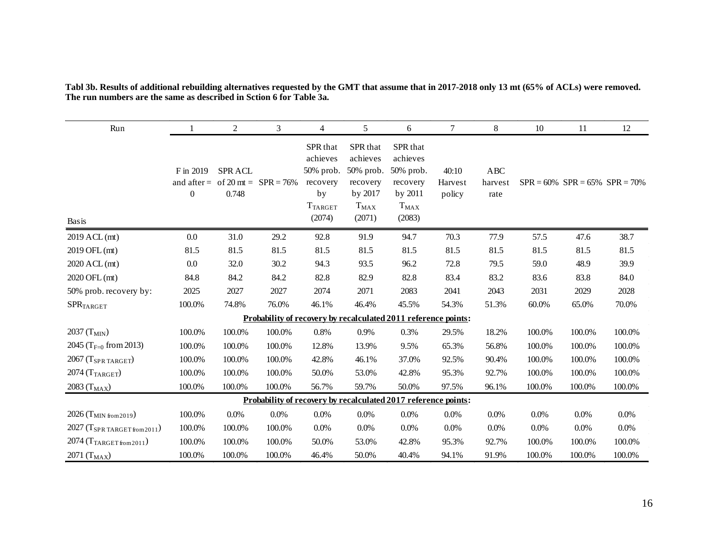| Run                                        |                               | $\overline{c}$         | 3                                  | $\overline{4}$                                                                  | 5                                                                               | 6                                                                               | 7                          | 8                             | 10     | 11     | 12                                     |
|--------------------------------------------|-------------------------------|------------------------|------------------------------------|---------------------------------------------------------------------------------|---------------------------------------------------------------------------------|---------------------------------------------------------------------------------|----------------------------|-------------------------------|--------|--------|----------------------------------------|
| <b>Basis</b>                               | F in 2019<br>$\boldsymbol{0}$ | <b>SPRACL</b><br>0.748 | and after = of 20 mt = $SPR = 76%$ | SPR that<br>achieves<br>50% prob.<br>recovery<br>by<br><b>TTARGET</b><br>(2074) | SPR that<br>achieves<br>50% prob.<br>recovery<br>by 2017<br>$T_{MAX}$<br>(2071) | SPR that<br>achieves<br>50% prob.<br>recovery<br>by 2011<br>$T_{MAX}$<br>(2083) | 40:10<br>Harvest<br>policy | <b>ABC</b><br>harvest<br>rate |        |        | $SPR = 60\%$ $SPR = 65\%$ $SPR = 70\%$ |
| 2019 ACL (mt)                              | 0.0                           | 31.0                   | 29.2                               | 92.8                                                                            | 91.9                                                                            | 94.7                                                                            | 70.3                       | 77.9                          | 57.5   | 47.6   | 38.7                                   |
| 2019 OFL (mt)                              | 81.5                          | 81.5                   | 81.5                               | 81.5                                                                            | 81.5                                                                            | 81.5                                                                            | 81.5                       | 81.5                          | 81.5   | 81.5   | 81.5                                   |
| 2020 ACL (mt)                              | 0.0                           | 32.0                   | 30.2                               | 94.3                                                                            | 93.5                                                                            | 96.2                                                                            | 72.8                       | 79.5                          | 59.0   | 48.9   | 39.9                                   |
| 2020 OFL (mt)                              | 84.8                          | 84.2                   | 84.2                               | 82.8                                                                            | 82.9                                                                            | 82.8                                                                            | 83.4                       | 83.2                          | 83.6   | 83.8   | 84.0                                   |
| 50% prob. recovery by:                     | 2025                          | 2027                   | 2027                               | 2074                                                                            | 2071                                                                            | 2083                                                                            | 2041                       | 2043                          | 2031   | 2029   | 2028                                   |
| ${\rm SPR_{TARGET}}$                       | 100.0%                        | 74.8%                  | 76.0%                              | 46.1%                                                                           | 46.4%                                                                           | 45.5%                                                                           | 54.3%                      | 51.3%                         | 60.0%  | 65.0%  | 70.0%                                  |
|                                            |                               |                        |                                    |                                                                                 |                                                                                 | Probability of recovery by recalculated 2011 reference points:                  |                            |                               |        |        |                                        |
| 2037 (T <sub>MIN</sub> )                   | 100.0%                        | 100.0%                 | 100.0%                             | 0.8%                                                                            | 0.9%                                                                            | 0.3%                                                                            | 29.5%                      | 18.2%                         | 100.0% | 100.0% | 100.0%                                 |
| 2045 ( $T_{F=0}$ from 2013)                | 100.0%                        | 100.0%                 | 100.0%                             | 12.8%                                                                           | 13.9%                                                                           | 9.5%                                                                            | 65.3%                      | 56.8%                         | 100.0% | 100.0% | 100.0%                                 |
| $2067$ (T <sub>SPR TARGET</sub> )          | 100.0%                        | 100.0%                 | 100.0%                             | 42.8%                                                                           | 46.1%                                                                           | 37.0%                                                                           | 92.5%                      | 90.4%                         | 100.0% | 100.0% | 100.0%                                 |
| $2074$ (T <sub>TARGET</sub> )              | 100.0%                        | 100.0%                 | 100.0%                             | 50.0%                                                                           | 53.0%                                                                           | 42.8%                                                                           | 95.3%                      | 92.7%                         | 100.0% | 100.0% | 100.0%                                 |
| 2083 ( $T_{MAX}$ )                         | 100.0%                        | 100.0%                 | 100.0%                             | 56.7%                                                                           | 59.7%                                                                           | 50.0%                                                                           | 97.5%                      | 96.1%                         | 100.0% | 100.0% | 100.0%                                 |
|                                            |                               |                        |                                    |                                                                                 |                                                                                 | <b>Probability of recovery by recalculated 2017 reference points:</b>           |                            |                               |        |        |                                        |
| $2026$ (T <sub>MIN</sub> from 2019)        | 100.0%                        | 0.0%                   | 0.0%                               | 0.0%                                                                            | $0.0\%$                                                                         | $0.0\%$                                                                         | 0.0%                       | 0.0%                          | 0.0%   | 0.0%   | 0.0%                                   |
| $2027$ (T <sub>SPR</sub> TARGET from 2011) | 100.0%                        | 100.0%                 | 100.0%                             | 0.0%                                                                            | 0.0%                                                                            | 0.0%                                                                            | 0.0%                       | 0.0%                          | 0.0%   | 0.0%   | 0.0%                                   |
| $2074$ (T <sub>TARGET from 2011</sub> )    | 100.0%                        | 100.0%                 | 100.0%                             | 50.0%                                                                           | 53.0%                                                                           | 42.8%                                                                           | 95.3%                      | 92.7%                         | 100.0% | 100.0% | 100.0%                                 |
| 2071 (T <sub>MAX</sub> )                   | 100.0%                        | 100.0%                 | 100.0%                             | 46.4%                                                                           | 50.0%                                                                           | 40.4%                                                                           | 94.1%                      | 91.9%                         | 100.0% | 100.0% | 100.0%                                 |

**Tabl 3b. Results of additional rebuilding alternatives requested by the GMT that assume that in 2017-2018 only 13 mt (65% of ACLs) were removed. The run numbers are the same as described in Sction 6 for Table 3a.**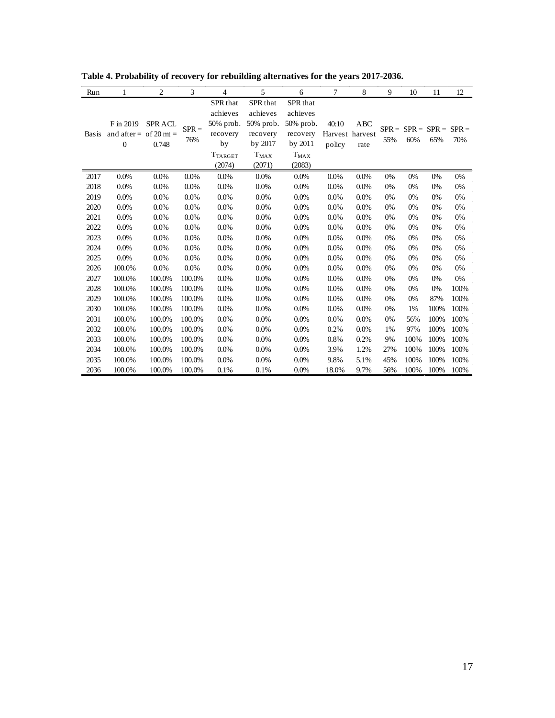| Run          |                                                       | $\overline{c}$         | 3              | 4                                                                                          | 5                                                                               | 6                                                                                                   | 7               | 8                                     | 9              | 10                         | 11   | 12   |
|--------------|-------------------------------------------------------|------------------------|----------------|--------------------------------------------------------------------------------------------|---------------------------------------------------------------------------------|-----------------------------------------------------------------------------------------------------|-----------------|---------------------------------------|----------------|----------------------------|------|------|
| <b>Basis</b> | F in 2019<br>and after = of 20 mt =<br>$\overline{0}$ | <b>SPRACL</b><br>0.748 | $SPR =$<br>76% | SPR <sub>that</sub><br>achieves<br>50% prob.<br>recovery<br>by<br><b>TTARGET</b><br>(2074) | SPR that<br>achieves<br>50% prob.<br>recovery<br>by 2017<br>$T_{MAX}$<br>(2071) | SPR <sub>that</sub><br>achieves<br>50% prob.<br>recovery<br>by 2011<br>$\mathrm{T_{MAX}}$<br>(2083) | 40:10<br>policy | <b>ABC</b><br>Harvest harvest<br>rate | $SPR =$<br>55% | $SPR = SPR = SPR =$<br>60% | 65%  | 70%  |
| 2017         | 0.0%                                                  | 0.0%                   | 0.0%           | 0.0%                                                                                       | 0.0%                                                                            | 0.0%                                                                                                | 0.0%            | 0.0%                                  | 0%             | 0%                         | 0%   | 0%   |
| 2018         | 0.0%                                                  | 0.0%                   | 0.0%           | 0.0%                                                                                       | 0.0%                                                                            | 0.0%                                                                                                | 0.0%            | 0.0%                                  | 0%             | 0%                         | 0%   | 0%   |
| 2019         | 0.0%                                                  | 0.0%                   | 0.0%           | 0.0%                                                                                       | 0.0%                                                                            | 0.0%                                                                                                | 0.0%            | 0.0%                                  | 0%             | 0%                         | 0%   | 0%   |
| 2020         | 0.0%                                                  | 0.0%                   | 0.0%           | 0.0%                                                                                       | 0.0%                                                                            | 0.0%                                                                                                | 0.0%            | 0.0%                                  | 0%             | 0%                         | 0%   | 0%   |
| 2021         | 0.0%                                                  | 0.0%                   | 0.0%           | 0.0%                                                                                       | 0.0%                                                                            | 0.0%                                                                                                | 0.0%            | 0.0%                                  | 0%             | 0%                         | 0%   | 0%   |
| 2022         | 0.0%                                                  | 0.0%                   | 0.0%           | 0.0%                                                                                       | 0.0%                                                                            | 0.0%                                                                                                | 0.0%            | 0.0%                                  | 0%             | 0%                         | 0%   | 0%   |
| 2023         | 0.0%                                                  | 0.0%                   | 0.0%           | 0.0%                                                                                       | 0.0%                                                                            | 0.0%                                                                                                | 0.0%            | 0.0%                                  | 0%             | 0%                         | 0%   | 0%   |
| 2024         | 0.0%                                                  | 0.0%                   | 0.0%           | 0.0%                                                                                       | 0.0%                                                                            | 0.0%                                                                                                | 0.0%            | 0.0%                                  | 0%             | 0%                         | 0%   | 0%   |
| 2025         | 0.0%                                                  | 0.0%                   | 0.0%           | 0.0%                                                                                       | 0.0%                                                                            | 0.0%                                                                                                | 0.0%            | 0.0%                                  | 0%             | 0%                         | 0%   | 0%   |
| 2026         | 100.0%                                                | 0.0%                   | 0.0%           | 0.0%                                                                                       | 0.0%                                                                            | 0.0%                                                                                                | 0.0%            | 0.0%                                  | 0%             | 0%                         | 0%   | 0%   |
| 2027         | 100.0%                                                | 100.0%                 | 100.0%         | 0.0%                                                                                       | 0.0%                                                                            | 0.0%                                                                                                | 0.0%            | 0.0%                                  | 0%             | 0%                         | 0%   | 0%   |
| 2028         | 100.0%                                                | 100.0%                 | 100.0%         | 0.0%                                                                                       | 0.0%                                                                            | 0.0%                                                                                                | 0.0%            | 0.0%                                  | 0%             | 0%                         | 0%   | 100% |
| 2029         | 100.0%                                                | 100.0%                 | 100.0%         | 0.0%                                                                                       | 0.0%                                                                            | 0.0%                                                                                                | 0.0%            | 0.0%                                  | 0%             | 0%                         | 87%  | 100% |
| 2030         | 100.0%                                                | 100.0%                 | 100.0%         | 0.0%                                                                                       | 0.0%                                                                            | 0.0%                                                                                                | 0.0%            | 0.0%                                  | 0%             | 1%                         | 100% | 100% |
| 2031         | 100.0%                                                | 100.0%                 | 100.0%         | 0.0%                                                                                       | 0.0%                                                                            | 0.0%                                                                                                | 0.0%            | 0.0%                                  | 0%             | 56%                        | 100% | 100% |
| 2032         | 100.0%                                                | 100.0%                 | 100.0%         | 0.0%                                                                                       | 0.0%                                                                            | 0.0%                                                                                                | 0.2%            | 0.0%                                  | 1%             | 97%                        | 100% | 100% |
| 2033         | 100.0%                                                | 100.0%                 | 100.0%         | 0.0%                                                                                       | 0.0%                                                                            | 0.0%                                                                                                | 0.8%            | 0.2%                                  | 9%             | 100%                       | 100% | 100% |
| 2034         | 100.0%                                                | 100.0%                 | 100.0%         | 0.0%                                                                                       | 0.0%                                                                            | 0.0%                                                                                                | 3.9%            | 1.2%                                  | 27%            | 100%                       | 100% | 100% |
| 2035         | 100.0%                                                | 100.0%                 | 100.0%         | 0.0%                                                                                       | 0.0%                                                                            | 0.0%                                                                                                | 9.8%            | 5.1%                                  | 45%            | 100%                       | 100% | 100% |
| 2036         | 100.0%                                                | 100.0%                 | 100.0%         | 0.1%                                                                                       | 0.1%                                                                            | 0.0%                                                                                                | 18.0%           | 9.7%                                  | 56%            | 100%                       | 100% | 100% |

<span id="page-16-0"></span>**Table 4. Probability of recovery for rebuilding alternatives for the years 2017-2036.**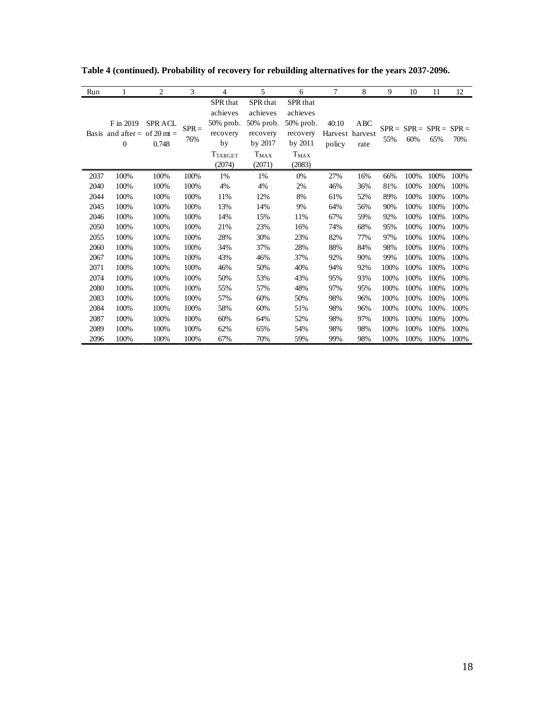| Run  | 1                                              | $\overline{c}$         | 3              | 4                                                                               | 5                                                                                          | 6                                                                               | 7               | 8                              | 9              | 10   | 11                         | 12   |
|------|------------------------------------------------|------------------------|----------------|---------------------------------------------------------------------------------|--------------------------------------------------------------------------------------------|---------------------------------------------------------------------------------|-----------------|--------------------------------|----------------|------|----------------------------|------|
|      | F in 2019<br>Basis and after = of 20 mt =<br>0 | <b>SPRACL</b><br>0.748 | $SPR =$<br>76% | SPR that<br>achieves<br>50% prob.<br>recovery<br>by<br><b>TTARGET</b><br>(2074) | SPR <sub>that</sub><br>achieves<br>50% prob.<br>recovery<br>by 2017<br>$T_{MAX}$<br>(2071) | SPR that<br>achieves<br>50% prob.<br>recovery<br>by 2011<br>$T_{MAX}$<br>(2083) | 40:10<br>policy | ABC<br>Harvest harvest<br>rate | $SPR =$<br>55% | 60%  | $SPR = SPR = SPR =$<br>65% | 70%  |
| 2037 | 100%                                           | 100%                   | 100%           | 1%                                                                              | 1%                                                                                         | 0%                                                                              | 27%             | 16%                            | 66%            | 100% | 100%                       | 100% |
| 2040 | 100%                                           | 100%                   | 100%           | 4%                                                                              | 4%                                                                                         | 2%                                                                              | 46%             | 36%                            | 81%            | 100% | 100%                       | 100% |
| 2044 | 100%                                           | 100%                   | 100%           | 11%                                                                             | 12%                                                                                        | 8%                                                                              | 61%             | 52%                            | 89%            | 100% | 100%                       | 100% |
| 2045 | 100%                                           | 100%                   | 100%           | 13%                                                                             | 14%                                                                                        | 9%                                                                              | 64%             | 56%                            | 90%            | 100% | 100%                       | 100% |
| 2046 | 100%                                           | 100%                   | 100%           | 14%                                                                             | 15%                                                                                        | 11%                                                                             | 67%             | 59%                            | 92%            | 100% | 100%                       | 100% |
| 2050 | 100%                                           | 100%                   | 100%           | 21%                                                                             | 23%                                                                                        | 16%                                                                             | 74%             | 68%                            | 95%            | 100% | 100%                       | 100% |
| 2055 | 100%                                           | 100%                   | 100%           | 28%                                                                             | 30%                                                                                        | 23%                                                                             | 82%             | 77%                            | 97%            | 100% | 100%                       | 100% |
| 2060 | 100%                                           | 100%                   | 100%           | 34%                                                                             | 37%                                                                                        | 28%                                                                             | 88%             | 84%                            | 98%            | 100% | 100%                       | 100% |
| 2067 | 100%                                           | 100%                   | 100%           | 43%                                                                             | 46%                                                                                        | 37%                                                                             | 92%             | 90%                            | 99%            | 100% | 100%                       | 100% |
| 2071 | 100%                                           | 100%                   | 100%           | 46%                                                                             | 50%                                                                                        | 40%                                                                             | 94%             | 92%                            | 100%           | 100% | 100%                       | 100% |
| 2074 | 100%                                           | 100%                   | 100%           | 50%                                                                             | 53%                                                                                        | 43%                                                                             | 95%             | 93%                            | 100%           | 100% | 100%                       | 100% |
| 2080 | 100%                                           | 100%                   | 100%           | 55%                                                                             | 57%                                                                                        | 48%                                                                             | 97%             | 95%                            | 100%           | 100% | 100%                       | 100% |
| 2083 | 100%                                           | 100%                   | 100%           | 57%                                                                             | 60%                                                                                        | 50%                                                                             | 98%             | 96%                            | 100%           | 100% | 100%                       | 100% |
| 2084 | 100%                                           | 100%                   | 100%           | 58%                                                                             | 60%                                                                                        | 51%                                                                             | 98%             | 96%                            | 100%           | 100% | 100%                       | 100% |
| 2087 | 100%                                           | 100%                   | 100%           | 60%                                                                             | 64%                                                                                        | 52%                                                                             | 98%             | 97%                            | 100%           | 100% | 100%                       | 100% |
| 2089 | 100%                                           | 100%                   | 100%           | 62%                                                                             | 65%                                                                                        | 54%                                                                             | 98%             | 98%                            | 100%           | 100% | 100%                       | 100% |
| 2096 | 100%                                           | 100%                   | 100%           | 67%                                                                             | 70%                                                                                        | 59%                                                                             | 99%             | 98%                            | 100%           | 100% | 100%                       | 100% |

**Table 4 (continued). Probability of recovery for rebuilding alternatives for the years 2037-2096.**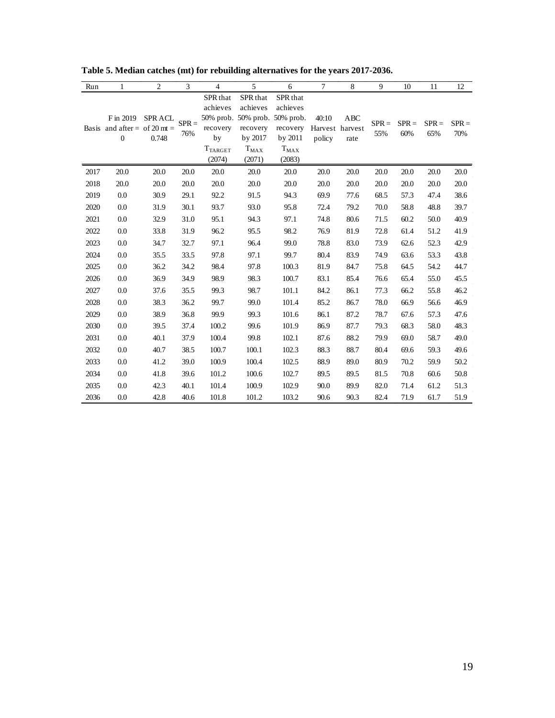| Run  | 1                                                             | 2                      | 3              | 4                                                                  | 5                                                                                                   | 6                                                                             | 7                                  | 8           | 9              | 10             | 11             | 12             |
|------|---------------------------------------------------------------|------------------------|----------------|--------------------------------------------------------------------|-----------------------------------------------------------------------------------------------------|-------------------------------------------------------------------------------|------------------------------------|-------------|----------------|----------------|----------------|----------------|
|      | F in 2019<br>Basis and after = of 20 mt =<br>$\boldsymbol{0}$ | <b>SPRACL</b><br>0.748 | $SPR =$<br>76% | SPR that<br>achieves<br>recovery<br>by<br><b>TTARGET</b><br>(2074) | SPR that<br>achieves<br>50% prob. 50% prob. 50% prob.<br>recovery<br>by 2017<br>$T_{MAX}$<br>(2071) | SPR <sub>that</sub><br>achieves<br>recovery<br>by 2011<br>$T_{MAX}$<br>(2083) | 40:10<br>Harvest harvest<br>policy | ABC<br>rate | $SPR =$<br>55% | $SPR =$<br>60% | $SPR =$<br>65% | $SPR =$<br>70% |
| 2017 | 20.0                                                          | 20.0                   | 20.0           | 20.0                                                               | 20.0                                                                                                | 20.0                                                                          | 20.0                               | 20.0        | 20.0           | 20.0           | 20.0           | 20.0           |
| 2018 | 20.0                                                          | 20.0                   | 20.0           | 20.0                                                               | 20.0                                                                                                | 20.0                                                                          | 20.0                               | 20.0        | 20.0           | 20.0           | 20.0           | 20.0           |
| 2019 | 0.0                                                           | 30.9                   | 29.1           | 92.2                                                               | 91.5                                                                                                | 94.3                                                                          | 69.9                               | 77.6        | 68.5           | 57.3           | 47.4           | 38.6           |
| 2020 | 0.0                                                           | 31.9                   | 30.1           | 93.7                                                               | 93.0                                                                                                | 95.8                                                                          | 72.4                               | 79.2        | 70.0           | 58.8           | 48.8           | 39.7           |
| 2021 | 0.0                                                           | 32.9                   | 31.0           | 95.1                                                               | 94.3                                                                                                | 97.1                                                                          | 74.8                               | 80.6        | 71.5           | 60.2           | 50.0           | 40.9           |
| 2022 | 0.0                                                           | 33.8                   | 31.9           | 96.2                                                               | 95.5                                                                                                | 98.2                                                                          | 76.9                               | 81.9        | 72.8           | 61.4           | 51.2           | 41.9           |
| 2023 | 0.0                                                           | 34.7                   | 32.7           | 97.1                                                               | 96.4                                                                                                | 99.0                                                                          | 78.8                               | 83.0        | 73.9           | 62.6           | 52.3           | 42.9           |
| 2024 | 0.0                                                           | 35.5                   | 33.5           | 97.8                                                               | 97.1                                                                                                | 99.7                                                                          | 80.4                               | 83.9        | 74.9           | 63.6           | 53.3           | 43.8           |
| 2025 | 0.0                                                           | 36.2                   | 34.2           | 98.4                                                               | 97.8                                                                                                | 100.3                                                                         | 81.9                               | 84.7        | 75.8           | 64.5           | 54.2           | 44.7           |
| 2026 | 0.0                                                           | 36.9                   | 34.9           | 98.9                                                               | 98.3                                                                                                | 100.7                                                                         | 83.1                               | 85.4        | 76.6           | 65.4           | 55.0           | 45.5           |
| 2027 | 0.0                                                           | 37.6                   | 35.5           | 99.3                                                               | 98.7                                                                                                | 101.1                                                                         | 84.2                               | 86.1        | 77.3           | 66.2           | 55.8           | 46.2           |
| 2028 | 0.0                                                           | 38.3                   | 36.2           | 99.7                                                               | 99.0                                                                                                | 101.4                                                                         | 85.2                               | 86.7        | 78.0           | 66.9           | 56.6           | 46.9           |
| 2029 | 0.0                                                           | 38.9                   | 36.8           | 99.9                                                               | 99.3                                                                                                | 101.6                                                                         | 86.1                               | 87.2        | 78.7           | 67.6           | 57.3           | 47.6           |
| 2030 | 0.0                                                           | 39.5                   | 37.4           | 100.2                                                              | 99.6                                                                                                | 101.9                                                                         | 86.9                               | 87.7        | 79.3           | 68.3           | 58.0           | 48.3           |
| 2031 | 0.0                                                           | 40.1                   | 37.9           | 100.4                                                              | 99.8                                                                                                | 102.1                                                                         | 87.6                               | 88.2        | 79.9           | 69.0           | 58.7           | 49.0           |
| 2032 | 0.0                                                           | 40.7                   | 38.5           | 100.7                                                              | 100.1                                                                                               | 102.3                                                                         | 88.3                               | 88.7        | 80.4           | 69.6           | 59.3           | 49.6           |
| 2033 | 0.0                                                           | 41.2                   | 39.0           | 100.9                                                              | 100.4                                                                                               | 102.5                                                                         | 88.9                               | 89.0        | 80.9           | 70.2           | 59.9           | 50.2           |
| 2034 | 0.0                                                           | 41.8                   | 39.6           | 101.2                                                              | 100.6                                                                                               | 102.7                                                                         | 89.5                               | 89.5        | 81.5           | 70.8           | 60.6           | 50.8           |
| 2035 | 0.0                                                           | 42.3                   | 40.1           | 101.4                                                              | 100.9                                                                                               | 102.9                                                                         | 90.0                               | 89.9        | 82.0           | 71.4           | 61.2           | 51.3           |
| 2036 | 0.0                                                           | 42.8                   | 40.6           | 101.8                                                              | 101.2                                                                                               | 103.2                                                                         | 90.6                               | 90.3        | 82.4           | 71.9           | 61.7           | 51.9           |

**Table 5. Median catches (mt) for rebuilding alternatives for the years 2017-2036.**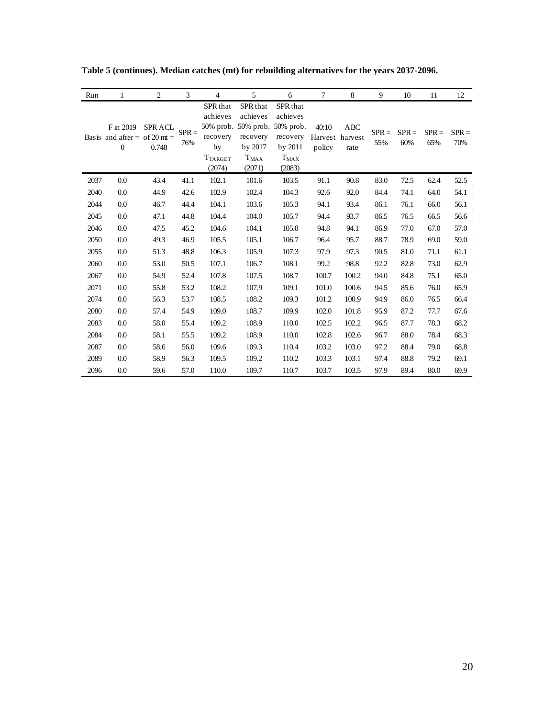| Run  | 1                                                         | $\overline{c}$         | 3              | 4                                                                             | 5                                                                                                   | 6                                                                             | 7                                  | 8           | 9              | 10             | 11             | 12             |
|------|-----------------------------------------------------------|------------------------|----------------|-------------------------------------------------------------------------------|-----------------------------------------------------------------------------------------------------|-------------------------------------------------------------------------------|------------------------------------|-------------|----------------|----------------|----------------|----------------|
|      | F in 2019<br>Basis and after = of 20 mt =<br>$\mathbf{0}$ | <b>SPRACL</b><br>0.748 | $SPR =$<br>76% | SPR <sub>that</sub><br>achieves<br>recovery<br>by<br><b>TTARGET</b><br>(2074) | SPR that<br>achieves<br>50% prob. 50% prob. 50% prob.<br>recovery<br>by 2017<br>$T_{MAX}$<br>(2071) | SPR <sub>that</sub><br>achieves<br>recovery<br>by 2011<br>$T_{MAX}$<br>(2083) | 40:10<br>Harvest harvest<br>policy | ABC<br>rate | $SPR =$<br>55% | $SPR =$<br>60% | $SPR =$<br>65% | $SPR =$<br>70% |
| 2037 | 0.0                                                       | 43.4                   | 41.1           | 102.1                                                                         | 101.6                                                                                               | 103.5                                                                         | 91.1                               | 90.8        | 83.0           | 72.5           | 62.4           | 52.5           |
| 2040 | 0.0                                                       | 44.9                   | 42.6           | 102.9                                                                         | 102.4                                                                                               | 104.3                                                                         | 92.6                               | 92.0        | 84.4           | 74.1           | 64.0           | 54.1           |
| 2044 | 0.0                                                       | 46.7                   | 44.4           | 104.1                                                                         | 103.6                                                                                               | 105.3                                                                         | 94.1                               | 93.4        | 86.1           | 76.1           | 66.0           | 56.1           |
| 2045 | 0.0                                                       | 47.1                   | 44.8           | 104.4                                                                         | 104.0                                                                                               | 105.7                                                                         | 94.4                               | 93.7        | 86.5           | 76.5           | 66.5           | 56.6           |
| 2046 | 0.0                                                       | 47.5                   | 45.2           | 104.6                                                                         | 104.1                                                                                               | 105.8                                                                         | 94.8                               | 94.1        | 86.9           | 77.0           | 67.0           | 57.0           |
| 2050 | 0.0                                                       | 49.3                   | 46.9           | 105.5                                                                         | 105.1                                                                                               | 106.7                                                                         | 96.4                               | 95.7        | 88.7           | 78.9           | 69.0           | 59.0           |
| 2055 | 0.0                                                       | 51.3                   | 48.8           | 106.3                                                                         | 105.9                                                                                               | 107.3                                                                         | 97.9                               | 97.3        | 90.5           | 81.0           | 71.1           | 61.1           |
| 2060 | 0.0                                                       | 53.0                   | 50.5           | 107.1                                                                         | 106.7                                                                                               | 108.1                                                                         | 99.2                               | 98.8        | 92.2           | 82.8           | 73.0           | 62.9           |
| 2067 | 0.0                                                       | 54.9                   | 52.4           | 107.8                                                                         | 107.5                                                                                               | 108.7                                                                         | 100.7                              | 100.2       | 94.0           | 84.8           | 75.1           | 65.0           |
| 2071 | 0.0                                                       | 55.8                   | 53.2           | 108.2                                                                         | 107.9                                                                                               | 109.1                                                                         | 101.0                              | 100.6       | 94.5           | 85.6           | 76.0           | 65.9           |
| 2074 | 0.0                                                       | 56.3                   | 53.7           | 108.5                                                                         | 108.2                                                                                               | 109.3                                                                         | 101.2                              | 100.9       | 94.9           | 86.0           | 76.5           | 66.4           |
| 2080 | 0.0                                                       | 57.4                   | 54.9           | 109.0                                                                         | 108.7                                                                                               | 109.9                                                                         | 102.0                              | 101.8       | 95.9           | 87.2           | 77.7           | 67.6           |
| 2083 | 0.0                                                       | 58.0                   | 55.4           | 109.2                                                                         | 108.9                                                                                               | 110.0                                                                         | 102.5                              | 102.2       | 96.5           | 87.7           | 78.3           | 68.2           |
| 2084 | 0.0                                                       | 58.1                   | 55.5           | 109.2                                                                         | 108.9                                                                                               | 110.0                                                                         | 102.8                              | 102.6       | 96.7           | 88.0           | 78.4           | 68.3           |
| 2087 | 0.0                                                       | 58.6                   | 56.0           | 109.6                                                                         | 109.3                                                                                               | 110.4                                                                         | 103.2                              | 103.0       | 97.2           | 88.4           | 79.0           | 68.8           |
| 2089 | 0.0                                                       | 58.9                   | 56.3           | 109.5                                                                         | 109.2                                                                                               | 110.2                                                                         | 103.3                              | 103.1       | 97.4           | 88.8           | 79.2           | 69.1           |
| 2096 | 0.0                                                       | 59.6                   | 57.0           | 110.0                                                                         | 109.7                                                                                               | 110.7                                                                         | 103.7                              | 103.5       | 97.9           | 89.4           | 80.0           | 69.9           |

**Table 5 (continues). Median catches (mt) for rebuilding alternatives for the years 2037-2096.**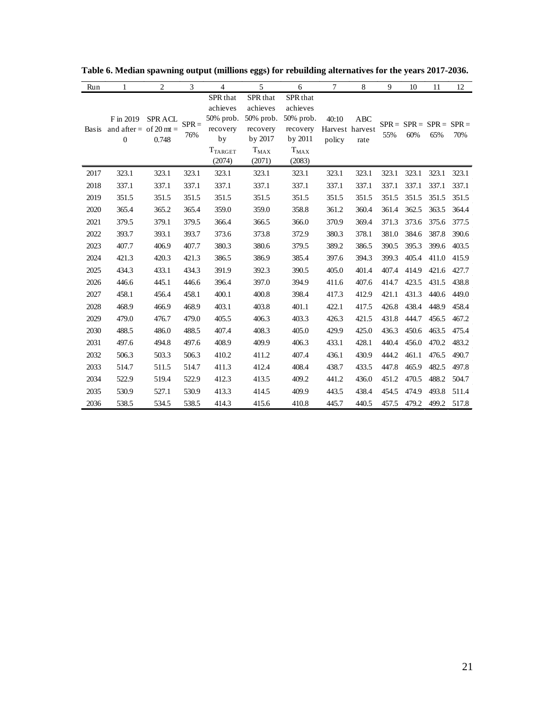| Run          | 1                                                       | 2                      | 3              | 4                                                                                   | 5                                                                                      | 6                                                                                   | 7               | 8                              | 9     | 10                               | 11    | 12    |
|--------------|---------------------------------------------------------|------------------------|----------------|-------------------------------------------------------------------------------------|----------------------------------------------------------------------------------------|-------------------------------------------------------------------------------------|-----------------|--------------------------------|-------|----------------------------------|-------|-------|
| <b>Basis</b> | F in 2019<br>and after = of 20 mt =<br>$\boldsymbol{0}$ | <b>SPRACL</b><br>0.748 | $SPR =$<br>76% | SPR that<br>achieves<br>$50\%$ prob.<br>recovery<br>by<br><b>T</b> TARGET<br>(2074) | SPR that<br>achieves<br>$50\%$ prob.<br>recovery<br>by 2017<br>$T_{\rm MAX}$<br>(2071) | SPR that<br>achieves<br>50% prob.<br>recovery<br>by 2011<br>$T_{\rm MAX}$<br>(2083) | 40:10<br>policy | ABC<br>Harvest harvest<br>rate | 55%   | $SPR = SPR = SPR = SPR =$<br>60% | 65%   | 70%   |
| 2017         | 323.1                                                   | 323.1                  | 323.1          | 323.1                                                                               | 323.1                                                                                  | 323.1                                                                               | 323.1           | 323.1                          | 323.1 | 323.1                            | 323.1 | 323.1 |
| 2018         | 337.1                                                   | 337.1                  | 337.1          | 337.1                                                                               | 337.1                                                                                  | 337.1                                                                               | 337.1           | 337.1                          | 337.1 | 337.1                            | 337.1 | 337.1 |
| 2019         | 351.5                                                   | 351.5                  | 351.5          | 351.5                                                                               | 351.5                                                                                  | 351.5                                                                               | 351.5           | 351.5                          | 351.5 | 351.5                            | 351.5 | 351.5 |
| 2020         | 365.4                                                   | 365.2                  | 365.4          | 359.0                                                                               | 359.0                                                                                  | 358.8                                                                               | 361.2           | 360.4                          | 361.4 | 362.5                            | 363.5 | 364.4 |
| 2021         | 379.5                                                   | 379.1                  | 379.5          | 366.4                                                                               | 366.5                                                                                  | 366.0                                                                               | 370.9           | 369.4                          | 371.3 | 373.6                            | 375.6 | 377.5 |
| 2022         | 393.7                                                   | 393.1                  | 393.7          | 373.6                                                                               | 373.8                                                                                  | 372.9                                                                               | 380.3           | 378.1                          | 381.0 | 384.6                            | 387.8 | 390.6 |
| 2023         | 407.7                                                   | 406.9                  | 407.7          | 380.3                                                                               | 380.6                                                                                  | 379.5                                                                               | 389.2           | 386.5                          | 390.5 | 395.3                            | 399.6 | 403.5 |
| 2024         | 421.3                                                   | 420.3                  | 421.3          | 386.5                                                                               | 386.9                                                                                  | 385.4                                                                               | 397.6           | 394.3                          | 399.3 | 405.4                            | 411.0 | 415.9 |
| 2025         | 434.3                                                   | 433.1                  | 434.3          | 391.9                                                                               | 392.3                                                                                  | 390.5                                                                               | 405.0           | 401.4                          | 407.4 | 414.9                            | 421.6 | 427.7 |
| 2026         | 446.6                                                   | 445.1                  | 446.6          | 396.4                                                                               | 397.0                                                                                  | 394.9                                                                               | 411.6           | 407.6                          | 414.7 | 423.5                            | 431.5 | 438.8 |
| 2027         | 458.1                                                   | 456.4                  | 458.1          | 400.1                                                                               | 400.8                                                                                  | 398.4                                                                               | 417.3           | 412.9                          | 421.1 | 431.3                            | 440.6 | 449.0 |
| 2028         | 468.9                                                   | 466.9                  | 468.9          | 403.1                                                                               | 403.8                                                                                  | 401.1                                                                               | 422.1           | 417.5                          | 426.8 | 438.4                            | 448.9 | 458.4 |
| 2029         | 479.0                                                   | 476.7                  | 479.0          | 405.5                                                                               | 406.3                                                                                  | 403.3                                                                               | 426.3           | 421.5                          | 431.8 | 444.7                            | 456.5 | 467.2 |
| 2030         | 488.5                                                   | 486.0                  | 488.5          | 407.4                                                                               | 408.3                                                                                  | 405.0                                                                               | 429.9           | 425.0                          | 436.3 | 450.6                            | 463.5 | 475.4 |
| 2031         | 497.6                                                   | 494.8                  | 497.6          | 408.9                                                                               | 409.9                                                                                  | 406.3                                                                               | 433.1           | 428.1                          | 440.4 | 456.0                            | 470.2 | 483.2 |
| 2032         | 506.3                                                   | 503.3                  | 506.3          | 410.2                                                                               | 411.2                                                                                  | 407.4                                                                               | 436.1           | 430.9                          | 444.2 | 461.1                            | 476.5 | 490.7 |
| 2033         | 514.7                                                   | 511.5                  | 514.7          | 411.3                                                                               | 412.4                                                                                  | 408.4                                                                               | 438.7           | 433.5                          | 447.8 | 465.9                            | 482.5 | 497.8 |
| 2034         | 522.9                                                   | 519.4                  | 522.9          | 412.3                                                                               | 413.5                                                                                  | 409.2                                                                               | 441.2           | 436.0                          | 451.2 | 470.5                            | 488.2 | 504.7 |
| 2035         | 530.9                                                   | 527.1                  | 530.9          | 413.3                                                                               | 414.5                                                                                  | 409.9                                                                               | 443.5           | 438.4                          | 454.5 | 474.9                            | 493.8 | 511.4 |
| 2036         | 538.5                                                   | 534.5                  | 538.5          | 414.3                                                                               | 415.6                                                                                  | 410.8                                                                               | 445.7           | 440.5                          | 457.5 | 479.2                            | 499.2 | 517.8 |

**Table 6. Median spawning output (millions eggs) for rebuilding alternatives for the years 2017-2036.**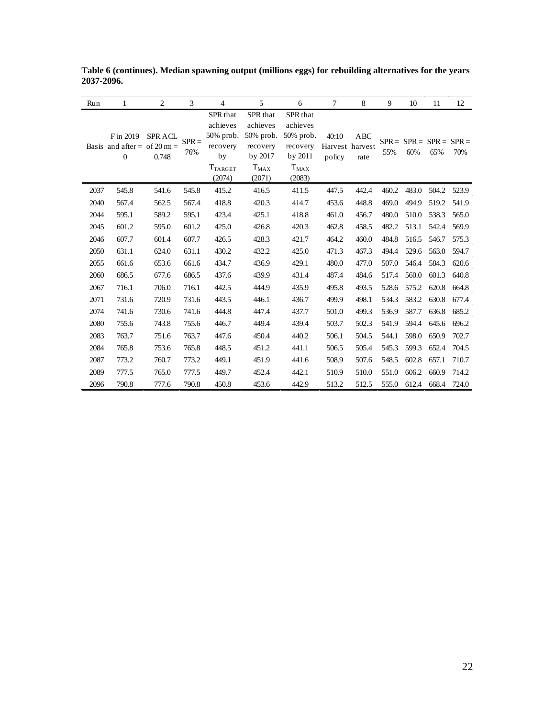| Run  | 1                                                             | $\overline{2}$         | 3              | $\overline{4}$                                                                  | 5                                                                               | 6                                                                                          | 7               | 8                              | 9     | 10                               | 11    | 12    |
|------|---------------------------------------------------------------|------------------------|----------------|---------------------------------------------------------------------------------|---------------------------------------------------------------------------------|--------------------------------------------------------------------------------------------|-----------------|--------------------------------|-------|----------------------------------|-------|-------|
|      | F in 2019<br>Basis and after = of 20 mt =<br>$\boldsymbol{0}$ | <b>SPRACL</b><br>0.748 | $SPR =$<br>76% | SPR that<br>achieves<br>50% prob.<br>recovery<br>by<br><b>TTARGET</b><br>(2074) | SPR that<br>achieves<br>50% prob.<br>recovery<br>by 2017<br>$T_{MAX}$<br>(2071) | SPR <sub>that</sub><br>achieves<br>50% prob.<br>recovery<br>by 2011<br>$T_{MAX}$<br>(2083) | 40:10<br>policy | ABC<br>Harvest harvest<br>rate | 55%   | $SPR = SPR = SPR = SPR =$<br>60% | 65%   | 70%   |
| 2037 | 545.8                                                         | 541.6                  | 545.8          | 415.2                                                                           | 416.5                                                                           | 411.5                                                                                      | 447.5           | 442.4                          | 460.2 | 483.0                            | 504.2 | 523.9 |
| 2040 | 567.4                                                         | 562.5                  | 567.4          | 418.8                                                                           | 420.3                                                                           | 414.7                                                                                      | 453.6           | 448.8                          | 469.0 | 494.9                            | 519.2 | 541.9 |
| 2044 | 595.1                                                         | 589.2                  | 595.1          | 423.4                                                                           | 425.1                                                                           | 418.8                                                                                      | 461.0           | 456.7                          | 480.0 | 510.0                            | 538.3 | 565.0 |
| 2045 | 601.2                                                         | 595.0                  | 601.2          | 425.0                                                                           | 426.8                                                                           | 420.3                                                                                      | 462.8           | 458.5                          | 482.2 | 513.1                            | 542.4 | 569.9 |
| 2046 | 607.7                                                         | 601.4                  | 607.7          | 426.5                                                                           | 428.3                                                                           | 421.7                                                                                      | 464.2           | 460.0                          | 484.8 | 516.5                            | 546.7 | 575.3 |
| 2050 | 631.1                                                         | 624.0                  | 631.1          | 430.2                                                                           | 432.2                                                                           | 425.0                                                                                      | 471.3           | 467.3                          | 494.4 | 529.6                            | 563.0 | 594.7 |
| 2055 | 661.6                                                         | 653.6                  | 661.6          | 434.7                                                                           | 436.9                                                                           | 429.1                                                                                      | 480.0           | 477.0                          | 507.0 | 546.4                            | 584.3 | 620.6 |
| 2060 | 686.5                                                         | 677.6                  | 686.5          | 437.6                                                                           | 439.9                                                                           | 431.4                                                                                      | 487.4           | 484.6                          | 517.4 | 560.0                            | 601.3 | 640.8 |
| 2067 | 716.1                                                         | 706.0                  | 716.1          | 442.5                                                                           | 444.9                                                                           | 435.9                                                                                      | 495.8           | 493.5                          | 528.6 | 575.2                            | 620.8 | 664.8 |
| 2071 | 731.6                                                         | 720.9                  | 731.6          | 443.5                                                                           | 446.1                                                                           | 436.7                                                                                      | 499.9           | 498.1                          | 534.3 | 583.2                            | 630.8 | 677.4 |
| 2074 | 741.6                                                         | 730.6                  | 741.6          | 444.8                                                                           | 447.4                                                                           | 437.7                                                                                      | 501.0           | 499.3                          | 536.9 | 587.7                            | 636.8 | 685.2 |
| 2080 | 755.6                                                         | 743.8                  | 755.6          | 446.7                                                                           | 449.4                                                                           | 439.4                                                                                      | 503.7           | 502.3                          | 541.9 | 594.4                            | 645.6 | 696.2 |
| 2083 | 763.7                                                         | 751.6                  | 763.7          | 447.6                                                                           | 450.4                                                                           | 440.2                                                                                      | 506.1           | 504.5                          | 544.1 | 598.0                            | 650.9 | 702.7 |
| 2084 | 765.8                                                         | 753.6                  | 765.8          | 448.5                                                                           | 451.2                                                                           | 441.1                                                                                      | 506.5           | 505.4                          | 545.3 | 599.3                            | 652.4 | 704.5 |
| 2087 | 773.2                                                         | 760.7                  | 773.2          | 449.1                                                                           | 451.9                                                                           | 441.6                                                                                      | 508.9           | 507.6                          | 548.5 | 602.8                            | 657.1 | 710.7 |
| 2089 | 777.5                                                         | 765.0                  | 777.5          | 449.7                                                                           | 452.4                                                                           | 442.1                                                                                      | 510.9           | 510.0                          | 551.0 | 606.2                            | 660.9 | 714.2 |
| 2096 | 790.8                                                         | 777.6                  | 790.8          | 450.8                                                                           | 453.6                                                                           | 442.9                                                                                      | 513.2           | 512.5                          | 555.0 | 612.4                            | 668.4 | 724.0 |

**Table 6 (continues). Median spawning output (millions eggs) for rebuilding alternatives for the years 2037-2096.**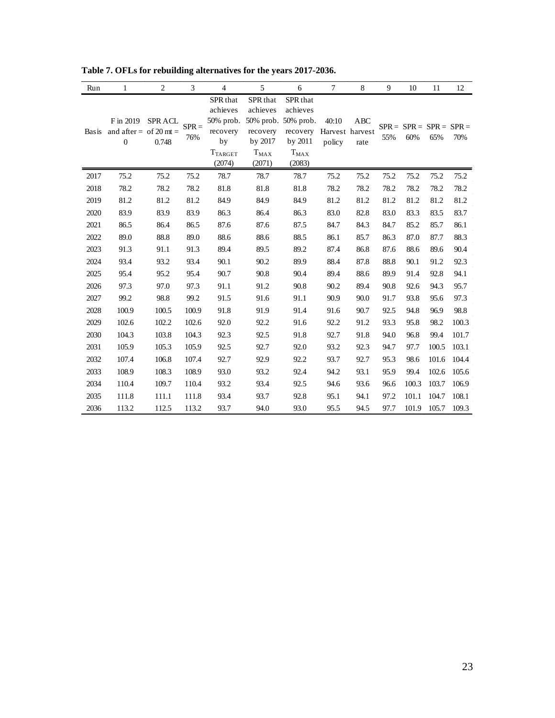| Run          | 1                                                       | $\mathfrak{2}$          | 3              | 4                                                                                 | 5                                                                                         | 6                                                                  | $\tau$                             | 8           | 9    | 10                               | 11    | 12    |
|--------------|---------------------------------------------------------|-------------------------|----------------|-----------------------------------------------------------------------------------|-------------------------------------------------------------------------------------------|--------------------------------------------------------------------|------------------------------------|-------------|------|----------------------------------|-------|-------|
| <b>Basis</b> | F in 2019<br>and after = of 20 mt =<br>$\boldsymbol{0}$ | <b>SPR ACL</b><br>0.748 | $SPR =$<br>76% | SPR that<br>achieves<br>50% prob.<br>recovery<br>by<br>$T_{\rm TARGET}$<br>(2074) | SPR that<br>achieves<br>50% prob. 50% prob.<br>recovery<br>by 2017<br>$T_{MAX}$<br>(2071) | SPR that<br>achieves<br>recovery<br>by 2011<br>$T_{MAX}$<br>(2083) | 40:10<br>Harvest harvest<br>policy | ABC<br>rate | 55%  | $SPR = SPR = SPR = SPR =$<br>60% | 65%   | 70%   |
| 2017         | 75.2                                                    | 75.2                    | 75.2           | 78.7                                                                              | 78.7                                                                                      | 78.7                                                               | 75.2                               | 75.2        | 75.2 | 75.2                             | 75.2  | 75.2  |
| 2018         | 78.2                                                    | 78.2                    | 78.2           | 81.8                                                                              | 81.8                                                                                      | 81.8                                                               | 78.2                               | 78.2        | 78.2 | 78.2                             | 78.2  | 78.2  |
| 2019         | 81.2                                                    | 81.2                    | 81.2           | 84.9                                                                              | 84.9                                                                                      | 84.9                                                               | 81.2                               | 81.2        | 81.2 | 81.2                             | 81.2  | 81.2  |
| 2020         | 83.9                                                    | 83.9                    | 83.9           | 86.3                                                                              | 86.4                                                                                      | 86.3                                                               | 83.0                               | 82.8        | 83.0 | 83.3                             | 83.5  | 83.7  |
| 2021         | 86.5                                                    | 86.4                    | 86.5           | 87.6                                                                              | 87.6                                                                                      | 87.5                                                               | 84.7                               | 84.3        | 84.7 | 85.2                             | 85.7  | 86.1  |
| 2022         | 89.0                                                    | 88.8                    | 89.0           | 88.6                                                                              | 88.6                                                                                      | 88.5                                                               | 86.1                               | 85.7        | 86.3 | 87.0                             | 87.7  | 88.3  |
| 2023         | 91.3                                                    | 91.1                    | 91.3           | 89.4                                                                              | 89.5                                                                                      | 89.2                                                               | 87.4                               | 86.8        | 87.6 | 88.6                             | 89.6  | 90.4  |
| 2024         | 93.4                                                    | 93.2                    | 93.4           | 90.1                                                                              | 90.2                                                                                      | 89.9                                                               | 88.4                               | 87.8        | 88.8 | 90.1                             | 91.2  | 92.3  |
| 2025         | 95.4                                                    | 95.2                    | 95.4           | 90.7                                                                              | 90.8                                                                                      | 90.4                                                               | 89.4                               | 88.6        | 89.9 | 91.4                             | 92.8  | 94.1  |
| 2026         | 97.3                                                    | 97.0                    | 97.3           | 91.1                                                                              | 91.2                                                                                      | 90.8                                                               | 90.2                               | 89.4        | 90.8 | 92.6                             | 94.3  | 95.7  |
| 2027         | 99.2                                                    | 98.8                    | 99.2           | 91.5                                                                              | 91.6                                                                                      | 91.1                                                               | 90.9                               | 90.0        | 91.7 | 93.8                             | 95.6  | 97.3  |
| 2028         | 100.9                                                   | 100.5                   | 100.9          | 91.8                                                                              | 91.9                                                                                      | 91.4                                                               | 91.6                               | 90.7        | 92.5 | 94.8                             | 96.9  | 98.8  |
| 2029         | 102.6                                                   | 102.2                   | 102.6          | 92.0                                                                              | 92.2                                                                                      | 91.6                                                               | 92.2                               | 91.2        | 93.3 | 95.8                             | 98.2  | 100.3 |
| 2030         | 104.3                                                   | 103.8                   | 104.3          | 92.3                                                                              | 92.5                                                                                      | 91.8                                                               | 92.7                               | 91.8        | 94.0 | 96.8                             | 99.4  | 101.7 |
| 2031         | 105.9                                                   | 105.3                   | 105.9          | 92.5                                                                              | 92.7                                                                                      | 92.0                                                               | 93.2                               | 92.3        | 94.7 | 97.7                             | 100.5 | 103.1 |
| 2032         | 107.4                                                   | 106.8                   | 107.4          | 92.7                                                                              | 92.9                                                                                      | 92.2                                                               | 93.7                               | 92.7        | 95.3 | 98.6                             | 101.6 | 104.4 |
| 2033         | 108.9                                                   | 108.3                   | 108.9          | 93.0                                                                              | 93.2                                                                                      | 92.4                                                               | 94.2                               | 93.1        | 95.9 | 99.4                             | 102.6 | 105.6 |
| 2034         | 110.4                                                   | 109.7                   | 110.4          | 93.2                                                                              | 93.4                                                                                      | 92.5                                                               | 94.6                               | 93.6        | 96.6 | 100.3                            | 103.7 | 106.9 |
| 2035         | 111.8                                                   | 111.1                   | 111.8          | 93.4                                                                              | 93.7                                                                                      | 92.8                                                               | 95.1                               | 94.1        | 97.2 | 101.1                            | 104.7 | 108.1 |
| 2036         | 113.2                                                   | 112.5                   | 113.2          | 93.7                                                                              | 94.0                                                                                      | 93.0                                                               | 95.5                               | 94.5        | 97.7 | 101.9                            | 105.7 | 109.3 |

<span id="page-22-0"></span>**Table 7. OFLs for rebuilding alternatives for the years 2017-2036.**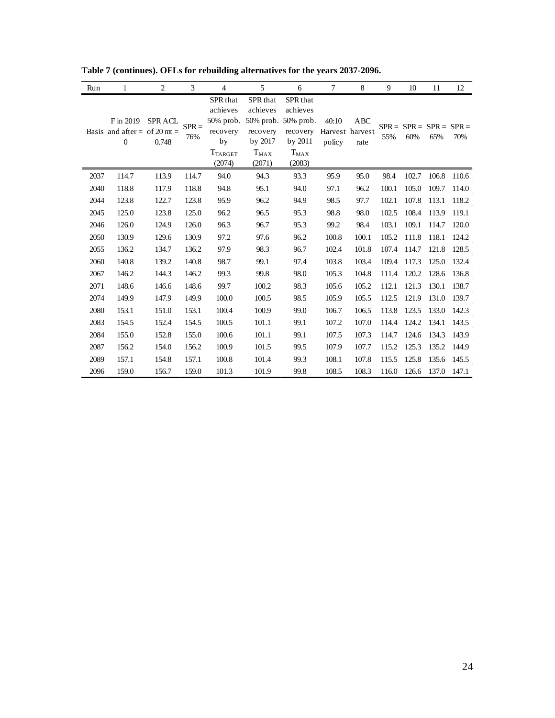| Run  | 1                                              | $\overline{2}$          | 3              | $\overline{4}$                                                                     | 5                                                                  | 6                                                                                           | $\tau$          | 8                              | 9     | 10                               | 11    | 12    |
|------|------------------------------------------------|-------------------------|----------------|------------------------------------------------------------------------------------|--------------------------------------------------------------------|---------------------------------------------------------------------------------------------|-----------------|--------------------------------|-------|----------------------------------|-------|-------|
|      | F in 2019<br>Basis and after = of 20 mt =<br>0 | <b>SPR ACL</b><br>0.748 | $SPR =$<br>76% | SPR that<br>achieves<br>$50\%$ prob.<br>recovery<br>by<br><b>TTARGET</b><br>(2074) | SPR that<br>achieves<br>recovery<br>by 2017<br>$T_{MAX}$<br>(2071) | SPR that<br>achieves<br>50% prob. 50% prob.<br>recovery<br>by $2011$<br>$T_{MAX}$<br>(2083) | 40:10<br>policy | ABC<br>Harvest harvest<br>rate | 55%   | $SPR = SPR = SPR = SPR =$<br>60% | 65%   | 70%   |
| 2037 | 114.7                                          | 113.9                   | 114.7          | 94.0                                                                               | 94.3                                                               | 93.3                                                                                        | 95.9            | 95.0                           | 98.4  | 102.7                            | 106.8 | 110.6 |
| 2040 | 118.8                                          | 117.9                   | 118.8          | 94.8                                                                               | 95.1                                                               | 94.0                                                                                        | 97.1            | 96.2                           | 100.1 | 105.0                            | 109.7 | 114.0 |
| 2044 | 123.8                                          | 122.7                   | 123.8          | 95.9                                                                               | 96.2                                                               | 94.9                                                                                        | 98.5            | 97.7                           | 102.1 | 107.8                            | 113.1 | 118.2 |
| 2045 | 125.0                                          | 123.8                   | 125.0          | 96.2                                                                               | 96.5                                                               | 95.3                                                                                        | 98.8            | 98.0                           | 102.5 | 108.4                            | 113.9 | 119.1 |
| 2046 | 126.0                                          | 124.9                   | 126.0          | 96.3                                                                               | 96.7                                                               | 95.3                                                                                        | 99.2            | 98.4                           | 103.1 | 109.1                            | 114.7 | 120.0 |
| 2050 | 130.9                                          | 129.6                   | 130.9          | 97.2                                                                               | 97.6                                                               | 96.2                                                                                        | 100.8           | 100.1                          | 105.2 | 111.8                            | 118.1 | 124.2 |
| 2055 | 136.2                                          | 134.7                   | 136.2          | 97.9                                                                               | 98.3                                                               | 96.7                                                                                        | 102.4           | 101.8                          | 107.4 | 114.7                            | 121.8 | 128.5 |
| 2060 | 140.8                                          | 139.2                   | 140.8          | 98.7                                                                               | 99.1                                                               | 97.4                                                                                        | 103.8           | 103.4                          | 109.4 | 117.3                            | 125.0 | 132.4 |
| 2067 | 146.2                                          | 144.3                   | 146.2          | 99.3                                                                               | 99.8                                                               | 98.0                                                                                        | 105.3           | 104.8                          | 111.4 | 120.2                            | 128.6 | 136.8 |
| 2071 | 148.6                                          | 146.6                   | 148.6          | 99.7                                                                               | 100.2                                                              | 98.3                                                                                        | 105.6           | 105.2                          | 112.1 | 121.3                            | 130.1 | 138.7 |
| 2074 | 149.9                                          | 147.9                   | 149.9          | 100.0                                                                              | 100.5                                                              | 98.5                                                                                        | 105.9           | 105.5                          | 112.5 | 121.9                            | 131.0 | 139.7 |
| 2080 | 153.1                                          | 151.0                   | 153.1          | 100.4                                                                              | 100.9                                                              | 99.0                                                                                        | 106.7           | 106.5                          | 113.8 | 123.5                            | 133.0 | 142.3 |
| 2083 | 154.5                                          | 152.4                   | 154.5          | 100.5                                                                              | 101.1                                                              | 99.1                                                                                        | 107.2           | 107.0                          | 114.4 | 124.2                            | 134.1 | 143.5 |
| 2084 | 155.0                                          | 152.8                   | 155.0          | 100.6                                                                              | 101.1                                                              | 99.1                                                                                        | 107.5           | 107.3                          | 114.7 | 124.6                            | 134.3 | 143.9 |
| 2087 | 156.2                                          | 154.0                   | 156.2          | 100.9                                                                              | 101.5                                                              | 99.5                                                                                        | 107.9           | 107.7                          | 115.2 | 125.3                            | 135.2 | 144.9 |
| 2089 | 157.1                                          | 154.8                   | 157.1          | 100.8                                                                              | 101.4                                                              | 99.3                                                                                        | 108.1           | 107.8                          | 115.5 | 125.8                            | 135.6 | 145.5 |
| 2096 | 159.0                                          | 156.7                   | 159.0          | 101.3                                                                              | 101.9                                                              | 99.8                                                                                        | 108.5           | 108.3                          | 116.0 | 126.6                            | 137.0 | 147.1 |

**Table 7 (continues). OFLs for rebuilding alternatives for the years 2037-2096.**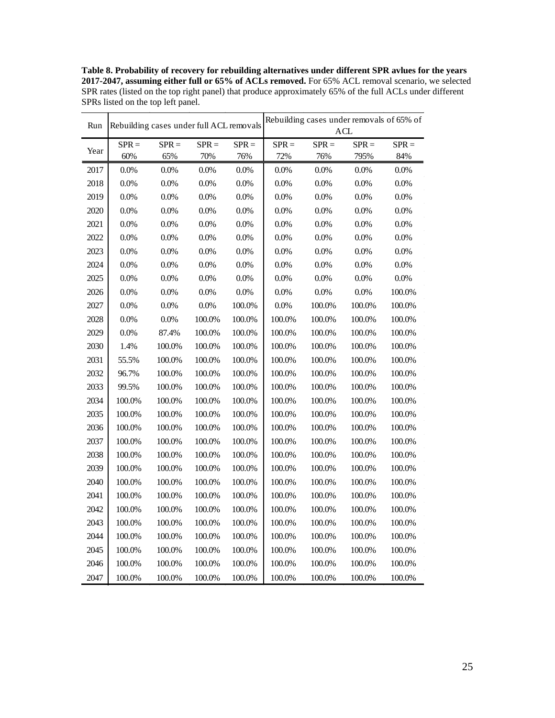**Table 8. Probability of recovery for rebuilding alternatives under different SPR avlues for the years 2017-2047, assuming either full or 65% of ACLs removed.** For 65% ACL removal scenario, we selected SPR rates (listed on the top right panel) that produce approximately 65% of the full ACLs under different SPRs listed on the top left panel.

| Rebuilding cases under full ACL removals<br>ACL<br>$SPR =$<br>$SPR =$<br>$SPR =$<br>$SPR =$<br>$SPR =$<br>$SPR =$<br>$SPR =$<br>$SPR =$<br>Year<br>70%<br>72%<br>795%<br>84%<br>60%<br>65%<br>76%<br>76%<br>2017<br>0.0%<br>0.0%<br>0.0%<br>0.0%<br>0.0%<br>0.0%<br>0.0%<br>0.0%<br>2018<br>$0.0\%$<br>0.0%<br>$0.0\%$<br>$0.0\%$<br>$0.0\%$<br>0.0%<br>$0.0\%$<br>0.0%<br>2019<br>0.0%<br>0.0%<br>$0.0\%$<br>0.0%<br>0.0%<br>0.0%<br>0.0%<br>$0.0\%$<br>2020<br>$0.0\%$<br>0.0%<br>$0.0\%$<br>$0.0\%$<br>$0.0\%$<br>0.0%<br>0.0%<br>0.0%<br>2021<br>0.0%<br>0.0%<br>$0.0\%$<br>0.0%<br>$0.0\%$<br>$0.0\%$<br>$0.0\%$<br>$0.0\%$<br>2022<br>0.0%<br>0.0%<br>$0.0\%$<br>$0.0\%$<br>0.0%<br>0.0%<br>$0.0\%$<br>0.0%<br>2023<br>$0.0\%$<br>0.0%<br>0.0%<br>$0.0\%$<br>$0.0\%$<br>0.0%<br>0.0%<br>$0.0\%$<br>2024<br>$0.0\%$<br>$0.0\%$<br>$0.0\%$<br>$0.0\%$<br>0.0%<br>0.0%<br>$0.0\%$<br>$0.0\%$<br>2025<br>$0.0\%$<br>0.0%<br>0.0%<br>$0.0\%$<br>0.0%<br>0.0%<br>$0.0\%$<br>$0.0\%$<br>2026<br>$0.0\%$<br>0.0%<br>$0.0\%$<br>$0.0\%$<br>$0.0\%$<br>0.0%<br>0.0%<br>100.0%<br>2027<br>0.0%<br>0.0%<br>0.0%<br>100.0%<br>0.0%<br>100.0%<br>100.0%<br>100.0%<br>2028<br>$0.0\%$<br>0.0%<br>100.0%<br>100.0%<br>100.0%<br>100.0%<br>100.0%<br>100.0%<br>2029<br>$0.0\%$<br>87.4%<br>100.0%<br>100.0%<br>100.0%<br>100.0%<br>100.0%<br>100.0%<br>2030<br>1.4%<br>100.0%<br>100.0%<br>100.0%<br>100.0%<br>100.0%<br>100.0%<br>100.0%<br>2031<br>100.0%<br>100.0%<br>100.0%<br>55.5%<br>100.0%<br>100.0%<br>100.0%<br>100.0%<br>2032<br>96.7%<br>100.0%<br>100.0%<br>100.0%<br>100.0%<br>100.0%<br>100.0%<br>100.0%<br>2033<br>99.5%<br>100.0%<br>100.0%<br>100.0%<br>100.0%<br>100.0%<br>100.0%<br>100.0%<br>2034<br>100.0%<br>100.0%<br>100.0%<br>100.0%<br>100.0%<br>100.0%<br>100.0%<br>100.0%<br>2035<br>100.0%<br>100.0%<br>100.0%<br>100.0%<br>100.0%<br>100.0%<br>100.0%<br>100.0%<br>2036<br>100.0%<br>100.0%<br>100.0%<br>100.0%<br>100.0%<br>100.0%<br>100.0%<br>100.0%<br>2037<br>100.0%<br>100.0%<br>100.0%<br>100.0%<br>100.0%<br>100.0%<br>100.0%<br>$100.0\%$<br>2038<br>100.0%<br>100.0%<br>100.0%<br>100.0%<br>100.0%<br>100.0%<br>100.0%<br>100.0%<br>2039<br>100.0%<br>100.0%<br>100.0%<br>$100.0\%$<br>100.0%<br>100.0%<br>100.0%<br>100.0%<br>2040<br>100.0%<br>100.0%<br>100.0%<br>100.0%<br>100.0%<br>100.0%<br>100.0%<br>100.0%<br>2041<br>100.0%<br>100.0%<br>100.0%<br>100.0%<br>100.0%<br>100.0%<br>100.0%<br>100.0%<br>2042<br>$100.0\%$<br>100.0%<br>100.0%<br>100.0%<br>100.0%<br>100.0%<br>100.0%<br>100.0%<br>2043<br>100.0%<br>100.0%<br>100.0%<br>100.0%<br>100.0%<br>100.0%<br>100.0%<br>100.0%<br>2044<br>100.0%<br>100.0%<br>100.0%<br>100.0%<br>100.0%<br>100.0%<br>100.0%<br>100.0%<br>2045<br>100.0%<br>100.0%<br>100.0%<br>100.0%<br>100.0%<br>100.0%<br>100.0%<br>100.0%<br>2046<br>100.0%<br>100.0%<br>100.0%<br>100.0%<br>100.0%<br>100.0%<br>100.0%<br>100.0% | Run |  |  | Rebuilding cases under removals of 65% of |  |  |  |  |  |
|------------------------------------------------------------------------------------------------------------------------------------------------------------------------------------------------------------------------------------------------------------------------------------------------------------------------------------------------------------------------------------------------------------------------------------------------------------------------------------------------------------------------------------------------------------------------------------------------------------------------------------------------------------------------------------------------------------------------------------------------------------------------------------------------------------------------------------------------------------------------------------------------------------------------------------------------------------------------------------------------------------------------------------------------------------------------------------------------------------------------------------------------------------------------------------------------------------------------------------------------------------------------------------------------------------------------------------------------------------------------------------------------------------------------------------------------------------------------------------------------------------------------------------------------------------------------------------------------------------------------------------------------------------------------------------------------------------------------------------------------------------------------------------------------------------------------------------------------------------------------------------------------------------------------------------------------------------------------------------------------------------------------------------------------------------------------------------------------------------------------------------------------------------------------------------------------------------------------------------------------------------------------------------------------------------------------------------------------------------------------------------------------------------------------------------------------------------------------------------------------------------------------------------------------------------------------------------------------------------------------------------------------------------------------------------------------------------------------------------------------------------------------------------------------------------------------------------------------------------------------------------------------------|-----|--|--|-------------------------------------------|--|--|--|--|--|
|                                                                                                                                                                                                                                                                                                                                                                                                                                                                                                                                                                                                                                                                                                                                                                                                                                                                                                                                                                                                                                                                                                                                                                                                                                                                                                                                                                                                                                                                                                                                                                                                                                                                                                                                                                                                                                                                                                                                                                                                                                                                                                                                                                                                                                                                                                                                                                                                                                                                                                                                                                                                                                                                                                                                                                                                                                                                                                      |     |  |  |                                           |  |  |  |  |  |
|                                                                                                                                                                                                                                                                                                                                                                                                                                                                                                                                                                                                                                                                                                                                                                                                                                                                                                                                                                                                                                                                                                                                                                                                                                                                                                                                                                                                                                                                                                                                                                                                                                                                                                                                                                                                                                                                                                                                                                                                                                                                                                                                                                                                                                                                                                                                                                                                                                                                                                                                                                                                                                                                                                                                                                                                                                                                                                      |     |  |  |                                           |  |  |  |  |  |
|                                                                                                                                                                                                                                                                                                                                                                                                                                                                                                                                                                                                                                                                                                                                                                                                                                                                                                                                                                                                                                                                                                                                                                                                                                                                                                                                                                                                                                                                                                                                                                                                                                                                                                                                                                                                                                                                                                                                                                                                                                                                                                                                                                                                                                                                                                                                                                                                                                                                                                                                                                                                                                                                                                                                                                                                                                                                                                      |     |  |  |                                           |  |  |  |  |  |
|                                                                                                                                                                                                                                                                                                                                                                                                                                                                                                                                                                                                                                                                                                                                                                                                                                                                                                                                                                                                                                                                                                                                                                                                                                                                                                                                                                                                                                                                                                                                                                                                                                                                                                                                                                                                                                                                                                                                                                                                                                                                                                                                                                                                                                                                                                                                                                                                                                                                                                                                                                                                                                                                                                                                                                                                                                                                                                      |     |  |  |                                           |  |  |  |  |  |
|                                                                                                                                                                                                                                                                                                                                                                                                                                                                                                                                                                                                                                                                                                                                                                                                                                                                                                                                                                                                                                                                                                                                                                                                                                                                                                                                                                                                                                                                                                                                                                                                                                                                                                                                                                                                                                                                                                                                                                                                                                                                                                                                                                                                                                                                                                                                                                                                                                                                                                                                                                                                                                                                                                                                                                                                                                                                                                      |     |  |  |                                           |  |  |  |  |  |
|                                                                                                                                                                                                                                                                                                                                                                                                                                                                                                                                                                                                                                                                                                                                                                                                                                                                                                                                                                                                                                                                                                                                                                                                                                                                                                                                                                                                                                                                                                                                                                                                                                                                                                                                                                                                                                                                                                                                                                                                                                                                                                                                                                                                                                                                                                                                                                                                                                                                                                                                                                                                                                                                                                                                                                                                                                                                                                      |     |  |  |                                           |  |  |  |  |  |
|                                                                                                                                                                                                                                                                                                                                                                                                                                                                                                                                                                                                                                                                                                                                                                                                                                                                                                                                                                                                                                                                                                                                                                                                                                                                                                                                                                                                                                                                                                                                                                                                                                                                                                                                                                                                                                                                                                                                                                                                                                                                                                                                                                                                                                                                                                                                                                                                                                                                                                                                                                                                                                                                                                                                                                                                                                                                                                      |     |  |  |                                           |  |  |  |  |  |
|                                                                                                                                                                                                                                                                                                                                                                                                                                                                                                                                                                                                                                                                                                                                                                                                                                                                                                                                                                                                                                                                                                                                                                                                                                                                                                                                                                                                                                                                                                                                                                                                                                                                                                                                                                                                                                                                                                                                                                                                                                                                                                                                                                                                                                                                                                                                                                                                                                                                                                                                                                                                                                                                                                                                                                                                                                                                                                      |     |  |  |                                           |  |  |  |  |  |
|                                                                                                                                                                                                                                                                                                                                                                                                                                                                                                                                                                                                                                                                                                                                                                                                                                                                                                                                                                                                                                                                                                                                                                                                                                                                                                                                                                                                                                                                                                                                                                                                                                                                                                                                                                                                                                                                                                                                                                                                                                                                                                                                                                                                                                                                                                                                                                                                                                                                                                                                                                                                                                                                                                                                                                                                                                                                                                      |     |  |  |                                           |  |  |  |  |  |
|                                                                                                                                                                                                                                                                                                                                                                                                                                                                                                                                                                                                                                                                                                                                                                                                                                                                                                                                                                                                                                                                                                                                                                                                                                                                                                                                                                                                                                                                                                                                                                                                                                                                                                                                                                                                                                                                                                                                                                                                                                                                                                                                                                                                                                                                                                                                                                                                                                                                                                                                                                                                                                                                                                                                                                                                                                                                                                      |     |  |  |                                           |  |  |  |  |  |
|                                                                                                                                                                                                                                                                                                                                                                                                                                                                                                                                                                                                                                                                                                                                                                                                                                                                                                                                                                                                                                                                                                                                                                                                                                                                                                                                                                                                                                                                                                                                                                                                                                                                                                                                                                                                                                                                                                                                                                                                                                                                                                                                                                                                                                                                                                                                                                                                                                                                                                                                                                                                                                                                                                                                                                                                                                                                                                      |     |  |  |                                           |  |  |  |  |  |
|                                                                                                                                                                                                                                                                                                                                                                                                                                                                                                                                                                                                                                                                                                                                                                                                                                                                                                                                                                                                                                                                                                                                                                                                                                                                                                                                                                                                                                                                                                                                                                                                                                                                                                                                                                                                                                                                                                                                                                                                                                                                                                                                                                                                                                                                                                                                                                                                                                                                                                                                                                                                                                                                                                                                                                                                                                                                                                      |     |  |  |                                           |  |  |  |  |  |
|                                                                                                                                                                                                                                                                                                                                                                                                                                                                                                                                                                                                                                                                                                                                                                                                                                                                                                                                                                                                                                                                                                                                                                                                                                                                                                                                                                                                                                                                                                                                                                                                                                                                                                                                                                                                                                                                                                                                                                                                                                                                                                                                                                                                                                                                                                                                                                                                                                                                                                                                                                                                                                                                                                                                                                                                                                                                                                      |     |  |  |                                           |  |  |  |  |  |
|                                                                                                                                                                                                                                                                                                                                                                                                                                                                                                                                                                                                                                                                                                                                                                                                                                                                                                                                                                                                                                                                                                                                                                                                                                                                                                                                                                                                                                                                                                                                                                                                                                                                                                                                                                                                                                                                                                                                                                                                                                                                                                                                                                                                                                                                                                                                                                                                                                                                                                                                                                                                                                                                                                                                                                                                                                                                                                      |     |  |  |                                           |  |  |  |  |  |
|                                                                                                                                                                                                                                                                                                                                                                                                                                                                                                                                                                                                                                                                                                                                                                                                                                                                                                                                                                                                                                                                                                                                                                                                                                                                                                                                                                                                                                                                                                                                                                                                                                                                                                                                                                                                                                                                                                                                                                                                                                                                                                                                                                                                                                                                                                                                                                                                                                                                                                                                                                                                                                                                                                                                                                                                                                                                                                      |     |  |  |                                           |  |  |  |  |  |
|                                                                                                                                                                                                                                                                                                                                                                                                                                                                                                                                                                                                                                                                                                                                                                                                                                                                                                                                                                                                                                                                                                                                                                                                                                                                                                                                                                                                                                                                                                                                                                                                                                                                                                                                                                                                                                                                                                                                                                                                                                                                                                                                                                                                                                                                                                                                                                                                                                                                                                                                                                                                                                                                                                                                                                                                                                                                                                      |     |  |  |                                           |  |  |  |  |  |
|                                                                                                                                                                                                                                                                                                                                                                                                                                                                                                                                                                                                                                                                                                                                                                                                                                                                                                                                                                                                                                                                                                                                                                                                                                                                                                                                                                                                                                                                                                                                                                                                                                                                                                                                                                                                                                                                                                                                                                                                                                                                                                                                                                                                                                                                                                                                                                                                                                                                                                                                                                                                                                                                                                                                                                                                                                                                                                      |     |  |  |                                           |  |  |  |  |  |
|                                                                                                                                                                                                                                                                                                                                                                                                                                                                                                                                                                                                                                                                                                                                                                                                                                                                                                                                                                                                                                                                                                                                                                                                                                                                                                                                                                                                                                                                                                                                                                                                                                                                                                                                                                                                                                                                                                                                                                                                                                                                                                                                                                                                                                                                                                                                                                                                                                                                                                                                                                                                                                                                                                                                                                                                                                                                                                      |     |  |  |                                           |  |  |  |  |  |
|                                                                                                                                                                                                                                                                                                                                                                                                                                                                                                                                                                                                                                                                                                                                                                                                                                                                                                                                                                                                                                                                                                                                                                                                                                                                                                                                                                                                                                                                                                                                                                                                                                                                                                                                                                                                                                                                                                                                                                                                                                                                                                                                                                                                                                                                                                                                                                                                                                                                                                                                                                                                                                                                                                                                                                                                                                                                                                      |     |  |  |                                           |  |  |  |  |  |
|                                                                                                                                                                                                                                                                                                                                                                                                                                                                                                                                                                                                                                                                                                                                                                                                                                                                                                                                                                                                                                                                                                                                                                                                                                                                                                                                                                                                                                                                                                                                                                                                                                                                                                                                                                                                                                                                                                                                                                                                                                                                                                                                                                                                                                                                                                                                                                                                                                                                                                                                                                                                                                                                                                                                                                                                                                                                                                      |     |  |  |                                           |  |  |  |  |  |
|                                                                                                                                                                                                                                                                                                                                                                                                                                                                                                                                                                                                                                                                                                                                                                                                                                                                                                                                                                                                                                                                                                                                                                                                                                                                                                                                                                                                                                                                                                                                                                                                                                                                                                                                                                                                                                                                                                                                                                                                                                                                                                                                                                                                                                                                                                                                                                                                                                                                                                                                                                                                                                                                                                                                                                                                                                                                                                      |     |  |  |                                           |  |  |  |  |  |
|                                                                                                                                                                                                                                                                                                                                                                                                                                                                                                                                                                                                                                                                                                                                                                                                                                                                                                                                                                                                                                                                                                                                                                                                                                                                                                                                                                                                                                                                                                                                                                                                                                                                                                                                                                                                                                                                                                                                                                                                                                                                                                                                                                                                                                                                                                                                                                                                                                                                                                                                                                                                                                                                                                                                                                                                                                                                                                      |     |  |  |                                           |  |  |  |  |  |
|                                                                                                                                                                                                                                                                                                                                                                                                                                                                                                                                                                                                                                                                                                                                                                                                                                                                                                                                                                                                                                                                                                                                                                                                                                                                                                                                                                                                                                                                                                                                                                                                                                                                                                                                                                                                                                                                                                                                                                                                                                                                                                                                                                                                                                                                                                                                                                                                                                                                                                                                                                                                                                                                                                                                                                                                                                                                                                      |     |  |  |                                           |  |  |  |  |  |
|                                                                                                                                                                                                                                                                                                                                                                                                                                                                                                                                                                                                                                                                                                                                                                                                                                                                                                                                                                                                                                                                                                                                                                                                                                                                                                                                                                                                                                                                                                                                                                                                                                                                                                                                                                                                                                                                                                                                                                                                                                                                                                                                                                                                                                                                                                                                                                                                                                                                                                                                                                                                                                                                                                                                                                                                                                                                                                      |     |  |  |                                           |  |  |  |  |  |
|                                                                                                                                                                                                                                                                                                                                                                                                                                                                                                                                                                                                                                                                                                                                                                                                                                                                                                                                                                                                                                                                                                                                                                                                                                                                                                                                                                                                                                                                                                                                                                                                                                                                                                                                                                                                                                                                                                                                                                                                                                                                                                                                                                                                                                                                                                                                                                                                                                                                                                                                                                                                                                                                                                                                                                                                                                                                                                      |     |  |  |                                           |  |  |  |  |  |
|                                                                                                                                                                                                                                                                                                                                                                                                                                                                                                                                                                                                                                                                                                                                                                                                                                                                                                                                                                                                                                                                                                                                                                                                                                                                                                                                                                                                                                                                                                                                                                                                                                                                                                                                                                                                                                                                                                                                                                                                                                                                                                                                                                                                                                                                                                                                                                                                                                                                                                                                                                                                                                                                                                                                                                                                                                                                                                      |     |  |  |                                           |  |  |  |  |  |
|                                                                                                                                                                                                                                                                                                                                                                                                                                                                                                                                                                                                                                                                                                                                                                                                                                                                                                                                                                                                                                                                                                                                                                                                                                                                                                                                                                                                                                                                                                                                                                                                                                                                                                                                                                                                                                                                                                                                                                                                                                                                                                                                                                                                                                                                                                                                                                                                                                                                                                                                                                                                                                                                                                                                                                                                                                                                                                      |     |  |  |                                           |  |  |  |  |  |
|                                                                                                                                                                                                                                                                                                                                                                                                                                                                                                                                                                                                                                                                                                                                                                                                                                                                                                                                                                                                                                                                                                                                                                                                                                                                                                                                                                                                                                                                                                                                                                                                                                                                                                                                                                                                                                                                                                                                                                                                                                                                                                                                                                                                                                                                                                                                                                                                                                                                                                                                                                                                                                                                                                                                                                                                                                                                                                      |     |  |  |                                           |  |  |  |  |  |
|                                                                                                                                                                                                                                                                                                                                                                                                                                                                                                                                                                                                                                                                                                                                                                                                                                                                                                                                                                                                                                                                                                                                                                                                                                                                                                                                                                                                                                                                                                                                                                                                                                                                                                                                                                                                                                                                                                                                                                                                                                                                                                                                                                                                                                                                                                                                                                                                                                                                                                                                                                                                                                                                                                                                                                                                                                                                                                      |     |  |  |                                           |  |  |  |  |  |
|                                                                                                                                                                                                                                                                                                                                                                                                                                                                                                                                                                                                                                                                                                                                                                                                                                                                                                                                                                                                                                                                                                                                                                                                                                                                                                                                                                                                                                                                                                                                                                                                                                                                                                                                                                                                                                                                                                                                                                                                                                                                                                                                                                                                                                                                                                                                                                                                                                                                                                                                                                                                                                                                                                                                                                                                                                                                                                      |     |  |  |                                           |  |  |  |  |  |
|                                                                                                                                                                                                                                                                                                                                                                                                                                                                                                                                                                                                                                                                                                                                                                                                                                                                                                                                                                                                                                                                                                                                                                                                                                                                                                                                                                                                                                                                                                                                                                                                                                                                                                                                                                                                                                                                                                                                                                                                                                                                                                                                                                                                                                                                                                                                                                                                                                                                                                                                                                                                                                                                                                                                                                                                                                                                                                      |     |  |  |                                           |  |  |  |  |  |
|                                                                                                                                                                                                                                                                                                                                                                                                                                                                                                                                                                                                                                                                                                                                                                                                                                                                                                                                                                                                                                                                                                                                                                                                                                                                                                                                                                                                                                                                                                                                                                                                                                                                                                                                                                                                                                                                                                                                                                                                                                                                                                                                                                                                                                                                                                                                                                                                                                                                                                                                                                                                                                                                                                                                                                                                                                                                                                      |     |  |  |                                           |  |  |  |  |  |
|                                                                                                                                                                                                                                                                                                                                                                                                                                                                                                                                                                                                                                                                                                                                                                                                                                                                                                                                                                                                                                                                                                                                                                                                                                                                                                                                                                                                                                                                                                                                                                                                                                                                                                                                                                                                                                                                                                                                                                                                                                                                                                                                                                                                                                                                                                                                                                                                                                                                                                                                                                                                                                                                                                                                                                                                                                                                                                      |     |  |  |                                           |  |  |  |  |  |
| 2047<br>100.0%<br>100.0%<br>100.0%<br>100.0%<br>100.0%<br>100.0%<br>100.0%<br>100.0%                                                                                                                                                                                                                                                                                                                                                                                                                                                                                                                                                                                                                                                                                                                                                                                                                                                                                                                                                                                                                                                                                                                                                                                                                                                                                                                                                                                                                                                                                                                                                                                                                                                                                                                                                                                                                                                                                                                                                                                                                                                                                                                                                                                                                                                                                                                                                                                                                                                                                                                                                                                                                                                                                                                                                                                                                 |     |  |  |                                           |  |  |  |  |  |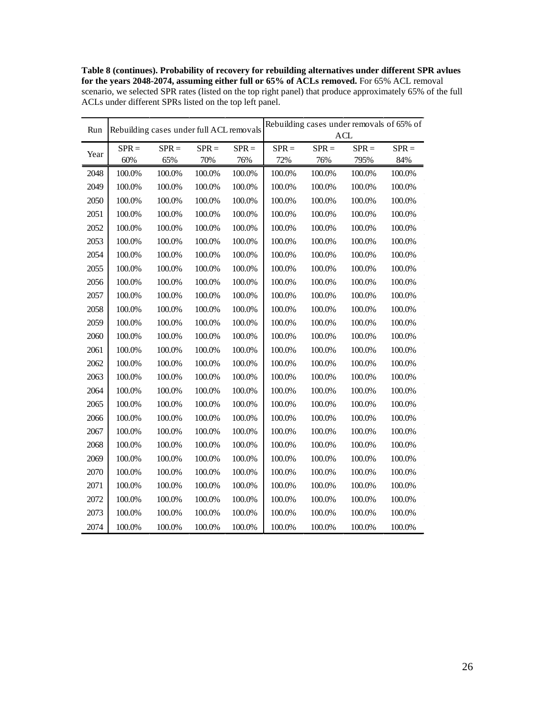**Table 8 (continues). Probability of recovery for rebuilding alternatives under different SPR avlues for the years 2048-2074, assuming either full or 65% of ACLs removed.** For 65% ACL removal scenario, we selected SPR rates (listed on the top right panel) that produce approximately 65% of the full ACLs under different SPRs listed on the top left panel.

| Run  |         | Rebuilding cases under full ACL removals |         |         | Rebuilding cases under removals of 65% of<br><b>ACL</b> |         |         |         |  |
|------|---------|------------------------------------------|---------|---------|---------------------------------------------------------|---------|---------|---------|--|
|      |         |                                          |         |         |                                                         |         |         |         |  |
| Year | $SPR =$ | $SPR =$                                  | $SPR =$ | $SPR =$ | $SPR =$                                                 | $SPR =$ | $SPR =$ | $SPR =$ |  |
|      | 60%     | 65%                                      | 70%     | 76%     | 72%                                                     | 76%     | 795%    | 84%     |  |
| 2048 | 100.0%  | 100.0%                                   | 100.0%  | 100.0%  | 100.0%                                                  | 100.0%  | 100.0%  | 100.0%  |  |
| 2049 | 100.0%  | 100.0%                                   | 100.0%  | 100.0%  | 100.0%                                                  | 100.0%  | 100.0%  | 100.0%  |  |
| 2050 | 100.0%  | 100.0%                                   | 100.0%  | 100.0%  | 100.0%                                                  | 100.0%  | 100.0%  | 100.0%  |  |
| 2051 | 100.0%  | 100.0%                                   | 100.0%  | 100.0%  | 100.0%                                                  | 100.0%  | 100.0%  | 100.0%  |  |
| 2052 | 100.0%  | 100.0%                                   | 100.0%  | 100.0%  | 100.0%                                                  | 100.0%  | 100.0%  | 100.0%  |  |
| 2053 | 100.0%  | 100.0%                                   | 100.0%  | 100.0%  | 100.0%                                                  | 100.0%  | 100.0%  | 100.0%  |  |
| 2054 | 100.0%  | 100.0%                                   | 100.0%  | 100.0%  | 100.0%                                                  | 100.0%  | 100.0%  | 100.0%  |  |
| 2055 | 100.0%  | 100.0%                                   | 100.0%  | 100.0%  | 100.0%                                                  | 100.0%  | 100.0%  | 100.0%  |  |
| 2056 | 100.0%  | 100.0%                                   | 100.0%  | 100.0%  | 100.0%                                                  | 100.0%  | 100.0%  | 100.0%  |  |
| 2057 | 100.0%  | 100.0%                                   | 100.0%  | 100.0%  | 100.0%                                                  | 100.0%  | 100.0%  | 100.0%  |  |
| 2058 | 100.0%  | 100.0%                                   | 100.0%  | 100.0%  | 100.0%                                                  | 100.0%  | 100.0%  | 100.0%  |  |
| 2059 | 100.0%  | 100.0%                                   | 100.0%  | 100.0%  | 100.0%                                                  | 100.0%  | 100.0%  | 100.0%  |  |
| 2060 | 100.0%  | 100.0%                                   | 100.0%  | 100.0%  | 100.0%                                                  | 100.0%  | 100.0%  | 100.0%  |  |
| 2061 | 100.0%  | 100.0%                                   | 100.0%  | 100.0%  | 100.0%                                                  | 100.0%  | 100.0%  | 100.0%  |  |
| 2062 | 100.0%  | 100.0%                                   | 100.0%  | 100.0%  | 100.0%                                                  | 100.0%  | 100.0%  | 100.0%  |  |
| 2063 | 100.0%  | 100.0%                                   | 100.0%  | 100.0%  | 100.0%                                                  | 100.0%  | 100.0%  | 100.0%  |  |
| 2064 | 100.0%  | 100.0%                                   | 100.0%  | 100.0%  | 100.0%                                                  | 100.0%  | 100.0%  | 100.0%  |  |
| 2065 | 100.0%  | 100.0%                                   | 100.0%  | 100.0%  | 100.0%                                                  | 100.0%  | 100.0%  | 100.0%  |  |
| 2066 | 100.0%  | 100.0%                                   | 100.0%  | 100.0%  | 100.0%                                                  | 100.0%  | 100.0%  | 100.0%  |  |
| 2067 | 100.0%  | 100.0%                                   | 100.0%  | 100.0%  | 100.0%                                                  | 100.0%  | 100.0%  | 100.0%  |  |
| 2068 | 100.0%  | 100.0%                                   | 100.0%  | 100.0%  | 100.0%                                                  | 100.0%  | 100.0%  | 100.0%  |  |
| 2069 | 100.0%  | 100.0%                                   | 100.0%  | 100.0%  | 100.0%                                                  | 100.0%  | 100.0%  | 100.0%  |  |
| 2070 | 100.0%  | 100.0%                                   | 100.0%  | 100.0%  | 100.0%                                                  | 100.0%  | 100.0%  | 100.0%  |  |
| 2071 | 100.0%  | 100.0%                                   | 100.0%  | 100.0%  | 100.0%                                                  | 100.0%  | 100.0%  | 100.0%  |  |
| 2072 | 100.0%  | 100.0%                                   | 100.0%  | 100.0%  | 100.0%                                                  | 100.0%  | 100.0%  | 100.0%  |  |
| 2073 | 100.0%  | 100.0%                                   | 100.0%  | 100.0%  | 100.0%                                                  | 100.0%  | 100.0%  | 100.0%  |  |
| 2074 | 100.0%  | 100.0%                                   | 100.0%  | 100.0%  | 100.0%                                                  | 100.0%  | 100.0%  | 100.0%  |  |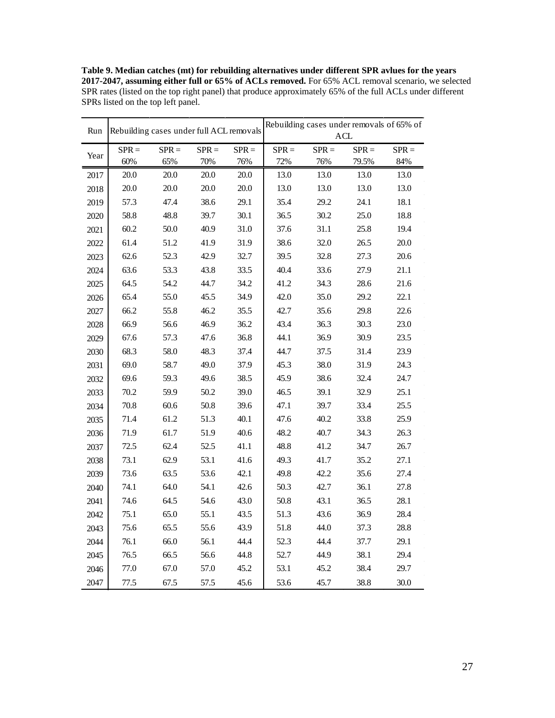**Table 9. Median catches (mt) for rebuilding alternatives under different SPR avlues for the years 2017-2047, assuming either full or 65% of ACLs removed.** For 65% ACL removal scenario, we selected SPR rates (listed on the top right panel) that produce approximately 65% of the full ACLs under different SPRs listed on the top left panel.

| Run  | Rebuilding cases under full ACL removals |                |                |                | Rebuilding cases under removals of 65% of<br><b>ACL</b> |                |                  |                |  |
|------|------------------------------------------|----------------|----------------|----------------|---------------------------------------------------------|----------------|------------------|----------------|--|
|      |                                          |                |                |                |                                                         |                |                  |                |  |
| Year | $SPR =$<br>60%                           | $SPR =$<br>65% | $SPR =$<br>70% | $SPR =$<br>76% | $SPR =$<br>72%                                          | $SPR =$<br>76% | $SPR =$<br>79.5% | $SPR =$<br>84% |  |
| 2017 | 20.0                                     | 20.0           | 20.0           | 20.0           | 13.0                                                    | 13.0           | 13.0             | 13.0           |  |
| 2018 | 20.0                                     | 20.0           | 20.0           | 20.0           | 13.0                                                    | 13.0           | 13.0             | 13.0           |  |
| 2019 | 57.3                                     | 47.4           | 38.6           | 29.1           | 35.4                                                    | 29.2           | 24.1             | 18.1           |  |
| 2020 | 58.8                                     | 48.8           | 39.7           | 30.1           | 36.5                                                    | 30.2           | 25.0             | 18.8           |  |
| 2021 | 60.2                                     | 50.0           | 40.9           | 31.0           | 37.6                                                    | 31.1           | 25.8             | 19.4           |  |
| 2022 | 61.4                                     | 51.2           | 41.9           | 31.9           | 38.6                                                    | 32.0           | 26.5             | 20.0           |  |
| 2023 | 62.6                                     | 52.3           | 42.9           | 32.7           | 39.5                                                    | 32.8           | 27.3             | 20.6           |  |
| 2024 | 63.6                                     | 53.3           | 43.8           | 33.5           | 40.4                                                    | 33.6           | 27.9             | 21.1           |  |
| 2025 | 64.5                                     | 54.2           | 44.7           | 34.2           | 41.2                                                    | 34.3           | 28.6             | 21.6           |  |
| 2026 | 65.4                                     | 55.0           | 45.5           | 34.9           | 42.0                                                    | 35.0           | 29.2             | 22.1           |  |
| 2027 | 66.2                                     | 55.8           | 46.2           | 35.5           | 42.7                                                    | 35.6           | 29.8             | 22.6           |  |
| 2028 | 66.9                                     | 56.6           | 46.9           | 36.2           | 43.4                                                    | 36.3           | 30.3             | 23.0           |  |
| 2029 | 67.6                                     | 57.3           | 47.6           | 36.8           | 44.1                                                    | 36.9           | 30.9             | 23.5           |  |
| 2030 | 68.3                                     | 58.0           | 48.3           | 37.4           | 44.7                                                    | 37.5           | 31.4             | 23.9           |  |
| 2031 | 69.0                                     | 58.7           | 49.0           | 37.9           | 45.3                                                    | 38.0           | 31.9             | 24.3           |  |
| 2032 | 69.6                                     | 59.3           | 49.6           | 38.5           | 45.9                                                    | 38.6           | 32.4             | 24.7           |  |
| 2033 | 70.2                                     | 59.9           | 50.2           | 39.0           | 46.5                                                    | 39.1           | 32.9             | 25.1           |  |
| 2034 | 70.8                                     | 60.6           | 50.8           | 39.6           | 47.1                                                    | 39.7           | 33.4             | 25.5           |  |
| 2035 | 71.4                                     | 61.2           | 51.3           | 40.1           | 47.6                                                    | 40.2           | 33.8             | 25.9           |  |
| 2036 | 71.9                                     | 61.7           | 51.9           | 40.6           | 48.2                                                    | 40.7           | 34.3             | 26.3           |  |
| 2037 | 72.5                                     | 62.4           | 52.5           | 41.1           | 48.8                                                    | 41.2           | 34.7             | 26.7           |  |
| 2038 | 73.1                                     | 62.9           | 53.1           | 41.6           | 49.3                                                    | 41.7           | 35.2             | 27.1           |  |
| 2039 | 73.6                                     | 63.5           | 53.6           | 42.1           | 49.8                                                    | 42.2           | 35.6             | 27.4           |  |
| 2040 | 74.1                                     | 64.0           | 54.1           | 42.6           | 50.3                                                    | 42.7           | 36.1             | 27.8           |  |
| 2041 | 74.6                                     | 64.5           | 54.6           | 43.0           | 50.8                                                    | 43.1           | 36.5             | 28.1           |  |
| 2042 | 75.1                                     | 65.0           | 55.1           | 43.5           | 51.3                                                    | 43.6           | 36.9             | 28.4           |  |
| 2043 | 75.6                                     | 65.5           | 55.6           | 43.9           | 51.8                                                    | 44.0           | 37.3             | 28.8           |  |
| 2044 | 76.1                                     | 66.0           | 56.1           | 44.4           | 52.3                                                    | 44.4           | 37.7             | 29.1           |  |
| 2045 | 76.5                                     | 66.5           | 56.6           | 44.8           | 52.7                                                    | 44.9           | 38.1             | 29.4           |  |
| 2046 | 77.0                                     | 67.0           | 57.0           | 45.2           | 53.1                                                    | 45.2           | 38.4             | 29.7           |  |
| 2047 | 77.5                                     | 67.5           | 57.5           | 45.6           | 53.6                                                    | 45.7           | 38.8             | 30.0           |  |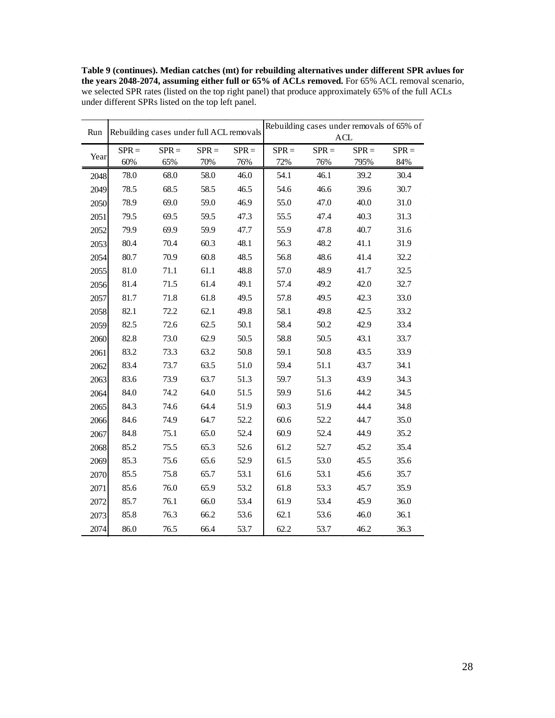**Table 9 (continues). Median catches (mt) for rebuilding alternatives under different SPR avlues for the years 2048-2074, assuming either full or 65% of ACLs removed.** For 65% ACL removal scenario, we selected SPR rates (listed on the top right panel) that produce approximately 65% of the full ACLs under different SPRs listed on the top left panel.

| Run  |         | Rebuilding cases under full ACL removals |         |          | Rebuilding cases under removals of 65% of<br><b>ACL</b> |         |         |         |  |
|------|---------|------------------------------------------|---------|----------|---------------------------------------------------------|---------|---------|---------|--|
|      | $SPR =$ | $SPR =$                                  | $SPR =$ | $SPR =$  | $SPR =$                                                 | $SPR =$ | $SPR =$ | $SPR =$ |  |
| Year | 60%     | 65%                                      | 70%     | 76%      | 72%                                                     | 76%     | 795%    | 84%     |  |
| 2048 | 78.0    | 68.0                                     | 58.0    | 46.0     | 54.1                                                    | 46.1    | 39.2    | 30.4    |  |
| 2049 | 78.5    | 68.5                                     | 58.5    | 46.5     | 54.6                                                    | 46.6    | 39.6    | 30.7    |  |
| 2050 | 78.9    | 69.0                                     | 59.0    | 46.9     | 55.0                                                    | 47.0    | 40.0    | 31.0    |  |
| 2051 | 79.5    | 69.5                                     | 59.5    | 47.3     | 55.5                                                    | 47.4    | 40.3    | 31.3    |  |
| 2052 | 79.9    | 69.9                                     | 59.9    | 47.7     | 55.9                                                    | 47.8    | 40.7    | 31.6    |  |
| 2053 | 80.4    | 70.4                                     | 60.3    | 48.1     | 56.3                                                    | 48.2    | 41.1    | 31.9    |  |
| 2054 | 80.7    | 70.9                                     | 60.8    | 48.5     | 56.8                                                    | 48.6    | 41.4    | 32.2    |  |
| 2055 | 81.0    | 71.1                                     | 61.1    | 48.8     | 57.0                                                    | 48.9    | 41.7    | 32.5    |  |
| 2056 | 81.4    | 71.5                                     | 61.4    | 49.1     | 57.4                                                    | 49.2    | 42.0    | 32.7    |  |
| 2057 | 81.7    | 71.8                                     | 61.8    | 49.5     | 57.8                                                    | 49.5    | 42.3    | 33.0    |  |
| 2058 | 82.1    | 72.2                                     | 62.1    | 49.8     | 58.1                                                    | 49.8    | 42.5    | 33.2    |  |
| 2059 | 82.5    | 72.6                                     | 62.5    | $50.1\,$ | 58.4                                                    | 50.2    | 42.9    | 33.4    |  |
| 2060 | 82.8    | 73.0                                     | 62.9    | 50.5     | 58.8                                                    | 50.5    | 43.1    | 33.7    |  |
| 2061 | 83.2    | 73.3                                     | 63.2    | 50.8     | 59.1                                                    | 50.8    | 43.5    | 33.9    |  |
| 2062 | 83.4    | 73.7                                     | 63.5    | 51.0     | 59.4                                                    | 51.1    | 43.7    | 34.1    |  |
| 2063 | 83.6    | 73.9                                     | 63.7    | 51.3     | 59.7                                                    | 51.3    | 43.9    | 34.3    |  |
| 2064 | 84.0    | 74.2                                     | 64.0    | 51.5     | 59.9                                                    | 51.6    | 44.2    | 34.5    |  |
| 2065 | 84.3    | 74.6                                     | 64.4    | 51.9     | 60.3                                                    | 51.9    | 44.4    | 34.8    |  |
| 2066 | 84.6    | 74.9                                     | 64.7    | 52.2     | 60.6                                                    | 52.2    | 44.7    | 35.0    |  |
| 2067 | 84.8    | 75.1                                     | 65.0    | 52.4     | 60.9                                                    | 52.4    | 44.9    | 35.2    |  |
| 2068 | 85.2    | 75.5                                     | 65.3    | 52.6     | 61.2                                                    | 52.7    | 45.2    | 35.4    |  |
| 2069 | 85.3    | 75.6                                     | 65.6    | 52.9     | 61.5                                                    | 53.0    | 45.5    | 35.6    |  |
| 2070 | 85.5    | 75.8                                     | 65.7    | 53.1     | 61.6                                                    | 53.1    | 45.6    | 35.7    |  |
| 2071 | 85.6    | 76.0                                     | 65.9    | 53.2     | 61.8                                                    | 53.3    | 45.7    | 35.9    |  |
| 2072 | 85.7    | 76.1                                     | 66.0    | 53.4     | 61.9                                                    | 53.4    | 45.9    | 36.0    |  |
| 2073 | 85.8    | 76.3                                     | 66.2    | 53.6     | 62.1                                                    | 53.6    | 46.0    | 36.1    |  |
| 2074 | 86.0    | 76.5                                     | 66.4    | 53.7     | 62.2                                                    | 53.7    | 46.2    | 36.3    |  |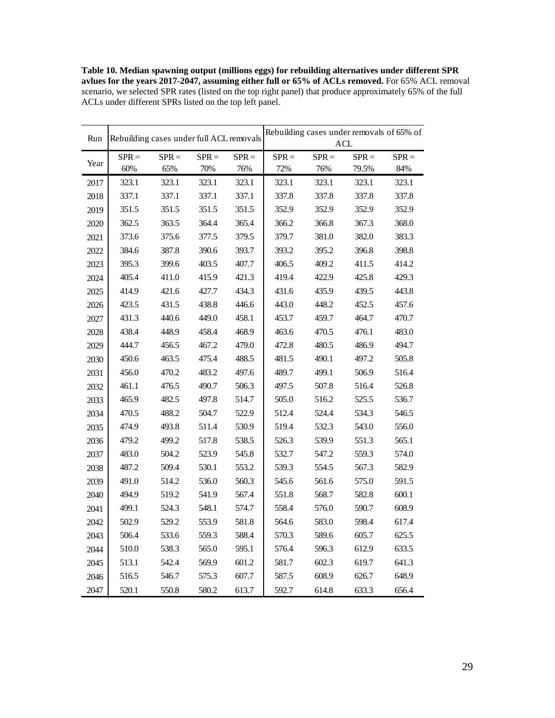**Table 10. Median spawning output (millions eggs) for rebuilding alternatives under different SPR avlues for the years 2017-2047, assuming either full or 65% of ACLs removed.** For 65% ACL removal scenario, we selected SPR rates (listed on the top right panel) that produce approximately 65% of the full ACLs under different SPRs listed on the top left panel.

| Run  |         | Rebuilding cases under full ACL removals |         |         | Rebuilding cases under removals of 65% of<br><b>ACL</b> |         |         |         |  |
|------|---------|------------------------------------------|---------|---------|---------------------------------------------------------|---------|---------|---------|--|
| Year | $SPR =$ | $SPR =$                                  | $SPR =$ | $SPR =$ | $SPR =$                                                 | $SPR =$ | $SPR =$ | $SPR =$ |  |
|      | 60%     | 65%                                      | 70%     | 76%     | 72%                                                     | 76%     | 79.5%   | 84%     |  |
| 2017 | 323.1   | 323.1                                    | 323.1   | 323.1   | 323.1                                                   | 323.1   | 323.1   | 323.1   |  |
| 2018 | 337.1   | 337.1                                    | 337.1   | 337.1   | 337.8                                                   | 337.8   | 337.8   | 337.8   |  |
| 2019 | 351.5   | 351.5                                    | 351.5   | 351.5   | 352.9                                                   | 352.9   | 352.9   | 352.9   |  |
| 2020 | 362.5   | 363.5                                    | 364.4   | 365.4   | 366.2                                                   | 366.8   | 367.3   | 368.0   |  |
| 2021 | 373.6   | 375.6                                    | 377.5   | 379.5   | 379.7                                                   | 381.0   | 382.0   | 383.3   |  |
| 2022 | 384.6   | 387.8                                    | 390.6   | 393.7   | 393.2                                                   | 395.2   | 396.8   | 398.8   |  |
| 2023 | 395.3   | 399.6                                    | 403.5   | 407.7   | 406.5                                                   | 409.2   | 411.5   | 414.2   |  |
| 2024 | 405.4   | 411.0                                    | 415.9   | 421.3   | 419.4                                                   | 422.9   | 425.8   | 429.3   |  |
| 2025 | 414.9   | 421.6                                    | 427.7   | 434.3   | 431.6                                                   | 435.9   | 439.5   | 443.8   |  |
| 2026 | 423.5   | 431.5                                    | 438.8   | 446.6   | 443.0                                                   | 448.2   | 452.5   | 457.6   |  |
| 2027 | 431.3   | 440.6                                    | 449.0   | 458.1   | 453.7                                                   | 459.7   | 464.7   | 470.7   |  |
| 2028 | 438.4   | 448.9                                    | 458.4   | 468.9   | 463.6                                                   | 470.5   | 476.1   | 483.0   |  |
| 2029 | 444.7   | 456.5                                    | 467.2   | 479.0   | 472.8                                                   | 480.5   | 486.9   | 494.7   |  |
| 2030 | 450.6   | 463.5                                    | 475.4   | 488.5   | 481.5                                                   | 490.1   | 497.2   | 505.8   |  |
| 2031 | 456.0   | 470.2                                    | 483.2   | 497.6   | 489.7                                                   | 499.1   | 506.9   | 516.4   |  |
| 2032 | 461.1   | 476.5                                    | 490.7   | 506.3   | 497.5                                                   | 507.8   | 516.4   | 526.8   |  |
| 2033 | 465.9   | 482.5                                    | 497.8   | 514.7   | 505.0                                                   | 516.2   | 525.5   | 536.7   |  |
| 2034 | 470.5   | 488.2                                    | 504.7   | 522.9   | 512.4                                                   | 524.4   | 534.3   | 546.5   |  |
| 2035 | 474.9   | 493.8                                    | 511.4   | 530.9   | 519.4                                                   | 532.3   | 543.0   | 556.0   |  |
| 2036 | 479.2   | 499.2                                    | 517.8   | 538.5   | 526.3                                                   | 539.9   | 551.3   | 565.1   |  |
| 2037 | 483.0   | 504.2                                    | 523.9   | 545.8   | 532.7                                                   | 547.2   | 559.3   | 574.0   |  |
| 2038 | 487.2   | 509.4                                    | 530.1   | 553.2   | 539.3                                                   | 554.5   | 567.3   | 582.9   |  |
| 2039 | 491.0   | 514.2                                    | 536.0   | 560.3   | 545.6                                                   | 561.6   | 575.0   | 591.5   |  |
| 2040 | 494.9   | 519.2                                    | 541.9   | 567.4   | 551.8                                                   | 568.7   | 582.8   | 600.1   |  |
| 2041 | 499.1   | 524.3                                    | 548.1   | 574.7   | 558.4                                                   | 576.0   | 590.7   | 608.9   |  |
| 2042 | 502.9   | 529.2                                    | 553.9   | 581.8   | 564.6                                                   | 583.0   | 598.4   | 617.4   |  |
| 2043 | 506.4   | 533.6                                    | 559.3   | 588.4   | 570.3                                                   | 589.6   | 605.7   | 625.5   |  |
| 2044 | 510.0   | 538.3                                    | 565.0   | 595.1   | 576.4                                                   | 596.3   | 612.9   | 633.5   |  |
| 2045 | 513.1   | 542.4                                    | 569.9   | 601.2   | 581.7                                                   | 602.3   | 619.7   | 641.3   |  |
| 2046 | 516.5   | 546.7                                    | 575.3   | 607.7   | 587.5                                                   | 608.9   | 626.7   | 648.9   |  |
| 2047 | 520.1   | 550.8                                    | 580.2   | 613.7   | 592.7                                                   | 614.8   | 633.3   | 656.4   |  |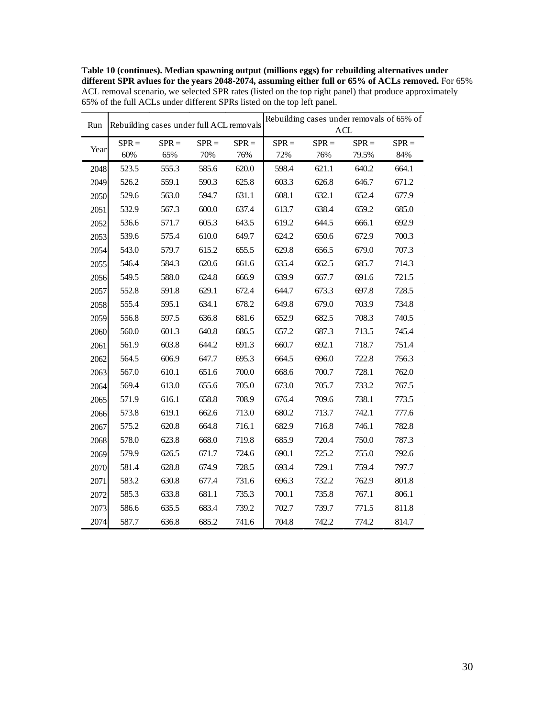**Table 10 (continues). Median spawning output (millions eggs) for rebuilding alternatives under different SPR avlues for the years 2048-2074, assuming either full or 65% of ACLs removed.** For 65% ACL removal scenario, we selected SPR rates (listed on the top right panel) that produce approximately 65% of the full ACLs under different SPRs listed on the top left panel.

| Run  |         | Rebuilding cases under full ACL removals |         |         | Rebuilding cases under removals of 65% of |         |            |         |  |  |
|------|---------|------------------------------------------|---------|---------|-------------------------------------------|---------|------------|---------|--|--|
|      |         |                                          |         |         |                                           |         | <b>ACL</b> |         |  |  |
| Year | $SPR =$ | $SPR =$                                  | $SPR =$ | $SPR =$ | $SPR =$                                   | $SPR =$ | $SPR =$    | $SPR =$ |  |  |
|      | 60%     | 65%                                      | 70%     | 76%     | 72%                                       | 76%     | 79.5%      | 84%     |  |  |
| 2048 | 523.5   | 555.3                                    | 585.6   | 620.0   | 598.4                                     | 621.1   | 640.2      | 664.1   |  |  |
| 2049 | 526.2   | 559.1                                    | 590.3   | 625.8   | 603.3                                     | 626.8   | 646.7      | 671.2   |  |  |
| 2050 | 529.6   | 563.0                                    | 594.7   | 631.1   | 608.1                                     | 632.1   | 652.4      | 677.9   |  |  |
| 2051 | 532.9   | 567.3                                    | 600.0   | 637.4   | 613.7                                     | 638.4   | 659.2      | 685.0   |  |  |
| 2052 | 536.6   | 571.7                                    | 605.3   | 643.5   | 619.2                                     | 644.5   | 666.1      | 692.9   |  |  |
| 2053 | 539.6   | 575.4                                    | 610.0   | 649.7   | 624.2                                     | 650.6   | 672.9      | 700.3   |  |  |
| 2054 | 543.0   | 579.7                                    | 615.2   | 655.5   | 629.8                                     | 656.5   | 679.0      | 707.3   |  |  |
| 2055 | 546.4   | 584.3                                    | 620.6   | 661.6   | 635.4                                     | 662.5   | 685.7      | 714.3   |  |  |
| 2056 | 549.5   | 588.0                                    | 624.8   | 666.9   | 639.9                                     | 667.7   | 691.6      | 721.5   |  |  |
| 2057 | 552.8   | 591.8                                    | 629.1   | 672.4   | 644.7                                     | 673.3   | 697.8      | 728.5   |  |  |
| 2058 | 555.4   | 595.1                                    | 634.1   | 678.2   | 649.8                                     | 679.0   | 703.9      | 734.8   |  |  |
| 2059 | 556.8   | 597.5                                    | 636.8   | 681.6   | 652.9                                     | 682.5   | 708.3      | 740.5   |  |  |
| 2060 | 560.0   | 601.3                                    | 640.8   | 686.5   | 657.2                                     | 687.3   | 713.5      | 745.4   |  |  |
| 2061 | 561.9   | 603.8                                    | 644.2   | 691.3   | 660.7                                     | 692.1   | 718.7      | 751.4   |  |  |
| 2062 | 564.5   | 606.9                                    | 647.7   | 695.3   | 664.5                                     | 696.0   | 722.8      | 756.3   |  |  |
| 2063 | 567.0   | 610.1                                    | 651.6   | 700.0   | 668.6                                     | 700.7   | 728.1      | 762.0   |  |  |
| 2064 | 569.4   | 613.0                                    | 655.6   | 705.0   | 673.0                                     | 705.7   | 733.2      | 767.5   |  |  |
| 2065 | 571.9   | 616.1                                    | 658.8   | 708.9   | 676.4                                     | 709.6   | 738.1      | 773.5   |  |  |
| 2066 | 573.8   | 619.1                                    | 662.6   | 713.0   | 680.2                                     | 713.7   | 742.1      | 777.6   |  |  |
| 2067 | 575.2   | 620.8                                    | 664.8   | 716.1   | 682.9                                     | 716.8   | 746.1      | 782.8   |  |  |
| 2068 | 578.0   | 623.8                                    | 668.0   | 719.8   | 685.9                                     | 720.4   | 750.0      | 787.3   |  |  |
| 2069 | 579.9   | 626.5                                    | 671.7   | 724.6   | 690.1                                     | 725.2   | 755.0      | 792.6   |  |  |
| 2070 | 581.4   | 628.8                                    | 674.9   | 728.5   | 693.4                                     | 729.1   | 759.4      | 797.7   |  |  |
| 2071 | 583.2   | 630.8                                    | 677.4   | 731.6   | 696.3                                     | 732.2   | 762.9      | 801.8   |  |  |
| 2072 | 585.3   | 633.8                                    | 681.1   | 735.3   | 700.1                                     | 735.8   | 767.1      | 806.1   |  |  |
| 2073 | 586.6   | 635.5                                    | 683.4   | 739.2   | 702.7                                     | 739.7   | 771.5      | 811.8   |  |  |
| 2074 | 587.7   | 636.8                                    | 685.2   | 741.6   | 704.8                                     | 742.2   | 774.2      | 814.7   |  |  |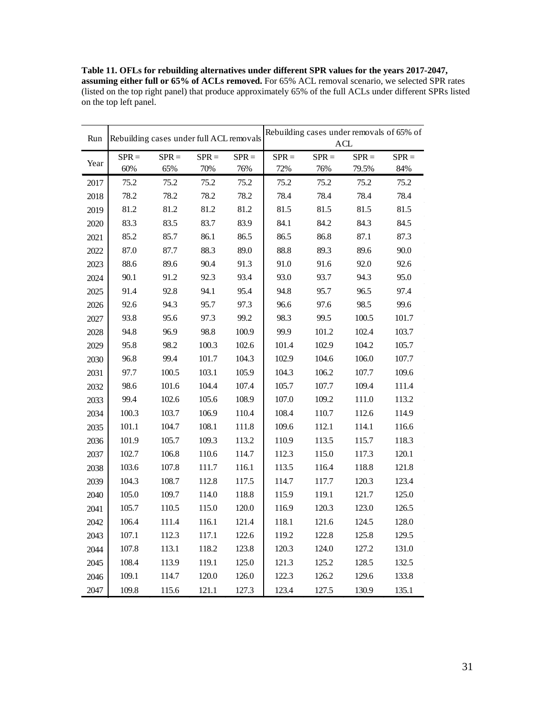**Table 11. OFLs for rebuilding alternatives under different SPR values for the years 2017-2047, assuming either full or 65% of ACLs removed.** For 65% ACL removal scenario, we selected SPR rates (listed on the top right panel) that produce approximately 65% of the full ACLs under different SPRs listed on the top left panel.

| Run  | Rebuilding cases under full ACL removals |         |         |         | Rebuilding cases under removals of 65% of<br>ACL |         |         |         |  |
|------|------------------------------------------|---------|---------|---------|--------------------------------------------------|---------|---------|---------|--|
| Year | $SPR =$                                  | $SPR =$ | $SPR =$ | $SPR =$ | $SPR =$                                          | $SPR =$ | $SPR =$ | $SPR =$ |  |
|      | 60%                                      | 65%     | 70%     | 76%     | 72%                                              | 76%     | 79.5%   | 84%     |  |
| 2017 | 75.2                                     | 75.2    | 75.2    | 75.2    | 75.2                                             | 75.2    | 75.2    | 75.2    |  |
| 2018 | 78.2                                     | 78.2    | 78.2    | 78.2    | 78.4                                             | 78.4    | 78.4    | 78.4    |  |
| 2019 | 81.2                                     | 81.2    | 81.2    | 81.2    | 81.5                                             | 81.5    | 81.5    | 81.5    |  |
| 2020 | 83.3                                     | 83.5    | 83.7    | 83.9    | 84.1                                             | 84.2    | 84.3    | 84.5    |  |
| 2021 | 85.2                                     | 85.7    | 86.1    | 86.5    | 86.5                                             | 86.8    | 87.1    | 87.3    |  |
| 2022 | 87.0                                     | 87.7    | 88.3    | 89.0    | 88.8                                             | 89.3    | 89.6    | 90.0    |  |
| 2023 | 88.6                                     | 89.6    | 90.4    | 91.3    | 91.0                                             | 91.6    | 92.0    | 92.6    |  |
| 2024 | 90.1                                     | 91.2    | 92.3    | 93.4    | 93.0                                             | 93.7    | 94.3    | 95.0    |  |
| 2025 | 91.4                                     | 92.8    | 94.1    | 95.4    | 94.8                                             | 95.7    | 96.5    | 97.4    |  |
| 2026 | 92.6                                     | 94.3    | 95.7    | 97.3    | 96.6                                             | 97.6    | 98.5    | 99.6    |  |
| 2027 | 93.8                                     | 95.6    | 97.3    | 99.2    | 98.3                                             | 99.5    | 100.5   | 101.7   |  |
| 2028 | 94.8                                     | 96.9    | 98.8    | 100.9   | 99.9                                             | 101.2   | 102.4   | 103.7   |  |
| 2029 | 95.8                                     | 98.2    | 100.3   | 102.6   | 101.4                                            | 102.9   | 104.2   | 105.7   |  |
| 2030 | 96.8                                     | 99.4    | 101.7   | 104.3   | 102.9                                            | 104.6   | 106.0   | 107.7   |  |
| 2031 | 97.7                                     | 100.5   | 103.1   | 105.9   | 104.3                                            | 106.2   | 107.7   | 109.6   |  |
| 2032 | 98.6                                     | 101.6   | 104.4   | 107.4   | 105.7                                            | 107.7   | 109.4   | 111.4   |  |
| 2033 | 99.4                                     | 102.6   | 105.6   | 108.9   | 107.0                                            | 109.2   | 111.0   | 113.2   |  |
| 2034 | 100.3                                    | 103.7   | 106.9   | 110.4   | 108.4                                            | 110.7   | 112.6   | 114.9   |  |
| 2035 | 101.1                                    | 104.7   | 108.1   | 111.8   | 109.6                                            | 112.1   | 114.1   | 116.6   |  |
| 2036 | 101.9                                    | 105.7   | 109.3   | 113.2   | 110.9                                            | 113.5   | 115.7   | 118.3   |  |
| 2037 | 102.7                                    | 106.8   | 110.6   | 114.7   | 112.3                                            | 115.0   | 117.3   | 120.1   |  |
| 2038 | 103.6                                    | 107.8   | 111.7   | 116.1   | 113.5                                            | 116.4   | 118.8   | 121.8   |  |
| 2039 | 104.3                                    | 108.7   | 112.8   | 117.5   | 114.7                                            | 117.7   | 120.3   | 123.4   |  |
| 2040 | 105.0                                    | 109.7   | 114.0   | 118.8   | 115.9                                            | 119.1   | 121.7   | 125.0   |  |
| 2041 | 105.7                                    | 110.5   | 115.0   | 120.0   | 116.9                                            | 120.3   | 123.0   | 126.5   |  |
| 2042 | 106.4                                    | 111.4   | 116.1   | 121.4   | 118.1                                            | 121.6   | 124.5   | 128.0   |  |
| 2043 | 107.1                                    | 112.3   | 117.1   | 122.6   | 119.2                                            | 122.8   | 125.8   | 129.5   |  |
| 2044 | 107.8                                    | 113.1   | 118.2   | 123.8   | 120.3                                            | 124.0   | 127.2   | 131.0   |  |
| 2045 | 108.4                                    | 113.9   | 119.1   | 125.0   | 121.3                                            | 125.2   | 128.5   | 132.5   |  |
| 2046 | 109.1                                    | 114.7   | 120.0   | 126.0   | 122.3                                            | 126.2   | 129.6   | 133.8   |  |
| 2047 | 109.8                                    | 115.6   | 121.1   | 127.3   | 123.4                                            | 127.5   | 130.9   | 135.1   |  |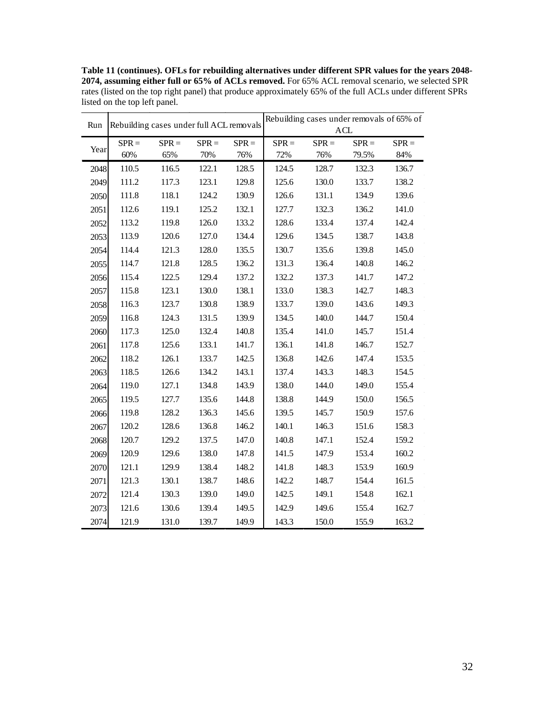**Table 11 (continues). OFLs for rebuilding alternatives under different SPR values for the years 2048- 2074, assuming either full or 65% of ACLs removed.** For 65% ACL removal scenario, we selected SPR rates (listed on the top right panel) that produce approximately 65% of the full ACLs under different SPRs listed on the top left panel.

| Run  |                | Rebuilding cases under full ACL removals |                |                | Rebuilding cases under removals of 65% of<br>ACL |                |                  |                |  |  |
|------|----------------|------------------------------------------|----------------|----------------|--------------------------------------------------|----------------|------------------|----------------|--|--|
|      |                |                                          |                |                |                                                  |                |                  |                |  |  |
| Year | $SPR =$<br>60% | $SPR =$<br>65%                           | $SPR =$<br>70% | $SPR =$<br>76% | $SPR =$<br>72%                                   | $SPR =$<br>76% | $SPR =$<br>79.5% | $SPR =$<br>84% |  |  |
| 2048 | 110.5          | 116.5                                    | 122.1          | 128.5          | 124.5                                            | 128.7          | 132.3            | 136.7          |  |  |
| 2049 | 111.2          | 117.3                                    | 123.1          | 129.8          | 125.6                                            | 130.0          | 133.7            | 138.2          |  |  |
| 2050 | 111.8          | 118.1                                    | 124.2          | 130.9          | 126.6                                            | 131.1          | 134.9            | 139.6          |  |  |
| 2051 | 112.6          | 119.1                                    | 125.2          | 132.1          | 127.7                                            | 132.3          | 136.2            | 141.0          |  |  |
|      | 113.2          | 119.8                                    | 126.0          | 133.2          | 128.6                                            | 133.4          | 137.4            | 142.4          |  |  |
| 2052 |                |                                          |                |                |                                                  |                |                  |                |  |  |
| 2053 | 113.9          | 120.6                                    | 127.0          | 134.4          | 129.6                                            | 134.5          | 138.7            | 143.8          |  |  |
| 2054 | 114.4          | 121.3                                    | 128.0          | 135.5          | 130.7                                            | 135.6          | 139.8            | 145.0          |  |  |
| 2055 | 114.7          | 121.8                                    | 128.5          | 136.2          | 131.3                                            | 136.4          | 140.8            | 146.2          |  |  |
| 2056 | 115.4          | 122.5                                    | 129.4          | 137.2          | 132.2                                            | 137.3          | 141.7            | 147.2          |  |  |
| 2057 | 115.8          | 123.1                                    | 130.0          | 138.1          | 133.0                                            | 138.3          | 142.7            | 148.3          |  |  |
| 2058 | 116.3          | 123.7                                    | 130.8          | 138.9          | 133.7                                            | 139.0          | 143.6            | 149.3          |  |  |
| 2059 | 116.8          | 124.3                                    | 131.5          | 139.9          | 134.5                                            | 140.0          | 144.7            | 150.4          |  |  |
| 2060 | 117.3          | 125.0                                    | 132.4          | 140.8          | 135.4                                            | 141.0          | 145.7            | 151.4          |  |  |
| 2061 | 117.8          | 125.6                                    | 133.1          | 141.7          | 136.1                                            | 141.8          | 146.7            | 152.7          |  |  |
| 2062 | 118.2          | 126.1                                    | 133.7          | 142.5          | 136.8                                            | 142.6          | 147.4            | 153.5          |  |  |
| 2063 | 118.5          | 126.6                                    | 134.2          | 143.1          | 137.4                                            | 143.3          | 148.3            | 154.5          |  |  |
| 2064 | 119.0          | 127.1                                    | 134.8          | 143.9          | 138.0                                            | 144.0          | 149.0            | 155.4          |  |  |
| 2065 | 119.5          | 127.7                                    | 135.6          | 144.8          | 138.8                                            | 144.9          | 150.0            | 156.5          |  |  |
| 2066 | 119.8          | 128.2                                    | 136.3          | 145.6          | 139.5                                            | 145.7          | 150.9            | 157.6          |  |  |
| 2067 | 120.2          | 128.6                                    | 136.8          | 146.2          | 140.1                                            | 146.3          | 151.6            | 158.3          |  |  |
| 2068 | 120.7          | 129.2                                    | 137.5          | 147.0          | 140.8                                            | 147.1          | 152.4            | 159.2          |  |  |
| 2069 | 120.9          | 129.6                                    | 138.0          | 147.8          | 141.5                                            | 147.9          | 153.4            | 160.2          |  |  |
| 2070 | 121.1          | 129.9                                    | 138.4          | 148.2          | 141.8                                            | 148.3          | 153.9            | 160.9          |  |  |
| 2071 | 121.3          | 130.1                                    | 138.7          | 148.6          | 142.2                                            | 148.7          | 154.4            | 161.5          |  |  |
| 2072 | 121.4          | 130.3                                    | 139.0          | 149.0          | 142.5                                            | 149.1          | 154.8            | 162.1          |  |  |
| 2073 | 121.6          | 130.6                                    | 139.4          | 149.5          | 142.9                                            | 149.6          | 155.4            | 162.7          |  |  |
| 2074 | 121.9          | 131.0                                    | 139.7          | 149.9          | 143.3                                            | 150.0          | 155.9            | 163.2          |  |  |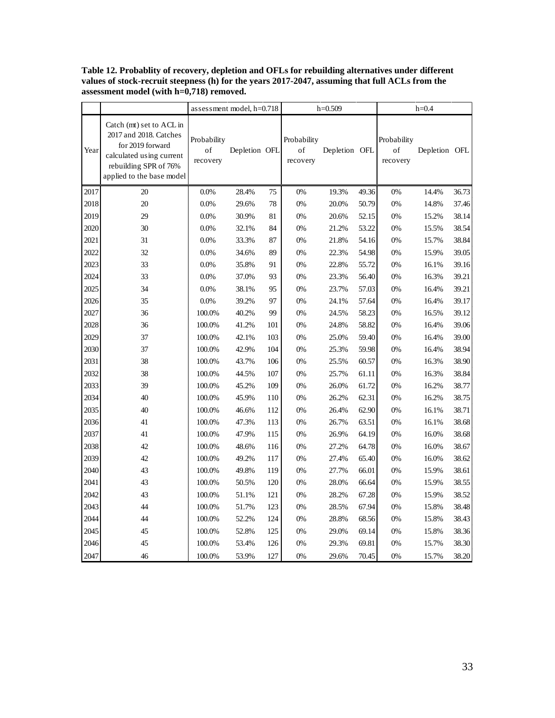|      |                                                                                                                                                          | assessment model, $h=0.718$   |               | $h=0.509$ |                               |               | $h=0.4$ |                               |               |       |
|------|----------------------------------------------------------------------------------------------------------------------------------------------------------|-------------------------------|---------------|-----------|-------------------------------|---------------|---------|-------------------------------|---------------|-------|
| Year | Catch (mt) set to ACL in<br>2017 and 2018. Catches<br>for 2019 forward<br>calculated using current<br>rebuilding SPR of 76%<br>applied to the base model | Probability<br>of<br>recovery | Depletion OFL |           | Probability<br>of<br>recovery | Depletion OFL |         | Probability<br>of<br>recovery | Depletion OFL |       |
| 2017 | 20                                                                                                                                                       | 0.0%                          | 28.4%         | 75        | 0%                            | 19.3%         | 49.36   | 0%                            | 14.4%         | 36.73 |
| 2018 | 20                                                                                                                                                       | 0.0%                          | 29.6%         | 78        | $0\%$                         | 20.0%         | 50.79   | 0%                            | 14.8%         | 37.46 |
| 2019 | 29                                                                                                                                                       | 0.0%                          | 30.9%         | 81        | 0%                            | 20.6%         | 52.15   | $0\%$                         | 15.2%         | 38.14 |
| 2020 | 30                                                                                                                                                       | 0.0%                          | 32.1%         | 84        | 0%                            | 21.2%         | 53.22   | 0%                            | 15.5%         | 38.54 |
| 2021 | 31                                                                                                                                                       | 0.0%                          | 33.3%         | 87        | 0%                            | 21.8%         | 54.16   | 0%                            | 15.7%         | 38.84 |
| 2022 | 32                                                                                                                                                       | 0.0%                          | 34.6%         | 89        | 0%                            | 22.3%         | 54.98   | 0%                            | 15.9%         | 39.05 |
| 2023 | 33                                                                                                                                                       | 0.0%                          | 35.8%         | 91        | 0%                            | 22.8%         | 55.72   | 0%                            | 16.1%         | 39.16 |
| 2024 | 33                                                                                                                                                       | 0.0%                          | 37.0%         | 93        | 0%                            | 23.3%         | 56.40   | 0%                            | 16.3%         | 39.21 |
| 2025 | 34                                                                                                                                                       | 0.0%                          | 38.1%         | 95        | 0%                            | 23.7%         | 57.03   | 0%                            | 16.4%         | 39.21 |
| 2026 | 35                                                                                                                                                       | 0.0%                          | 39.2%         | 97        | 0%                            | 24.1%         | 57.64   | 0%                            | 16.4%         | 39.17 |
| 2027 | 36                                                                                                                                                       | 100.0%                        | 40.2%         | 99        | 0%                            | 24.5%         | 58.23   | 0%                            | 16.5%         | 39.12 |
| 2028 | 36                                                                                                                                                       | 100.0%                        | 41.2%         | 101       | 0%                            | 24.8%         | 58.82   | $0\%$                         | 16.4%         | 39.06 |
| 2029 | 37                                                                                                                                                       | 100.0%                        | 42.1%         | 103       | 0%                            | 25.0%         | 59.40   | 0%                            | 16.4%         | 39.00 |
| 2030 | 37                                                                                                                                                       | 100.0%                        | 42.9%         | 104       | 0%                            | 25.3%         | 59.98   | 0%                            | 16.4%         | 38.94 |
| 2031 | 38                                                                                                                                                       | 100.0%                        | 43.7%         | 106       | 0%                            | 25.5%         | 60.57   | $0\%$                         | 16.3%         | 38.90 |
| 2032 | 38                                                                                                                                                       | 100.0%                        | 44.5%         | 107       | 0%                            | 25.7%         | 61.11   | $0\%$                         | 16.3%         | 38.84 |
| 2033 | 39                                                                                                                                                       | 100.0%                        | 45.2%         | 109       | 0%                            | 26.0%         | 61.72   | $0\%$                         | 16.2%         | 38.77 |
| 2034 | 40                                                                                                                                                       | 100.0%                        | 45.9%         | 110       | 0%                            | 26.2%         | 62.31   | $0\%$                         | 16.2%         | 38.75 |
| 2035 | 40                                                                                                                                                       | 100.0%                        | 46.6%         | 112       | 0%                            | 26.4%         | 62.90   | $0\%$                         | 16.1%         | 38.71 |
| 2036 | 41                                                                                                                                                       | 100.0%                        | 47.3%         | 113       | 0%                            | 26.7%         | 63.51   | 0%                            | 16.1%         | 38.68 |
| 2037 | 41                                                                                                                                                       | 100.0%                        | 47.9%         | 115       | 0%                            | 26.9%         | 64.19   | 0%                            | 16.0%         | 38.68 |
| 2038 | 42                                                                                                                                                       | 100.0%                        | 48.6%         | 116       | 0%                            | 27.2%         | 64.78   | 0%                            | 16.0%         | 38.67 |
| 2039 | 42                                                                                                                                                       | 100.0%                        | 49.2%         | 117       | 0%                            | 27.4%         | 65.40   | 0%                            | 16.0%         | 38.62 |
| 2040 | 43                                                                                                                                                       | 100.0%                        | 49.8%         | 119       | 0%                            | 27.7%         | 66.01   | 0%                            | 15.9%         | 38.61 |
| 2041 | 43                                                                                                                                                       | 100.0%                        | 50.5%         | 120       | 0%                            | 28.0%         | 66.64   | 0%                            | 15.9%         | 38.55 |
| 2042 | 43                                                                                                                                                       | 100.0%                        | 51.1%         | 121       | 0%                            | 28.2%         | 67.28   | 0%                            | 15.9%         | 38.52 |
| 2043 | 44                                                                                                                                                       | 100.0%                        | 51.7%         | 123       | 0%                            | 28.5%         | 67.94   | 0%                            | 15.8%         | 38.48 |
| 2044 | 44                                                                                                                                                       | 100.0%                        | 52.2%         | 124       | 0%                            | 28.8%         | 68.56   | 0%                            | 15.8%         | 38.43 |
| 2045 | 45                                                                                                                                                       | 100.0%                        | 52.8%         | 125       | 0%                            | 29.0%         | 69.14   | 0%                            | 15.8%         | 38.36 |
| 2046 | 45                                                                                                                                                       | 100.0%                        | 53.4%         | 126       | 0%                            | 29.3%         | 69.81   | 0%                            | 15.7%         | 38.30 |
| 2047 | 46                                                                                                                                                       | 100.0%                        | 53.9%         | 127       | 0%                            | 29.6%         | 70.45   | 0%                            | 15.7%         | 38.20 |

**Table 12. Probablity of recovery, depletion and OFLs for rebuilding alternatives under different values of stock-recruit steepness (h) for the years 2017-2047, assuming that full ACLs from the assessment model (with h=0,718) removed.**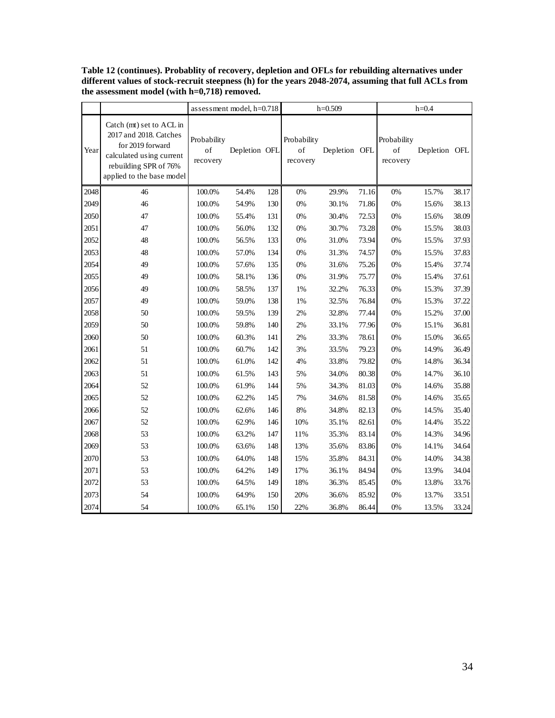|      |                                                                                                                                                          | assessment model, h=0.718     |               |     | $h=0.509$                     |               |       | $h=0.4$                       |               |       |
|------|----------------------------------------------------------------------------------------------------------------------------------------------------------|-------------------------------|---------------|-----|-------------------------------|---------------|-------|-------------------------------|---------------|-------|
| Year | Catch (mt) set to ACL in<br>2017 and 2018. Catches<br>for 2019 forward<br>calculated using current<br>rebuilding SPR of 76%<br>applied to the base model | Probability<br>of<br>recovery | Depletion OFL |     | Probability<br>of<br>recovery | Depletion OFL |       | Probability<br>of<br>recovery | Depletion OFL |       |
| 2048 | 46                                                                                                                                                       | 100.0%                        | 54.4%         | 128 | 0%                            | 29.9%         | 71.16 | 0%                            | 15.7%         | 38.17 |
| 2049 | 46                                                                                                                                                       | 100.0%                        | 54.9%         | 130 | $0\%$                         | 30.1%         | 71.86 | $0\%$                         | 15.6%         | 38.13 |
| 2050 | 47                                                                                                                                                       | 100.0%                        | 55.4%         | 131 | 0%                            | 30.4%         | 72.53 | $0\%$                         | 15.6%         | 38.09 |
| 2051 | 47                                                                                                                                                       | 100.0%                        | 56.0%         | 132 | 0%                            | 30.7%         | 73.28 | $0\%$                         | 15.5%         | 38.03 |
| 2052 | 48                                                                                                                                                       | 100.0%                        | 56.5%         | 133 | $0\%$                         | 31.0%         | 73.94 | $0\%$                         | 15.5%         | 37.93 |
| 2053 | 48                                                                                                                                                       | 100.0%                        | 57.0%         | 134 | $0\%$                         | 31.3%         | 74.57 | $0\%$                         | 15.5%         | 37.83 |
| 2054 | 49                                                                                                                                                       | 100.0%                        | 57.6%         | 135 | 0%                            | 31.6%         | 75.26 | 0%                            | 15.4%         | 37.74 |
| 2055 | 49                                                                                                                                                       | 100.0%                        | 58.1%         | 136 | 0%                            | 31.9%         | 75.77 | $0\%$                         | 15.4%         | 37.61 |
| 2056 | 49                                                                                                                                                       | 100.0%                        | 58.5%         | 137 | 1%                            | 32.2%         | 76.33 | 0%                            | 15.3%         | 37.39 |
| 2057 | 49                                                                                                                                                       | 100.0%                        | 59.0%         | 138 | 1%                            | 32.5%         | 76.84 | 0%                            | 15.3%         | 37.22 |
| 2058 | 50                                                                                                                                                       | 100.0%                        | 59.5%         | 139 | $2\%$                         | 32.8%         | 77.44 | $0\%$                         | 15.2%         | 37.00 |
| 2059 | 50                                                                                                                                                       | 100.0%                        | 59.8%         | 140 | 2%                            | 33.1%         | 77.96 | $0\%$                         | 15.1%         | 36.81 |
| 2060 | 50                                                                                                                                                       | 100.0%                        | 60.3%         | 141 | 2%                            | 33.3%         | 78.61 | 0%                            | 15.0%         | 36.65 |
| 2061 | 51                                                                                                                                                       | 100.0%                        | 60.7%         | 142 | 3%                            | 33.5%         | 79.23 | 0%                            | 14.9%         | 36.49 |
| 2062 | 51                                                                                                                                                       | 100.0%                        | 61.0%         | 142 | 4%                            | 33.8%         | 79.82 | 0%                            | 14.8%         | 36.34 |
| 2063 | 51                                                                                                                                                       | 100.0%                        | 61.5%         | 143 | 5%                            | 34.0%         | 80.38 | $0\%$                         | 14.7%         | 36.10 |
| 2064 | 52                                                                                                                                                       | 100.0%                        | 61.9%         | 144 | 5%                            | 34.3%         | 81.03 | $0\%$                         | 14.6%         | 35.88 |
| 2065 | 52                                                                                                                                                       | 100.0%                        | 62.2%         | 145 | 7%                            | 34.6%         | 81.58 | 0%                            | 14.6%         | 35.65 |
| 2066 | 52                                                                                                                                                       | 100.0%                        | 62.6%         | 146 | $8\%$                         | 34.8%         | 82.13 | 0%                            | 14.5%         | 35.40 |
| 2067 | 52                                                                                                                                                       | 100.0%                        | 62.9%         | 146 | 10%                           | 35.1%         | 82.61 | 0%                            | 14.4%         | 35.22 |
| 2068 | 53                                                                                                                                                       | 100.0%                        | 63.2%         | 147 | 11%                           | 35.3%         | 83.14 | 0%                            | 14.3%         | 34.96 |
| 2069 | 53                                                                                                                                                       | 100.0%                        | 63.6%         | 148 | 13%                           | 35.6%         | 83.86 | $0\%$                         | 14.1%         | 34.64 |
| 2070 | 53                                                                                                                                                       | 100.0%                        | 64.0%         | 148 | 15%                           | 35.8%         | 84.31 | $0\%$                         | 14.0%         | 34.38 |
| 2071 | 53                                                                                                                                                       | 100.0%                        | 64.2%         | 149 | 17%                           | 36.1%         | 84.94 | 0%                            | 13.9%         | 34.04 |
| 2072 | 53                                                                                                                                                       | 100.0%                        | 64.5%         | 149 | 18%                           | 36.3%         | 85.45 | $0\%$                         | 13.8%         | 33.76 |
| 2073 | 54                                                                                                                                                       | 100.0%                        | 64.9%         | 150 | 20%                           | 36.6%         | 85.92 | $0\%$                         | 13.7%         | 33.51 |
| 2074 | 54                                                                                                                                                       | 100.0%                        | 65.1%         | 150 | 22%                           | 36.8%         | 86.44 | 0%                            | 13.5%         | 33.24 |

**Table 12 (continues). Probablity of recovery, depletion and OFLs for rebuilding alternatives under**  different values of stock-recruit steepness (h) for the years 2048-2074, assuming that full ACLs from **the assessment model (with h=0,718) removed.**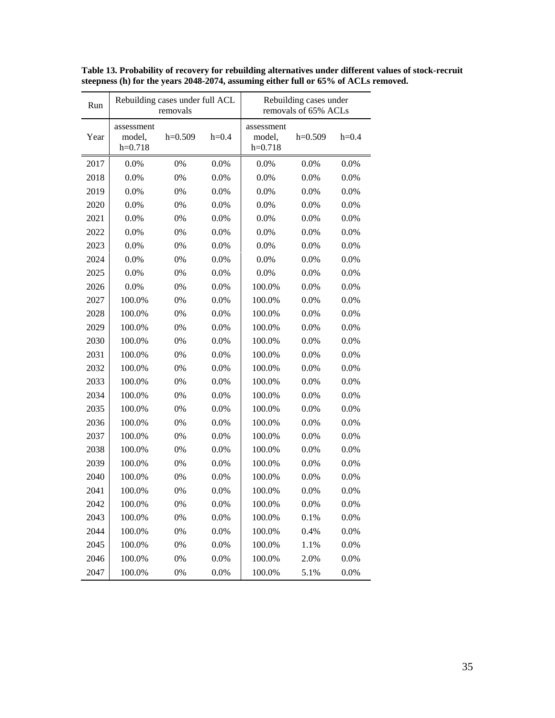| Run  | Rebuilding cases under full ACL   | removals  |         | Rebuilding cases under<br>removals of 65% ACLs |           |         |  |  |
|------|-----------------------------------|-----------|---------|------------------------------------------------|-----------|---------|--|--|
| Year | assessment<br>model,<br>$h=0.718$ | $h=0.509$ | $h=0.4$ | assessment<br>model,<br>$h=0.718$              | $h=0.509$ | $h=0.4$ |  |  |
| 2017 | 0.0%                              | 0%        | 0.0%    | 0.0%                                           | 0.0%      | 0.0%    |  |  |
| 2018 | 0.0%                              | 0%        | 0.0%    | 0.0%                                           | 0.0%      | 0.0%    |  |  |
| 2019 | 0.0%                              | 0%        | 0.0%    | 0.0%                                           | 0.0%      | 0.0%    |  |  |
| 2020 | 0.0%                              | 0%        | 0.0%    | 0.0%                                           | 0.0%      | 0.0%    |  |  |
| 2021 | 0.0%                              | 0%        | 0.0%    | 0.0%                                           | 0.0%      | 0.0%    |  |  |
| 2022 | 0.0%                              | 0%        | 0.0%    | 0.0%                                           | 0.0%      | 0.0%    |  |  |
| 2023 | 0.0%                              | 0%        | 0.0%    | 0.0%                                           | 0.0%      | 0.0%    |  |  |
| 2024 | 0.0%                              | 0%        | 0.0%    | 0.0%                                           | 0.0%      | 0.0%    |  |  |
| 2025 | 0.0%                              | 0%        | 0.0%    | 0.0%                                           | 0.0%      | 0.0%    |  |  |
| 2026 | 0.0%                              | 0%        | 0.0%    | 100.0%                                         | 0.0%      | 0.0%    |  |  |
| 2027 | 100.0%                            | 0%        | 0.0%    | 100.0%                                         | 0.0%      | 0.0%    |  |  |
| 2028 | 100.0%                            | 0%        | 0.0%    | 100.0%                                         | 0.0%      | 0.0%    |  |  |
| 2029 | 100.0%                            | 0%        | 0.0%    | 100.0%                                         | 0.0%      | 0.0%    |  |  |
| 2030 | 100.0%                            | 0%        | 0.0%    | 100.0%                                         | 0.0%      | 0.0%    |  |  |
| 2031 | 100.0%                            | 0%        | 0.0%    | 100.0%                                         | 0.0%      | 0.0%    |  |  |
| 2032 | 100.0%                            | 0%        | 0.0%    | 100.0%                                         | 0.0%      | 0.0%    |  |  |
| 2033 | 100.0%                            | 0%        | 0.0%    | 100.0%                                         | 0.0%      | 0.0%    |  |  |
| 2034 | 100.0%                            | 0%        | 0.0%    | 100.0%                                         | 0.0%      | 0.0%    |  |  |
| 2035 | 100.0%                            | 0%        | 0.0%    | 100.0%                                         | 0.0%      | 0.0%    |  |  |
| 2036 | 100.0%                            | 0%        | 0.0%    | 100.0%                                         | 0.0%      | 0.0%    |  |  |
| 2037 | 100.0%                            | 0%        | 0.0%    | 100.0%                                         | 0.0%      | 0.0%    |  |  |
| 2038 | 100.0%                            | 0%        | 0.0%    | 100.0%                                         | 0.0%      | 0.0%    |  |  |
| 2039 | 100.0%                            | 0%        | 0.0%    | 100.0%                                         | 0.0%      | 0.0%    |  |  |
| 2040 | 100.0%                            | 0%        | 0.0%    | 100.0%                                         | 0.0%      | 0.0%    |  |  |
| 2041 | 100.0%                            | 0%        | 0.0%    | 100.0%                                         | 0.0%      | 0.0%    |  |  |
| 2042 | 100.0%                            | 0%        | 0.0%    | 100.0%                                         | 0.0%      | 0.0%    |  |  |
| 2043 | 100.0%                            | 0%        | 0.0%    | 100.0%                                         | 0.1%      | 0.0%    |  |  |
| 2044 | 100.0%                            | 0%        | 0.0%    | 100.0%                                         | 0.4%      | 0.0%    |  |  |
| 2045 | 100.0%                            | 0%        | 0.0%    | 100.0%                                         | 1.1%      | 0.0%    |  |  |
| 2046 | 100.0%                            | 0%        | 0.0%    | 100.0%                                         | 2.0%      | 0.0%    |  |  |
| 2047 | 100.0%                            | 0%        | 0.0%    | 100.0%                                         | 5.1%      | 0.0%    |  |  |

**Table 13. Probability of recovery for rebuilding alternatives under different values of stock-recruit steepness (h) for the years 2048-2074, assuming either full or 65% of ACLs removed.**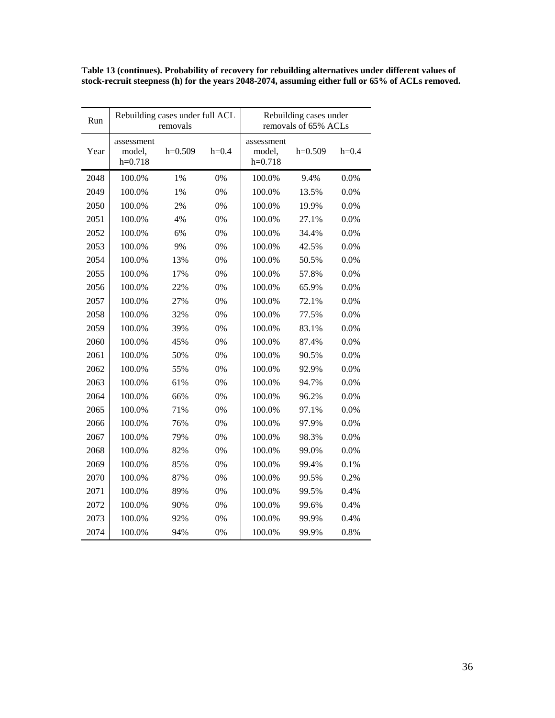**Table 13 (continues). Probability of recovery for rebuilding alternatives under different values of stock-recruit steepness (h) for the years 2048-2074, assuming either full or 65% of ACLs removed.** 

| Run  | Rebuilding cases under full ACL<br>removals |           |         | Rebuilding cases under<br>removals of 65% ACLs |           |         |
|------|---------------------------------------------|-----------|---------|------------------------------------------------|-----------|---------|
| Year | assessment<br>model,<br>$h=0.718$           | $h=0.509$ | $h=0.4$ | assessment<br>model,<br>$h=0.718$              | $h=0.509$ | $h=0.4$ |
| 2048 | 100.0%                                      | 1%        | 0%      | 100.0%                                         | 9.4%      | 0.0%    |
| 2049 | 100.0%                                      | 1%        | 0%      | 100.0%                                         | 13.5%     | 0.0%    |
| 2050 | 100.0%                                      | 2%        | 0%      | 100.0%                                         | 19.9%     | 0.0%    |
| 2051 | 100.0%                                      | 4%        | 0%      | 100.0%                                         | 27.1%     | 0.0%    |
| 2052 | 100.0%                                      | 6%        | 0%      | 100.0%                                         | 34.4%     | 0.0%    |
| 2053 | 100.0%                                      | 9%        | 0%      | 100.0%                                         | 42.5%     | 0.0%    |
| 2054 | 100.0%                                      | 13%       | 0%      | 100.0%                                         | 50.5%     | 0.0%    |
| 2055 | 100.0%                                      | 17%       | 0%      | 100.0%                                         | 57.8%     | 0.0%    |
| 2056 | 100.0%                                      | 22%       | 0%      | 100.0%                                         | 65.9%     | 0.0%    |
| 2057 | 100.0%                                      | 27%       | 0%      | 100.0%                                         | 72.1%     | 0.0%    |
| 2058 | 100.0%                                      | 32%       | 0%      | 100.0%                                         | 77.5%     | 0.0%    |
| 2059 | 100.0%                                      | 39%       | 0%      | 100.0%                                         | 83.1%     | 0.0%    |
| 2060 | 100.0%                                      | 45%       | 0%      | 100.0%                                         | 87.4%     | 0.0%    |
| 2061 | 100.0%                                      | 50%       | 0%      | 100.0%                                         | 90.5%     | 0.0%    |
| 2062 | 100.0%                                      | 55%       | 0%      | 100.0%                                         | 92.9%     | 0.0%    |
| 2063 | 100.0%                                      | 61%       | 0%      | 100.0%                                         | 94.7%     | 0.0%    |
| 2064 | 100.0%                                      | 66%       | 0%      | 100.0%                                         | 96.2%     | $0.0\%$ |
| 2065 | 100.0%                                      | 71%       | 0%      | 100.0%                                         | 97.1%     | 0.0%    |
| 2066 | 100.0%                                      | 76%       | 0%      | 100.0%                                         | 97.9%     | 0.0%    |
| 2067 | 100.0%                                      | 79%       | 0%      | 100.0%                                         | 98.3%     | 0.0%    |
| 2068 | 100.0%                                      | 82%       | 0%      | 100.0%                                         | 99.0%     | 0.0%    |
| 2069 | 100.0%                                      | 85%       | 0%      | 100.0%                                         | 99.4%     | 0.1%    |
| 2070 | 100.0%                                      | 87%       | 0%      | 100.0%                                         | 99.5%     | 0.2%    |
| 2071 | 100.0%                                      | 89%       | 0%      | 100.0%                                         | 99.5%     | 0.4%    |
| 2072 | 100.0%                                      | 90%       | 0%      | 100.0%                                         | 99.6%     | 0.4%    |
| 2073 | 100.0%                                      | 92%       | 0%      | 100.0%                                         | 99.9%     | 0.4%    |
| 2074 | 100.0%                                      | 94%       | 0%      | 100.0%                                         | 99.9%     | 0.8%    |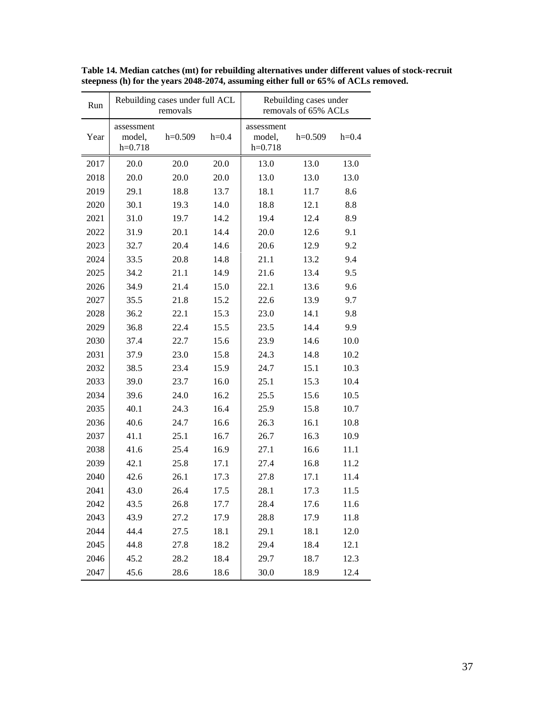| Run  | Rebuilding cases under full ACL<br>removals |           |         | Rebuilding cases under<br>removals of 65% ACLs |           |         |
|------|---------------------------------------------|-----------|---------|------------------------------------------------|-----------|---------|
| Year | assessment<br>model,<br>$h=0.718$           | $h=0.509$ | $h=0.4$ | assessment<br>model,<br>$h=0.718$              | $h=0.509$ | $h=0.4$ |
| 2017 | 20.0                                        | 20.0      | 20.0    | 13.0                                           | 13.0      | 13.0    |
| 2018 | 20.0                                        | 20.0      | 20.0    | 13.0                                           | 13.0      | 13.0    |
| 2019 | 29.1                                        | 18.8      | 13.7    | 18.1                                           | 11.7      | 8.6     |
| 2020 | 30.1                                        | 19.3      | 14.0    | 18.8                                           | 12.1      | 8.8     |
| 2021 | 31.0                                        | 19.7      | 14.2    | 19.4                                           | 12.4      | 8.9     |
| 2022 | 31.9                                        | 20.1      | 14.4    | 20.0                                           | 12.6      | 9.1     |
| 2023 | 32.7                                        | 20.4      | 14.6    | 20.6                                           | 12.9      | 9.2     |
| 2024 | 33.5                                        | 20.8      | 14.8    | 21.1                                           | 13.2      | 9.4     |
| 2025 | 34.2                                        | 21.1      | 14.9    | 21.6                                           | 13.4      | 9.5     |
| 2026 | 34.9                                        | 21.4      | 15.0    | 22.1                                           | 13.6      | 9.6     |
| 2027 | 35.5                                        | 21.8      | 15.2    | 22.6                                           | 13.9      | 9.7     |
| 2028 | 36.2                                        | 22.1      | 15.3    | 23.0                                           | 14.1      | 9.8     |
| 2029 | 36.8                                        | 22.4      | 15.5    | 23.5                                           | 14.4      | 9.9     |
| 2030 | 37.4                                        | 22.7      | 15.6    | 23.9                                           | 14.6      | 10.0    |
| 2031 | 37.9                                        | 23.0      | 15.8    | 24.3                                           | 14.8      | 10.2    |
| 2032 | 38.5                                        | 23.4      | 15.9    | 24.7                                           | 15.1      | 10.3    |
| 2033 | 39.0                                        | 23.7      | 16.0    | 25.1                                           | 15.3      | 10.4    |
| 2034 | 39.6                                        | 24.0      | 16.2    | 25.5                                           | 15.6      | 10.5    |
| 2035 | 40.1                                        | 24.3      | 16.4    | 25.9                                           | 15.8      | 10.7    |
| 2036 | 40.6                                        | 24.7      | 16.6    | 26.3                                           | 16.1      | 10.8    |
| 2037 | 41.1                                        | 25.1      | 16.7    | 26.7                                           | 16.3      | 10.9    |
| 2038 | 41.6                                        | 25.4      | 16.9    | 27.1                                           | 16.6      | 11.1    |
| 2039 | 42.1                                        | 25.8      | 17.1    | 27.4                                           | 16.8      | 11.2    |
| 2040 | 42.6                                        | 26.1      | 17.3    | 27.8                                           | 17.1      | 11.4    |
| 2041 | 43.0                                        | 26.4      | 17.5    | 28.1                                           | 17.3      | 11.5    |
| 2042 | 43.5                                        | 26.8      | 17.7    | 28.4                                           | 17.6      | 11.6    |
| 2043 | 43.9                                        | 27.2      | 17.9    | 28.8                                           | 17.9      | 11.8    |
| 2044 | 44.4                                        | 27.5      | 18.1    | 29.1                                           | 18.1      | 12.0    |
| 2045 | 44.8                                        | 27.8      | 18.2    | 29.4                                           | 18.4      | 12.1    |
| 2046 | 45.2                                        | 28.2      | 18.4    | 29.7                                           | 18.7      | 12.3    |
| 2047 | 45.6                                        | 28.6      | 18.6    | 30.0                                           | 18.9      | 12.4    |

**Table 14. Median catches (mt) for rebuilding alternatives under different values of stock-recruit steepness (h) for the years 2048-2074, assuming either full or 65% of ACLs removed.**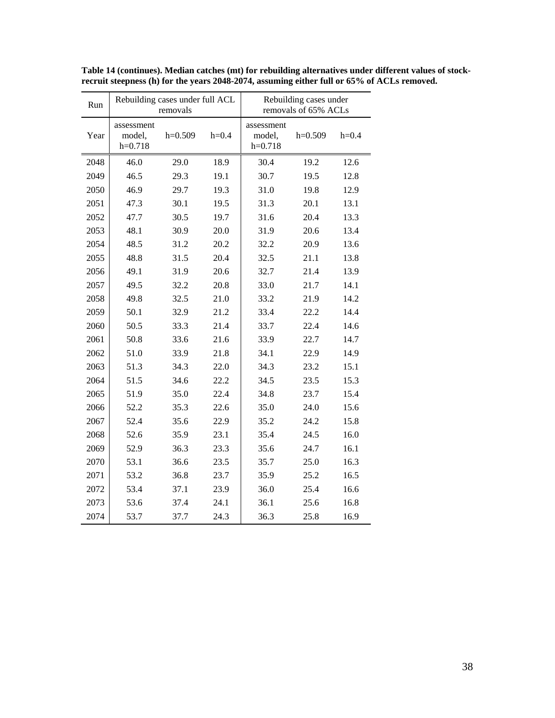| Run  | Rebuilding cases under full ACL<br>removals |           |         | Rebuilding cases under<br>removals of 65% ACLs |           |         |
|------|---------------------------------------------|-----------|---------|------------------------------------------------|-----------|---------|
| Year | assessment<br>model,<br>$h=0.718$           | $h=0.509$ | $h=0.4$ | assessment<br>model,<br>$h=0.718$              | $h=0.509$ | $h=0.4$ |
| 2048 | 46.0                                        | 29.0      | 18.9    | 30.4                                           | 19.2      | 12.6    |
| 2049 | 46.5                                        | 29.3      | 19.1    | 30.7                                           | 19.5      | 12.8    |
| 2050 | 46.9                                        | 29.7      | 19.3    | 31.0                                           | 19.8      | 12.9    |
| 2051 | 47.3                                        | 30.1      | 19.5    | 31.3                                           | 20.1      | 13.1    |
| 2052 | 47.7                                        | 30.5      | 19.7    | 31.6                                           | 20.4      | 13.3    |
| 2053 | 48.1                                        | 30.9      | 20.0    | 31.9                                           | 20.6      | 13.4    |
| 2054 | 48.5                                        | 31.2      | 20.2    | 32.2                                           | 20.9      | 13.6    |
| 2055 | 48.8                                        | 31.5      | 20.4    | 32.5                                           | 21.1      | 13.8    |
| 2056 | 49.1                                        | 31.9      | 20.6    | 32.7                                           | 21.4      | 13.9    |
| 2057 | 49.5                                        | 32.2      | 20.8    | 33.0                                           | 21.7      | 14.1    |
| 2058 | 49.8                                        | 32.5      | 21.0    | 33.2                                           | 21.9      | 14.2    |
| 2059 | 50.1                                        | 32.9      | 21.2    | 33.4                                           | 22.2      | 14.4    |
| 2060 | 50.5                                        | 33.3      | 21.4    | 33.7                                           | 22.4      | 14.6    |
| 2061 | 50.8                                        | 33.6      | 21.6    | 33.9                                           | 22.7      | 14.7    |
| 2062 | 51.0                                        | 33.9      | 21.8    | 34.1                                           | 22.9      | 14.9    |
| 2063 | 51.3                                        | 34.3      | 22.0    | 34.3                                           | 23.2      | 15.1    |
| 2064 | 51.5                                        | 34.6      | 22.2    | 34.5                                           | 23.5      | 15.3    |
| 2065 | 51.9                                        | 35.0      | 22.4    | 34.8                                           | 23.7      | 15.4    |
| 2066 | 52.2                                        | 35.3      | 22.6    | 35.0                                           | 24.0      | 15.6    |
| 2067 | 52.4                                        | 35.6      | 22.9    | 35.2                                           | 24.2      | 15.8    |
| 2068 | 52.6                                        | 35.9      | 23.1    | 35.4                                           | 24.5      | 16.0    |
| 2069 | 52.9                                        | 36.3      | 23.3    | 35.6                                           | 24.7      | 16.1    |
| 2070 | 53.1                                        | 36.6      | 23.5    | 35.7                                           | 25.0      | 16.3    |
| 2071 | 53.2                                        | 36.8      | 23.7    | 35.9                                           | 25.2      | 16.5    |
| 2072 | 53.4                                        | 37.1      | 23.9    | 36.0                                           | 25.4      | 16.6    |
| 2073 | 53.6                                        | 37.4      | 24.1    | 36.1                                           | 25.6      | 16.8    |
| 2074 | 53.7                                        | 37.7      | 24.3    | 36.3                                           | 25.8      | 16.9    |

**Table 14 (continues). Median catches (mt) for rebuilding alternatives under different values of stockrecruit steepness (h) for the years 2048-2074, assuming either full or 65% of ACLs removed.**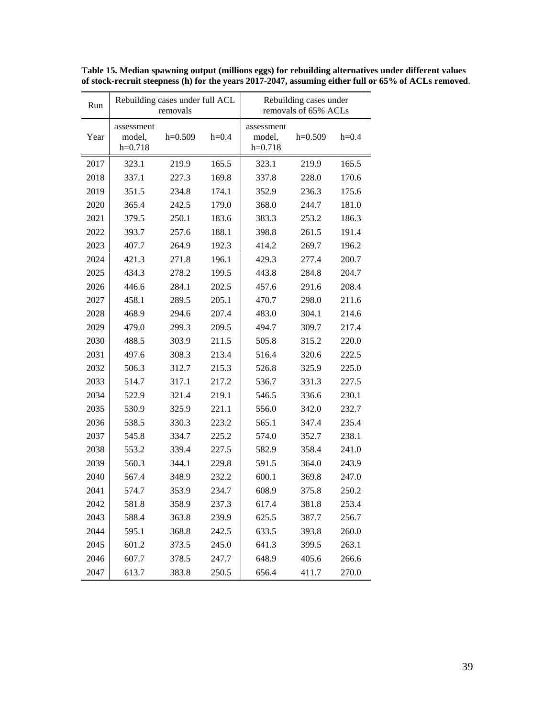| Run  |                                   | Rebuilding cases under full ACL<br>removals |         | Rebuilding cases under<br>removals of 65% ACLs |           |         |
|------|-----------------------------------|---------------------------------------------|---------|------------------------------------------------|-----------|---------|
| Year | assessment<br>model,<br>$h=0.718$ | $h=0.509$                                   | $h=0.4$ | assessment<br>model,<br>$h=0.718$              | $h=0.509$ | $h=0.4$ |
| 2017 | 323.1                             | 219.9                                       | 165.5   | 323.1                                          | 219.9     | 165.5   |
| 2018 | 337.1                             | 227.3                                       | 169.8   | 337.8                                          | 228.0     | 170.6   |
| 2019 | 351.5                             | 234.8                                       | 174.1   | 352.9                                          | 236.3     | 175.6   |
| 2020 | 365.4                             | 242.5                                       | 179.0   | 368.0                                          | 244.7     | 181.0   |
| 2021 | 379.5                             | 250.1                                       | 183.6   | 383.3                                          | 253.2     | 186.3   |
| 2022 | 393.7                             | 257.6                                       | 188.1   | 398.8                                          | 261.5     | 191.4   |
| 2023 | 407.7                             | 264.9                                       | 192.3   | 414.2                                          | 269.7     | 196.2   |
| 2024 | 421.3                             | 271.8                                       | 196.1   | 429.3                                          | 277.4     | 200.7   |
| 2025 | 434.3                             | 278.2                                       | 199.5   | 443.8                                          | 284.8     | 204.7   |
| 2026 | 446.6                             | 284.1                                       | 202.5   | 457.6                                          | 291.6     | 208.4   |
| 2027 | 458.1                             | 289.5                                       | 205.1   | 470.7                                          | 298.0     | 211.6   |
| 2028 | 468.9                             | 294.6                                       | 207.4   | 483.0                                          | 304.1     | 214.6   |
| 2029 | 479.0                             | 299.3                                       | 209.5   | 494.7                                          | 309.7     | 217.4   |
| 2030 | 488.5                             | 303.9                                       | 211.5   | 505.8                                          | 315.2     | 220.0   |
| 2031 | 497.6                             | 308.3                                       | 213.4   | 516.4                                          | 320.6     | 222.5   |
| 2032 | 506.3                             | 312.7                                       | 215.3   | 526.8                                          | 325.9     | 225.0   |
| 2033 | 514.7                             | 317.1                                       | 217.2   | 536.7                                          | 331.3     | 227.5   |
| 2034 | 522.9                             | 321.4                                       | 219.1   | 546.5                                          | 336.6     | 230.1   |
| 2035 | 530.9                             | 325.9                                       | 221.1   | 556.0                                          | 342.0     | 232.7   |
| 2036 | 538.5                             | 330.3                                       | 223.2   | 565.1                                          | 347.4     | 235.4   |
| 2037 | 545.8                             | 334.7                                       | 225.2   | 574.0                                          | 352.7     | 238.1   |
| 2038 | 553.2                             | 339.4                                       | 227.5   | 582.9                                          | 358.4     | 241.0   |
| 2039 | 560.3                             | 344.1                                       | 229.8   | 591.5                                          | 364.0     | 243.9   |
| 2040 | 567.4                             | 348.9                                       | 232.2   | 600.1                                          | 369.8     | 247.0   |
| 2041 | 574.7                             | 353.9                                       | 234.7   | 608.9                                          | 375.8     | 250.2   |
| 2042 | 581.8                             | 358.9                                       | 237.3   | 617.4                                          | 381.8     | 253.4   |
| 2043 | 588.4                             | 363.8                                       | 239.9   | 625.5                                          | 387.7     | 256.7   |
| 2044 | 595.1                             | 368.8                                       | 242.5   | 633.5                                          | 393.8     | 260.0   |
| 2045 | 601.2                             | 373.5                                       | 245.0   | 641.3                                          | 399.5     | 263.1   |
| 2046 | 607.7                             | 378.5                                       | 247.7   | 648.9                                          | 405.6     | 266.6   |
| 2047 | 613.7                             | 383.8                                       | 250.5   | 656.4                                          | 411.7     | 270.0   |

**Table 15. Median spawning output (millions eggs) for rebuilding alternatives under different values of stock-recruit steepness (h) for the years 2017-2047, assuming either full or 65% of ACLs removed**.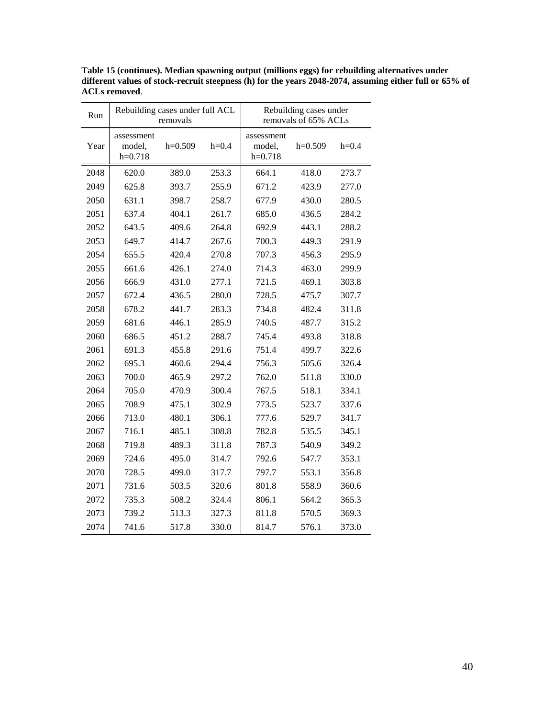| Run  | Rebuilding cases under full ACL<br>removals |           |         | Rebuilding cases under<br>removals of 65% ACLs |           |         |
|------|---------------------------------------------|-----------|---------|------------------------------------------------|-----------|---------|
| Year | assessment<br>model,<br>$h=0.718$           | $h=0.509$ | $h=0.4$ | assessment<br>model,<br>$h=0.718$              | $h=0.509$ | $h=0.4$ |
| 2048 | 620.0                                       | 389.0     | 253.3   | 664.1                                          | 418.0     | 273.7   |
| 2049 | 625.8                                       | 393.7     | 255.9   | 671.2                                          | 423.9     | 277.0   |
| 2050 | 631.1                                       | 398.7     | 258.7   | 677.9                                          | 430.0     | 280.5   |
| 2051 | 637.4                                       | 404.1     | 261.7   | 685.0                                          | 436.5     | 284.2   |
| 2052 | 643.5                                       | 409.6     | 264.8   | 692.9                                          | 443.1     | 288.2   |
| 2053 | 649.7                                       | 414.7     | 267.6   | 700.3                                          | 449.3     | 291.9   |
| 2054 | 655.5                                       | 420.4     | 270.8   | 707.3                                          | 456.3     | 295.9   |
| 2055 | 661.6                                       | 426.1     | 274.0   | 714.3                                          | 463.0     | 299.9   |
| 2056 | 666.9                                       | 431.0     | 277.1   | 721.5                                          | 469.1     | 303.8   |
| 2057 | 672.4                                       | 436.5     | 280.0   | 728.5                                          | 475.7     | 307.7   |
| 2058 | 678.2                                       | 441.7     | 283.3   | 734.8                                          | 482.4     | 311.8   |
| 2059 | 681.6                                       | 446.1     | 285.9   | 740.5                                          | 487.7     | 315.2   |
| 2060 | 686.5                                       | 451.2     | 288.7   | 745.4                                          | 493.8     | 318.8   |
| 2061 | 691.3                                       | 455.8     | 291.6   | 751.4                                          | 499.7     | 322.6   |
| 2062 | 695.3                                       | 460.6     | 294.4   | 756.3                                          | 505.6     | 326.4   |
| 2063 | 700.0                                       | 465.9     | 297.2   | 762.0                                          | 511.8     | 330.0   |
| 2064 | 705.0                                       | 470.9     | 300.4   | 767.5                                          | 518.1     | 334.1   |
| 2065 | 708.9                                       | 475.1     | 302.9   | 773.5                                          | 523.7     | 337.6   |
| 2066 | 713.0                                       | 480.1     | 306.1   | 777.6                                          | 529.7     | 341.7   |
| 2067 | 716.1                                       | 485.1     | 308.8   | 782.8                                          | 535.5     | 345.1   |
| 2068 | 719.8                                       | 489.3     | 311.8   | 787.3                                          | 540.9     | 349.2   |
| 2069 | 724.6                                       | 495.0     | 314.7   | 792.6                                          | 547.7     | 353.1   |
| 2070 | 728.5                                       | 499.0     | 317.7   | 797.7                                          | 553.1     | 356.8   |
| 2071 | 731.6                                       | 503.5     | 320.6   | 801.8                                          | 558.9     | 360.6   |
| 2072 | 735.3                                       | 508.2     | 324.4   | 806.1                                          | 564.2     | 365.3   |
| 2073 | 739.2                                       | 513.3     | 327.3   | 811.8                                          | 570.5     | 369.3   |
| 2074 | 741.6                                       | 517.8     | 330.0   | 814.7                                          | 576.1     | 373.0   |

**Table 15 (continues). Median spawning output (millions eggs) for rebuilding alternatives under different values of stock-recruit steepness (h) for the years 2048-2074, assuming either full or 65% of ACLs removed**.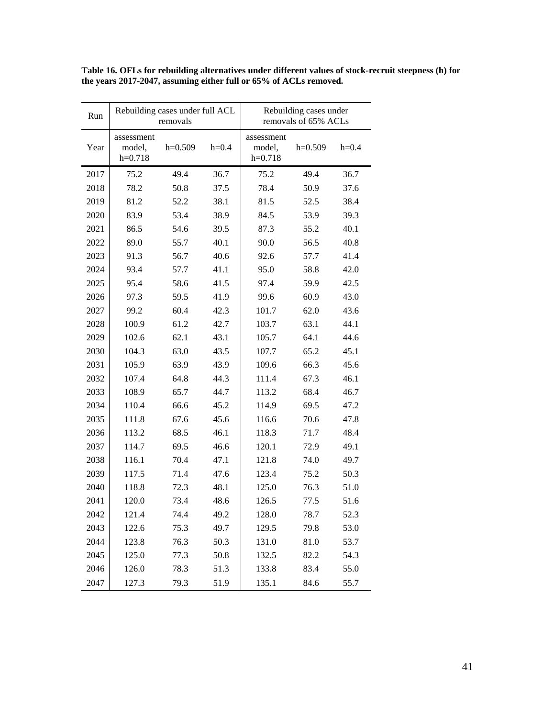| Run  | Rebuilding cases under full ACL<br>removals |           |         |                                   | Rebuilding cases under<br>removals of 65% ACLs |         |
|------|---------------------------------------------|-----------|---------|-----------------------------------|------------------------------------------------|---------|
| Year | assessment<br>model,<br>$h=0.718$           | $h=0.509$ | $h=0.4$ | assessment<br>model,<br>$h=0.718$ | $h=0.509$                                      | $h=0.4$ |
| 2017 | 75.2                                        | 49.4      | 36.7    | 75.2                              | 49.4                                           | 36.7    |
| 2018 | 78.2                                        | 50.8      | 37.5    | 78.4                              | 50.9                                           | 37.6    |
| 2019 | 81.2                                        | 52.2      | 38.1    | 81.5                              | 52.5                                           | 38.4    |
| 2020 | 83.9                                        | 53.4      | 38.9    | 84.5                              | 53.9                                           | 39.3    |
| 2021 | 86.5                                        | 54.6      | 39.5    | 87.3                              | 55.2                                           | 40.1    |
| 2022 | 89.0                                        | 55.7      | 40.1    | 90.0                              | 56.5                                           | 40.8    |
| 2023 | 91.3                                        | 56.7      | 40.6    | 92.6                              | 57.7                                           | 41.4    |
| 2024 | 93.4                                        | 57.7      | 41.1    | 95.0                              | 58.8                                           | 42.0    |
| 2025 | 95.4                                        | 58.6      | 41.5    | 97.4                              | 59.9                                           | 42.5    |
| 2026 | 97.3                                        | 59.5      | 41.9    | 99.6                              | 60.9                                           | 43.0    |
| 2027 | 99.2                                        | 60.4      | 42.3    | 101.7                             | 62.0                                           | 43.6    |
| 2028 | 100.9                                       | 61.2      | 42.7    | 103.7                             | 63.1                                           | 44.1    |
| 2029 | 102.6                                       | 62.1      | 43.1    | 105.7                             | 64.1                                           | 44.6    |
| 2030 | 104.3                                       | 63.0      | 43.5    | 107.7                             | 65.2                                           | 45.1    |
| 2031 | 105.9                                       | 63.9      | 43.9    | 109.6                             | 66.3                                           | 45.6    |
| 2032 | 107.4                                       | 64.8      | 44.3    | 111.4                             | 67.3                                           | 46.1    |
| 2033 | 108.9                                       | 65.7      | 44.7    | 113.2                             | 68.4                                           | 46.7    |
| 2034 | 110.4                                       | 66.6      | 45.2    | 114.9                             | 69.5                                           | 47.2    |
| 2035 | 111.8                                       | 67.6      | 45.6    | 116.6                             | 70.6                                           | 47.8    |
| 2036 | 113.2                                       | 68.5      | 46.1    | 118.3                             | 71.7                                           | 48.4    |
| 2037 | 114.7                                       | 69.5      | 46.6    | 120.1                             | 72.9                                           | 49.1    |
| 2038 | 116.1                                       | 70.4      | 47.1    | 121.8                             | 74.0                                           | 49.7    |
| 2039 | 117.5                                       | 71.4      | 47.6    | 123.4                             | 75.2                                           | 50.3    |
| 2040 | 118.8                                       | 72.3      | 48.1    | 125.0                             | 76.3                                           | 51.0    |
| 2041 | 120.0                                       | 73.4      | 48.6    | 126.5                             | 77.5                                           | 51.6    |
| 2042 | 121.4                                       | 74.4      | 49.2    | 128.0                             | 78.7                                           | 52.3    |
| 2043 | 122.6                                       | 75.3      | 49.7    | 129.5                             | 79.8                                           | 53.0    |
| 2044 | 123.8                                       | 76.3      | 50.3    | 131.0                             | 81.0                                           | 53.7    |
| 2045 | 125.0                                       | 77.3      | 50.8    | 132.5                             | 82.2                                           | 54.3    |
| 2046 | 126.0                                       | 78.3      | 51.3    | 133.8                             | 83.4                                           | 55.0    |
| 2047 | 127.3                                       | 79.3      | 51.9    | 135.1                             | 84.6                                           | 55.7    |

**Table 16. OFLs for rebuilding alternatives under different values of stock-recruit steepness (h) for the years 2017-2047, assuming either full or 65% of ACLs removed.**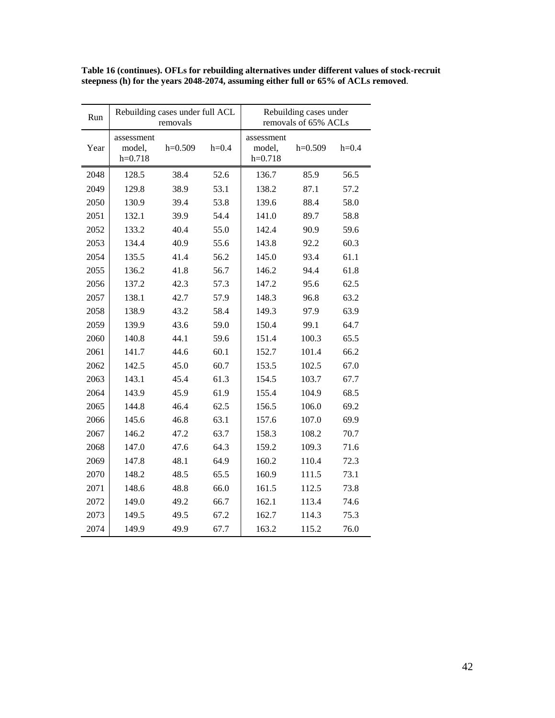| Run  | Rebuilding cases under full ACL<br>removals |           |         | Rebuilding cases under<br>removals of 65% ACLs |           |         |
|------|---------------------------------------------|-----------|---------|------------------------------------------------|-----------|---------|
| Year | assessment<br>model,<br>$h=0.718$           | $h=0.509$ | $h=0.4$ | assessment<br>model,<br>$h=0.718$              | $h=0.509$ | $h=0.4$ |
| 2048 | 128.5                                       | 38.4      | 52.6    | 136.7                                          | 85.9      | 56.5    |
| 2049 | 129.8                                       | 38.9      | 53.1    | 138.2                                          | 87.1      | 57.2    |
| 2050 | 130.9                                       | 39.4      | 53.8    | 139.6                                          | 88.4      | 58.0    |
| 2051 | 132.1                                       | 39.9      | 54.4    | 141.0                                          | 89.7      | 58.8    |
| 2052 | 133.2                                       | 40.4      | 55.0    | 142.4                                          | 90.9      | 59.6    |
| 2053 | 134.4                                       | 40.9      | 55.6    | 143.8                                          | 92.2      | 60.3    |
| 2054 | 135.5                                       | 41.4      | 56.2    | 145.0                                          | 93.4      | 61.1    |
| 2055 | 136.2                                       | 41.8      | 56.7    | 146.2                                          | 94.4      | 61.8    |
| 2056 | 137.2                                       | 42.3      | 57.3    | 147.2                                          | 95.6      | 62.5    |
| 2057 | 138.1                                       | 42.7      | 57.9    | 148.3                                          | 96.8      | 63.2    |
| 2058 | 138.9                                       | 43.2      | 58.4    | 149.3                                          | 97.9      | 63.9    |
| 2059 | 139.9                                       | 43.6      | 59.0    | 150.4                                          | 99.1      | 64.7    |
| 2060 | 140.8                                       | 44.1      | 59.6    | 151.4                                          | 100.3     | 65.5    |
| 2061 | 141.7                                       | 44.6      | 60.1    | 152.7                                          | 101.4     | 66.2    |
| 2062 | 142.5                                       | 45.0      | 60.7    | 153.5                                          | 102.5     | 67.0    |
| 2063 | 143.1                                       | 45.4      | 61.3    | 154.5                                          | 103.7     | 67.7    |
| 2064 | 143.9                                       | 45.9      | 61.9    | 155.4                                          | 104.9     | 68.5    |
| 2065 | 144.8                                       | 46.4      | 62.5    | 156.5                                          | 106.0     | 69.2    |
| 2066 | 145.6                                       | 46.8      | 63.1    | 157.6                                          | 107.0     | 69.9    |
| 2067 | 146.2                                       | 47.2      | 63.7    | 158.3                                          | 108.2     | 70.7    |
| 2068 | 147.0                                       | 47.6      | 64.3    | 159.2                                          | 109.3     | 71.6    |
| 2069 | 147.8                                       | 48.1      | 64.9    | 160.2                                          | 110.4     | 72.3    |
| 2070 | 148.2                                       | 48.5      | 65.5    | 160.9                                          | 111.5     | 73.1    |
| 2071 | 148.6                                       | 48.8      | 66.0    | 161.5                                          | 112.5     | 73.8    |
| 2072 | 149.0                                       | 49.2      | 66.7    | 162.1                                          | 113.4     | 74.6    |
| 2073 | 149.5                                       | 49.5      | 67.2    | 162.7                                          | 114.3     | 75.3    |
| 2074 | 149.9                                       | 49.9      | 67.7    | 163.2                                          | 115.2     | 76.0    |

**Table 16 (continues). OFLs for rebuilding alternatives under different values of stock-recruit steepness (h) for the years 2048-2074, assuming either full or 65% of ACLs removed**.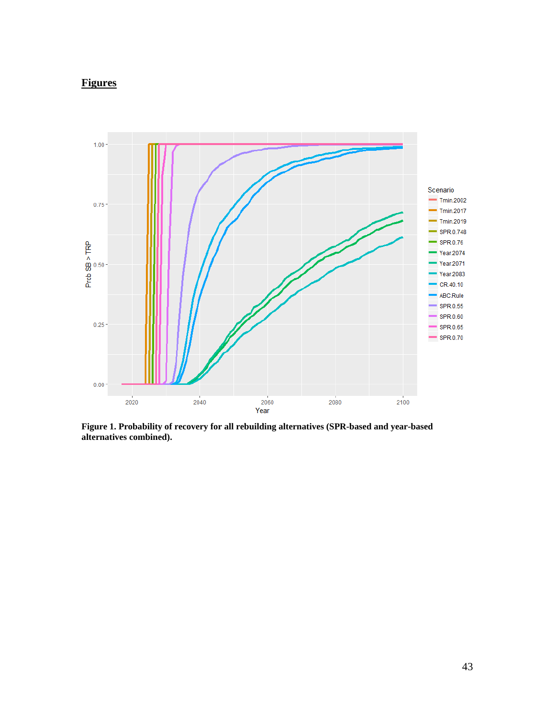# <span id="page-42-0"></span>**Figures**



<span id="page-42-1"></span>**Figure 1. Probability of recovery for all rebuilding alternatives (SPR-based and year-based alternatives combined).**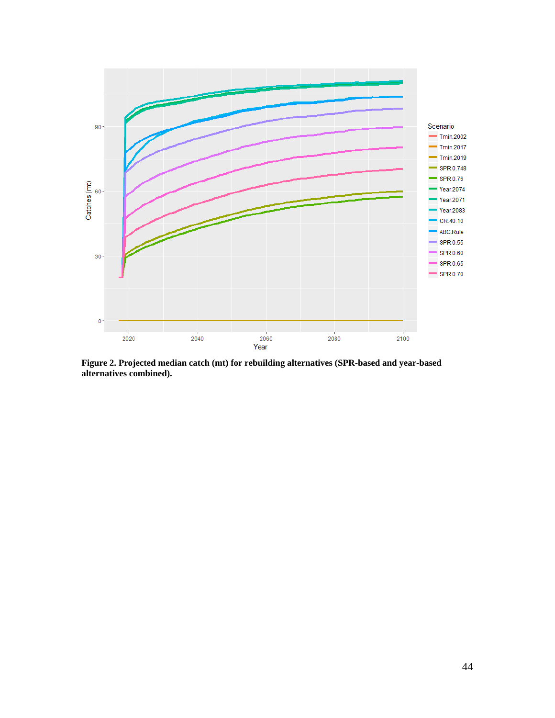

**Figure 2. Projected median catch (mt) for rebuilding alternatives (SPR-based and year-based alternatives combined).**